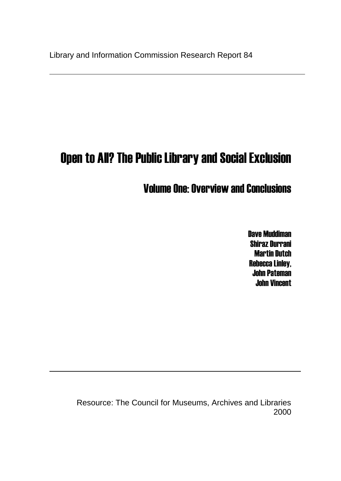# Open to All? The Public Library and Social Exclusion

## Volume One: Overview and Conclusions

Dave Muddiman Shiraz Durrani Martin Dutch Rebecca Linley, John Pateman John Vincent

Resource: The Council for Museums, Archives and Libraries 2000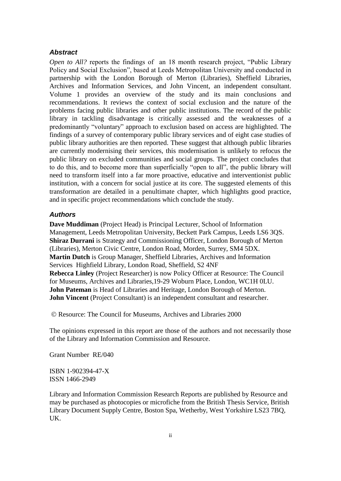#### *Abstract*

*Open to All?* reports the findings of an 18 month research project, "Public Library" Policy and Social Exclusion", based at Leeds Metropolitan University and conducted in partnership with the London Borough of Merton (Libraries), Sheffield Libraries, Archives and Information Services, and John Vincent, an independent consultant. Volume 1 provides an overview of the study and its main conclusions and recommendations. It reviews the context of social exclusion and the nature of the problems facing public libraries and other public institutions. The record of the public library in tackling disadvantage is critically assessed and the weaknesses of a predominantly "voluntary" approach to exclusion based on access are highlighted. The findings of a survey of contemporary public library services and of eight case studies of public library authorities are then reported. These suggest that although public libraries are currently modernising their services, this modernisation is unlikely to refocus the public library on excluded communities and social groups. The project concludes that to do this, and to become more than superficially "open to all", the public library will need to transform itself into a far more proactive, educative and interventionist public institution, with a concern for social justice at its core. The suggested elements of this transformation are detailed in a penultimate chapter, which highlights good practice, and in specific project recommendations which conclude the study.

#### *Authors*

**Dave Muddiman** (Project Head) is Principal Lecturer, School of Information Management, Leeds Metropolitan University, Beckett Park Campus, Leeds LS6 3QS. **Shiraz Durrani** is Strategy and Commissioning Officer, London Borough of Merton (Libraries), Merton Civic Centre, London Road, Morden, Surrey, SM4 5DX. **Martin Dutch** is Group Manager, Sheffield Libraries, Archives and Information Services Highfield Library, London Road, Sheffield, S2 4NF **Rebecca Linley** (Project Researcher) is now Policy Officer at Resource: The Council for Museums, Archives and Libraries,19-29 Woburn Place, London, WC1H 0LU. **John Pateman** is Head of Libraries and Heritage, London Borough of Merton. **John Vincent** (Project Consultant) is an independent consultant and researcher.

Resource: The Council for Museums, Archives and Libraries 2000

The opinions expressed in this report are those of the authors and not necessarily those of the Library and Information Commission and Resource.

Grant Number RE/040

ISBN 1-902394-47-X ISSN 1466-2949

Library and Information Commission Research Reports are published by Resource and may be purchased as photocopies or microfiche from the British Thesis Service, British Library Document Supply Centre, Boston Spa, Wetherby, West Yorkshire LS23 7BQ, UK.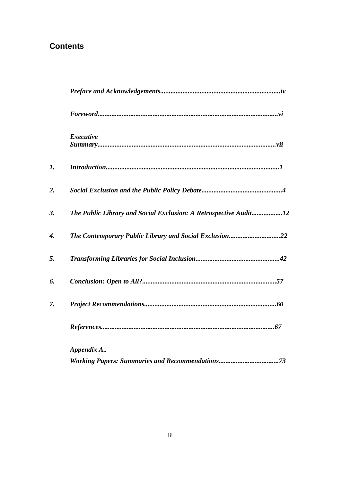## **Contents**

|    | <b>Executive</b>                                                 |
|----|------------------------------------------------------------------|
| 1. |                                                                  |
| 2. |                                                                  |
| 3. | The Public Library and Social Exclusion: A Retrospective Audit12 |
| 4. | The Contemporary Public Library and Social Exclusion22           |
| 5. |                                                                  |
| 6. |                                                                  |
| 7. |                                                                  |
|    |                                                                  |
|    | Appendix A                                                       |
|    |                                                                  |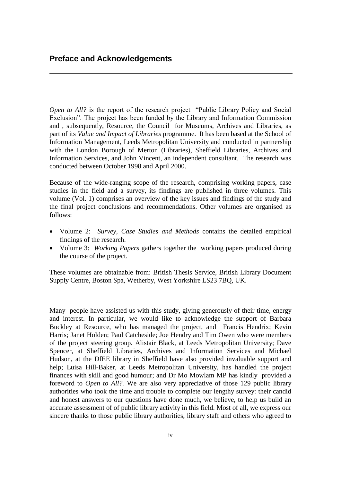*Open to All?* is the report of the research project "Public Library Policy and Social Exclusion". The project has been funded by the Library and Information Commission and , subsequently, Resource, the Council for Museums, Archives and Libraries, as part of its *Value and Impact of Libraries* programme. It has been based at the School of Information Management, Leeds Metropolitan University and conducted in partnership with the London Borough of Merton (Libraries), Sheffield Libraries, Archives and Information Services, and John Vincent, an independent consultant. The research was conducted between October 1998 and April 2000.

Because of the wide-ranging scope of the research, comprising working papers, case studies in the field and a survey, its findings are published in three volumes. This volume (Vol. 1) comprises an overview of the key issues and findings of the study and the final project conclusions and recommendations. Other volumes are organised as follows:

- Volume 2: *Survey, Case Studies and Methods* contains the detailed empirical findings of the research.
- Volume 3: *Working Papers* gathers together the working papers produced during the course of the project.

These volumes are obtainable from: British Thesis Service, British Library Document Supply Centre, Boston Spa, Wetherby, West Yorkshire LS23 7BQ, UK.

Many people have assisted us with this study, giving generously of their time, energy and interest. In particular, we would like to acknowledge the support of Barbara Buckley at Resource, who has managed the project, and Francis Hendrix; Kevin Harris; Janet Holden; Paul Catcheside; Joe Hendry and Tim Owen who were members of the project steering group. Alistair Black, at Leeds Metropolitan University; Dave Spencer, at Sheffield Libraries, Archives and Information Services and Michael Hudson, at the DfEE library in Sheffield have also provided invaluable support and help; Luisa Hill-Baker, at Leeds Metropolitan University, has handled the project finances with skill and good humour; and Dr Mo Mowlam MP has kindly provided a foreword to *Open to All?.* We are also very appreciative of those 129 public library authorities who took the time and trouble to complete our lengthy survey: their candid and honest answers to our questions have done much, we believe, to help us build an accurate assessment of of public library activity in this field. Most of all, we express our sincere thanks to those public library authorities, library staff and others who agreed to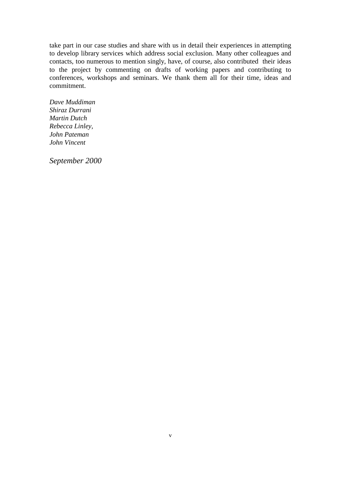take part in our case studies and share with us in detail their experiences in attempting to develop library services which address social exclusion. Many other colleagues and contacts, too numerous to mention singly, have, of course, also contributed their ideas to the project by commenting on drafts of working papers and contributing to conferences, workshops and seminars. We thank them all for their time, ideas and commitment.

*Dave Muddiman Shiraz Durrani Martin Dutch Rebecca Linley, John Pateman John Vincent*

*September 2000*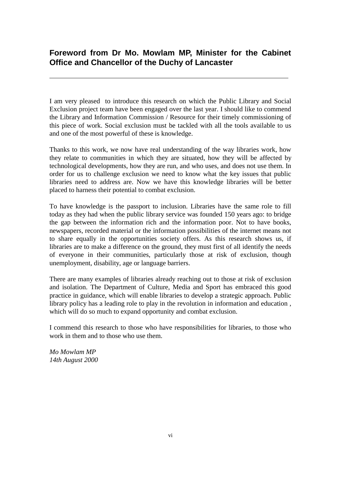## **Foreword from Dr Mo. Mowlam MP, Minister for the Cabinet Office and Chancellor of the Duchy of Lancaster**

I am very pleased to introduce this research on which the Public Library and Social Exclusion project team have been engaged over the last year. I should like to commend the Library and Information Commission / Resource for their timely commissioning of this piece of work. Social exclusion must be tackled with all the tools available to us and one of the most powerful of these is knowledge.

Thanks to this work, we now have real understanding of the way libraries work, how they relate to communities in which they are situated, how they will be affected by technological developments, how they are run, and who uses, and does not use them. In order for us to challenge exclusion we need to know what the key issues that public libraries need to address are. Now we have this knowledge libraries will be better placed to harness their potential to combat exclusion.

To have knowledge is the passport to inclusion. Libraries have the same role to fill today as they had when the public library service was founded 150 years ago: to bridge the gap between the information rich and the information poor. Not to have books, newspapers, recorded material or the information possibilities of the internet means not to share equally in the opportunities society offers. As this research shows us, if libraries are to make a difference on the ground, they must first of all identify the needs of everyone in their communities, particularly those at risk of exclusion, though unemployment, disability, age or language barriers.

There are many examples of libraries already reaching out to those at risk of exclusion and isolation. The Department of Culture, Media and Sport has embraced this good practice in guidance, which will enable libraries to develop a strategic approach. Public library policy has a leading role to play in the revolution in information and education , which will do so much to expand opportunity and combat exclusion.

I commend this research to those who have responsibilities for libraries, to those who work in them and to those who use them.

*Mo Mowlam MP 14th August 2000*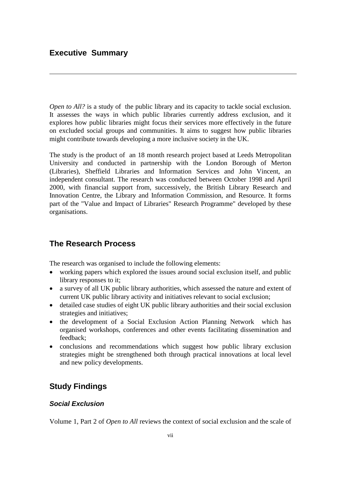*Open to All?* is a study of the public library and its capacity to tackle social exclusion. It assesses the ways in which public libraries currently address exclusion, and it explores how public libraries might focus their services more effectively in the future on excluded social groups and communities. It aims to suggest how public libraries might contribute towards developing a more inclusive society in the UK.

The study is the product of an 18 month research project based at Leeds Metropolitan University and conducted in partnership with the London Borough of Merton (Libraries), Sheffield Libraries and Information Services and John Vincent, an independent consultant. The research was conducted between October 1998 and April 2000, with financial support from, successively, the British Library Research and Innovation Centre, the Library and Information Commission, and Resource. It forms part of the "Value and Impact of Libraries" Research Programme" developed by these organisations.

### **The Research Process**

The research was organised to include the following elements:

- working papers which explored the issues around social exclusion itself, and public library responses to it;
- a survey of all UK public library authorities, which assessed the nature and extent of current UK public library activity and initiatives relevant to social exclusion;
- detailed case studies of eight UK public library authorities and their social exclusion strategies and initiatives;
- the development of a Social Exclusion Action Planning Network which has organised workshops, conferences and other events facilitating dissemination and feedback;
- conclusions and recommendations which suggest how public library exclusion strategies might be strengthened both through practical innovations at local level and new policy developments.

## **Study Findings**

#### *Social Exclusion*

Volume 1, Part 2 of *Open to All* reviews the context of social exclusion and the scale of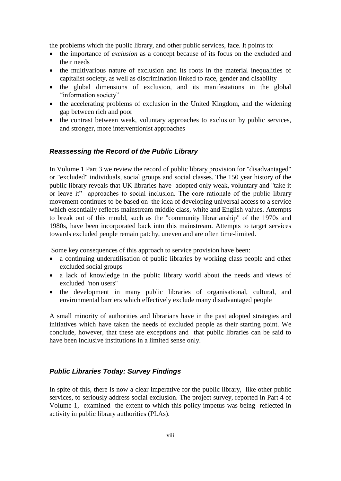the problems which the public library, and other public services, face. It points to:

- the importance of *exclusion* as a concept because of its focus on the excluded and their needs
- the multivarious nature of exclusion and its roots in the material inequalities of capitalist society, as well as discrimination linked to race, gender and disability
- the global dimensions of exclusion, and its manifestations in the global "information society"
- the accelerating problems of exclusion in the United Kingdom, and the widening gap between rich and poor
- the contrast between weak, voluntary approaches to exclusion by public services, and stronger, more interventionist approaches

#### *Reassessing the Record of the Public Library*

In Volume 1 Part 3 we review the record of public library provision for "disadvantaged" or "excluded" individuals, social groups and social classes. The 150 year history of the public library reveals that UK libraries have adopted only weak, voluntary and "take it or leave it" approaches to social inclusion. The core rationale of the public library movement continues to be based on the idea of developing universal access to a service which essentially reflects mainstream middle class, white and English values. Attempts to break out of this mould, such as the "community librarianship" of the 1970s and 1980s, have been incorporated back into this mainstream. Attempts to target services towards excluded people remain patchy, uneven and are often time-limited.

Some key consequences of this approach to service provision have been:

- a continuing underutilisation of public libraries by working class people and other excluded social groups
- a lack of knowledge in the public library world about the needs and views of excluded "non users"
- the development in many public libraries of organisational, cultural, and environmental barriers which effectively exclude many disadvantaged people

A small minority of authorities and librarians have in the past adopted strategies and initiatives which have taken the needs of excluded people as their starting point. We conclude, however, that these are exceptions and that public libraries can be said to have been inclusive institutions in a limited sense only.

#### *Public Libraries Today: Survey Findings*

In spite of this, there is now a clear imperative for the public library, like other public services, to seriously address social exclusion. The project survey, reported in Part 4 of Volume 1, examined the extent to which this policy impetus was being reflected in activity in public library authorities (PLAs).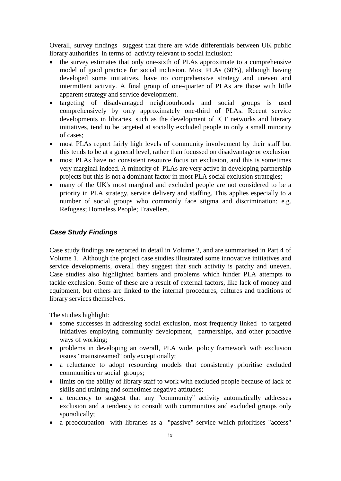Overall, survey findings suggest that there are wide differentials between UK public library authorities in terms of activity relevant to social inclusion:

- the survey estimates that only one-sixth of PLAs approximate to a comprehensive model of good practice for social inclusion. Most PLAs (60%), although having developed some initiatives, have no comprehensive strategy and uneven and intermittent activity. A final group of one-quarter of PLAs are those with little apparent strategy and service development.
- targeting of disadvantaged neighbourhoods and social groups is used comprehensively by only approximately one-third of PLAs. Recent service developments in libraries, such as the development of ICT networks and literacy initiatives, tend to be targeted at socially excluded people in only a small minority of cases;
- most PLAs report fairly high levels of community involvement by their staff but this tends to be at a general level, rather than focussed on disadvantage or exclusion
- most PLAs have no consistent resource focus on exclusion, and this is sometimes very marginal indeed. A minority of PLAs are very active in developing partnership projects but this is not a dominant factor in most PLA social exclusion strategies;
- many of the UK's most marginal and excluded people are not considered to be a priority in PLA strategy, service delivery and staffing. This applies especially to a number of social groups who commonly face stigma and discrimination: e.g. Refugees; Homeless People; Travellers.

#### *Case Study Findings*

Case study findings are reported in detail in Volume 2, and are summarised in Part 4 of Volume 1. Although the project case studies illustrated some innovative initiatives and service developments, overall they suggest that such activity is patchy and uneven. Case studies also highlighted barriers and problems which hinder PLA attempts to tackle exclusion. Some of these are a result of external factors, like lack of money and equipment, but others are linked to the internal procedures, cultures and traditions of library services themselves.

The studies highlight:

- some successes in addressing social exclusion, most frequently linked to targeted initiatives employing community development, partnerships, and other proactive ways of working;
- problems in developing an overall, PLA wide, policy framework with exclusion issues "mainstreamed" only exceptionally;
- a reluctance to adopt resourcing models that consistently prioritise excluded communities or social groups;
- limits on the ability of library staff to work with excluded people because of lack of skills and training and sometimes negative attitudes;
- a tendency to suggest that any "community" activity automatically addresses exclusion and a tendency to consult with communities and excluded groups only sporadically;
- a preoccupation with libraries as a "passive" service which prioritises "access"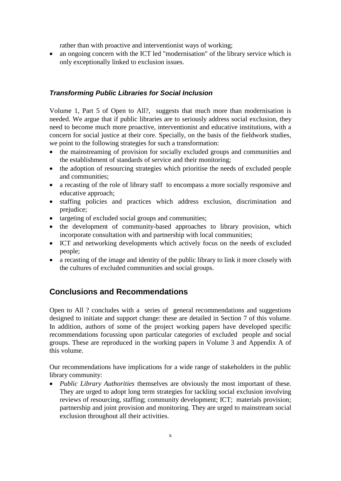rather than with proactive and interventionist ways of working;

• an ongoing concern with the ICT led "modernisation" of the library service which is only exceptionally linked to exclusion issues.

#### *Transforming Public Libraries for Social Inclusion*

Volume 1, Part 5 of Open to All?, suggests that much more than modernisation is needed. We argue that if public libraries are to seriously address social exclusion, they need to become much more proactive, interventionist and educative institutions, with a concern for social justice at their core. Specially, on the basis of the fieldwork studies, we point to the following strategies for such a transformation:

- the mainstreaming of provision for socially excluded groups and communities and the establishment of standards of service and their monitoring;
- the adoption of resourcing strategies which prioritise the needs of excluded people and communities;
- a recasting of the role of library staff to encompass a more socially responsive and educative approach;
- staffing policies and practices which address exclusion, discrimination and prejudice;
- targeting of excluded social groups and communities;
- the development of community-based approaches to library provision, which incorporate consultation with and partnership with local communities;
- ICT and networking developments which actively focus on the needs of excluded people;
- a recasting of the image and identity of the public library to link it more closely with the cultures of excluded communities and social groups.

## **Conclusions and Recommendations**

Open to All ? concludes with a series of general recommendations and suggestions designed to initiate and support change: these are detailed in Section 7 of this volume. In addition, authors of some of the project working papers have developed specific recommendations focussing upon particular categories of excluded people and social groups. These are reproduced in the working papers in Volume 3 and Appendix A of this volume.

Our recommendations have implications for a wide range of stakeholders in the public library community:

 *Public Library Authorities* themselves are obviously the most important of these. They are urged to adopt long term strategies for tackling social exclusion involving reviews of resourcing, staffing; community development; ICT; materials provision; partnership and joint provision and monitoring. They are urged to mainstream social exclusion throughout all their activities.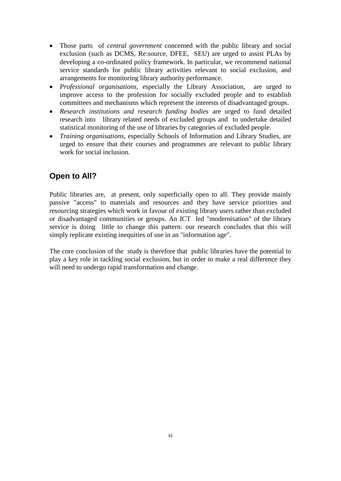- Those parts of *central government* concerned with the public library and social exclusion (such as DCMS, Re:source, DFEE, SEU) are urged to assist PLAs by developing a co-ordinated policy framework. In particular, we recommend national service standards for public library activities relevant to social exclusion, and arrangements for monitoring library authority performance.
- *Professional organisations*, especially the Library Association, are urged to improve access to the profession for socially excluded people and to establish committees and mechanisms which represent the interests of disadvantaged groups.
- *Research institutions and research funding bodies* are urged to fund detailed research into library related needs of excluded groups and to undertake detailed statistical monitoring of the use of libraries by categories of excluded people.
- *Training organisations*, especially Schools of Information and Library Studies, are urged to ensure that their courses and programmes are relevant to public library work for social inclusion.

## **Open to All?**

Public libraries are, at present, only superficially open to all. They provide mainly passive "access" to materials and resources and they have service priorities and resourcing strategies which work in favour of existing library users rather than excluded or disadvantaged communities or groups. An ICT led "modernisation" of the library service is doing little to change this pattern: our research concludes that this will simply replicate existing inequities of use in an "information age".

The core conclusion of the study is therefore that public libraries have the potential to play a key role in tackling social exclusion, but in order to make a real difference they will need to undergo rapid transformation and change.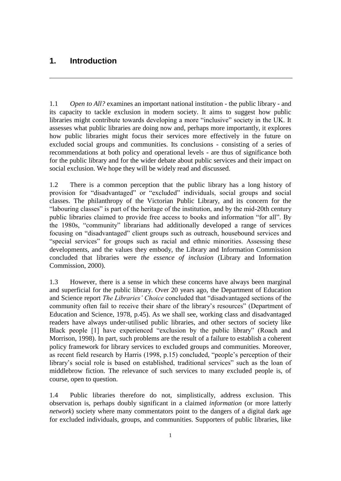## **1. Introduction**

1.1 *Open to All?* examines an important national institution - the public library - and its capacity to tackle exclusion in modern society. It aims to suggest how public libraries might contribute towards developing a more "inclusive" society in the UK. It assesses what public libraries are doing now and, perhaps more importantly, it explores how public libraries might focus their services more effectively in the future on excluded social groups and communities. Its conclusions - consisting of a series of recommendations at both policy and operational levels - are thus of significance both for the public library and for the wider debate about public services and their impact on social exclusion. We hope they will be widely read and discussed.

1.2 There is a common perception that the public library has a long history of provision for "disadvantaged" or "excluded" individuals, social groups and social classes. The philanthropy of the Victorian Public Library, and its concern for the "labouring classes" is part of the heritage of the institution, and by the mid-20th century public libraries claimed to provide free access to books and information "for all". By the 1980s, "community" librarians had additionally developed a range of services focusing on "disadvantaged" client groups such as outreach, housebound services and "special services" for groups such as racial and ethnic minorities. Assessing these developments, and the values they embody, the Library and Information Commission concluded that libraries were *the essence of inclusion* (Library and Information Commission, 2000).

1.3 However, there is a sense in which these concerns have always been marginal and superficial for the public library. Over 20 years ago, the Department of Education and Science report *The Libraries' Choice* concluded that "disadvantaged sections of the community often fail to receive their share of the library's resources" (Department of Education and Science, 1978, p.45). As we shall see, working class and disadvantaged readers have always under-utilised public libraries, and other sectors of society like Black people [1] have experienced "exclusion by the public library" (Roach and Morrison, 1998). In part, such problems are the result of a failure to establish a coherent policy framework for library services to excluded groups and communities. Moreover, as recent field research by Harris (1998, p.15) concluded, "people's perception of their library's social role is based on established, traditional services" such as the loan of middlebrow fiction. The relevance of such services to many excluded people is, of course, open to question.

1.4 Public libraries therefore do not, simplistically, address exclusion. This observation is, perhaps doubly significant in a claimed *information* (or more latterly *network*) society where many commentators point to the dangers of a digital dark age for excluded individuals, groups, and communities. Supporters of public libraries, like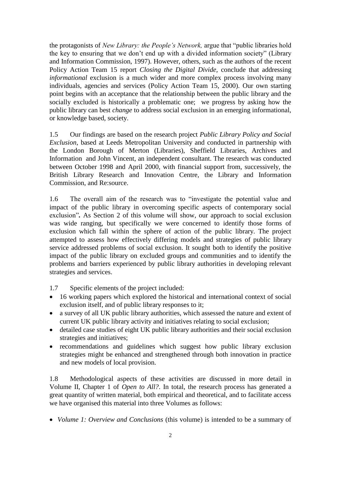the protagonists of *New Library: the People's Network,* argue that "public libraries hold the key to ensuring that we don't end up with a divided information society" (Library and Information Commission, 1997). However, others, such as the authors of the recent Policy Action Team 15 report *Closing the Digital Divide,* conclude that addressing *informational* exclusion is a much wider and more complex process involving many individuals, agencies and services (Policy Action Team 15, 2000). Our own starting point begins with an acceptance that the relationship between the public library and the socially excluded is historically a problematic one; we progress by asking how the public library can best *change* to address social exclusion in an emerging informational, or knowledge based, society.

1.5 Our findings are based on the research project *Public Library Policy and Social Exclusion*, based at Leeds Metropolitan University and conducted in partnership with the London Borough of Merton (Libraries), Sheffield Libraries, Archives and Information and John Vincent, an independent consultant. The research was conducted between October 1998 and April 2000, with financial support from, successively, the British Library Research and Innovation Centre, the Library and Information Commission, and Re:source.

1.6 The overall aim of the research was to "investigate the potential value and impact of the public library in overcoming specific aspects of contemporary social exclusion"*.* As Section 2 of this volume will show, our approach to social exclusion was wide ranging, but specifically we were concerned to identify those forms of exclusion which fall within the sphere of action of the public library. The project attempted to assess how effectively differing models and strategies of public library service addressed problems of social exclusion. It sought both to identify the positive impact of the public library on excluded groups and communities and to identify the problems and barriers experienced by public library authorities in developing relevant strategies and services.

1.7 Specific elements of the project included:

- 16 working papers which explored the historical and international context of social exclusion itself, and of public library responses to it;
- a survey of all UK public library authorities, which assessed the nature and extent of current UK public library activity and initiatives relating to social exclusion;
- detailed case studies of eight UK public library authorities and their social exclusion strategies and initiatives;
- recommendations and guidelines which suggest how public library exclusion strategies might be enhanced and strengthened through both innovation in practice and new models of local provision.

1.8 Methodological aspects of these activities are discussed in more detail in Volume II, Chapter 1 of *Open to All?*. In total, the research process has generated a great quantity of written material, both empirical and theoretical, and to facilitate access we have organised this material into three Volumes as follows:

*Volume 1: Overview and Conclusions* (this volume) is intended to be a summary of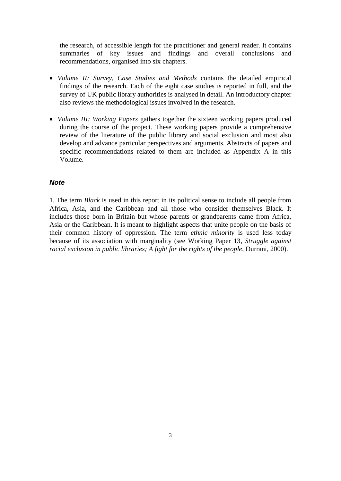the research, of accessible length for the practitioner and general reader. It contains summaries of key issues and findings and overall conclusions and recommendations, organised into six chapters.

- *Volume II: Survey, Case Studies and Methods* contains the detailed empirical findings of the research. Each of the eight case studies is reported in full, and the survey of UK public library authorities is analysed in detail. An introductory chapter also reviews the methodological issues involved in the research.
- *Volume III: Working Papers* gathers together the sixteen working papers produced during the course of the project. These working papers provide a comprehensive review of the literature of the public library and social exclusion and most also develop and advance particular perspectives and arguments. Abstracts of papers and specific recommendations related to them are included as Appendix A in this Volume.

#### *Note*

1. The term *Black* is used in this report in its political sense to include all people from Africa, Asia, and the Caribbean and all those who consider themselves Black. It includes those born in Britain but whose parents or grandparents came from Africa, Asia or the Caribbean. It is meant to highlight aspects that unite people on the basis of their common history of oppression. The term *ethnic minority* is used less today because of its association with marginality (see Working Paper 13*, Struggle against racial exclusion in public libraries; A fight for the rights of the people, Durrani, 2000).*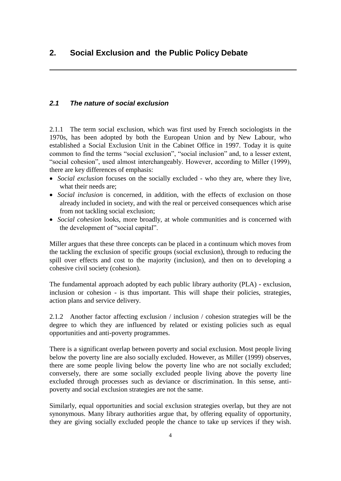#### *2.1 The nature of social exclusion*

2.1.1 The term social exclusion, which was first used by French sociologists in the 1970s, has been adopted by both the European Union and by New Labour, who established a Social Exclusion Unit in the Cabinet Office in 1997. Today it is quite common to find the terms "social exclusion", "social inclusion" and, to a lesser extent, "social cohesion", used almost interchangeably. However, according to Miller (1999), there are key differences of emphasis:

- *Social exclusion* focuses on the socially excluded who they are, where they live, what their needs are;
- *Social inclusion* is concerned, in addition, with the effects of exclusion on those already included in society, and with the real or perceived consequences which arise from not tackling social exclusion;
- *Social cohesion* looks, more broadly, at whole communities and is concerned with the development of "social capital".

Miller argues that these three concepts can be placed in a continuum which moves from the tackling the exclusion of specific groups (social exclusion), through to reducing the spill over effects and cost to the majority (inclusion), and then on to developing a cohesive civil society (cohesion).

The fundamental approach adopted by each public library authority (PLA) - exclusion, inclusion or cohesion - is thus important. This will shape their policies, strategies, action plans and service delivery.

2.1.2 Another factor affecting exclusion / inclusion / cohesion strategies will be the degree to which they are influenced by related or existing policies such as equal opportunities and anti-poverty programmes.

There is a significant overlap between poverty and social exclusion. Most people living below the poverty line are also socially excluded. However, as Miller (1999) observes, there are some people living below the poverty line who are not socially excluded; conversely, there are some socially excluded people living above the poverty line excluded through processes such as deviance or discrimination. In this sense, antipoverty and social exclusion strategies are not the same.

Similarly, equal opportunities and social exclusion strategies overlap, but they are not synonymous. Many library authorities argue that, by offering equality of opportunity, they are giving socially excluded people the chance to take up services if they wish.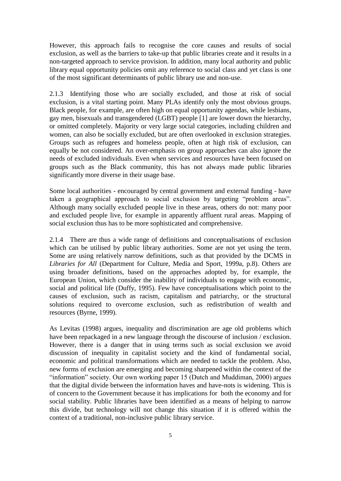However, this approach fails to recognise the core causes and results of social exclusion, as well as the barriers to take-up that public libraries create and it results in a non-targeted approach to service provision. In addition, many local authority and public library equal opportunity policies omit any reference to social class and yet class is one of the most significant determinants of public library use and non-use.

2.1.3 Identifying those who are socially excluded, and those at risk of social exclusion, is a vital starting point. Many PLAs identify only the most obvious groups. Black people, for example, are often high on equal opportunity agendas, while lesbians, gay men, bisexuals and transgendered (LGBT) people [1] are lower down the hierarchy, or omitted completely. Majority or very large social categories, including children and women, can also be socially excluded, but are often overlooked in exclusion strategies. Groups such as refugees and homeless people, often at high risk of exclusion, can equally be not considered. An over-emphasis on group approaches can also ignore the needs of excluded individuals. Even when services and resources have been focused on groups such as the Black community, this has not always made public libraries significantly more diverse in their usage base.

Some local authorities - encouraged by central government and external funding - have taken a geographical approach to social exclusion by targeting "problem areas". Although many socially excluded people live in these areas, others do not: many poor and excluded people live, for example in apparently affluent rural areas. Mapping of social exclusion thus has to be more sophisticated and comprehensive.

2.1.4 There are thus a wide range of definitions and conceptualisations of exclusion which can be utilised by public library authorities. Some are not yet using the term. Some are using relatively narrow definitions, such as that provided by the DCMS in *Libraries for All* (Department for Culture, Media and Sport, 1999a, p.8). Others are using broader definitions, based on the approaches adopted by, for example, the European Union, which consider the inability of individuals to engage with economic, social and political life (Duffy, 1995). Few have conceptualisations which point to the causes of exclusion, such as racism, capitalism and patriarchy, or the structural solutions required to overcome exclusion, such as redistribution of wealth and resources (Byrne, 1999).

As Levitas (1998) argues, inequality and discrimination are age old problems which have been repackaged in a new language through the discourse of inclusion / exclusion. However, there is a danger that in using terms such as social exclusion we avoid discussion of inequality in capitalist society and the kind of fundamental social, economic and political transformations which are needed to tackle the problem. Also, new forms of exclusion are emerging and becoming sharpened within the context of the "information" society. Our own working paper 15 (Dutch and Muddiman, 2000) argues that the digital divide between the information haves and have-nots is widening. This is of concern to the Government because it has implications for both the economy and for social stability. Public libraries have been identified as a means of helping to narrow this divide, but technology will not change this situation if it is offered within the context of a traditional, non-inclusive public library service.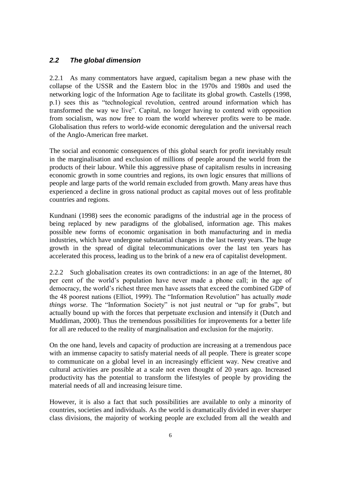#### *2.2 The global dimension*

2.2.1 As many commentators have argued, capitalism began a new phase with the collapse of the USSR and the Eastern bloc in the 1970s and 1980s and used the networking logic of the Information Age to facilitate its global growth. Castells (1998, p.1) sees this as "technological revolution, centred around information which has transformed the way we live". Capital, no longer having to contend with opposition from socialism, was now free to roam the world wherever profits were to be made. Globalisation thus refers to world-wide economic deregulation and the universal reach of the Anglo-American free market.

The social and economic consequences of this global search for profit inevitably result in the marginalisation and exclusion of millions of people around the world from the products of their labour. While this aggressive phase of capitalism results in increasing economic growth in some countries and regions, its own logic ensures that millions of people and large parts of the world remain excluded from growth. Many areas have thus experienced a decline in gross national product as capital moves out of less profitable countries and regions.

Kundnani (1998) sees the economic paradigms of the industrial age in the process of being replaced by new paradigms of the globalised, information age. This makes possible new forms of economic organisation in both manufacturing and in media industries, which have undergone substantial changes in the last twenty years. The huge growth in the spread of digital telecommunications over the last ten years has accelerated this process, leading us to the brink of a new era of capitalist development.

2.2.2 Such globalisation creates its own contradictions: in an age of the Internet, 80 per cent of the world's population have never made a phone call; in the age of democracy, the world's richest three men have assets that exceed the combined GDP of the 48 poorest nations (Elliot, 1999). The "Information Revolution" has actually *made things worse*. The "Information Society" is not just neutral or "up for grabs", but actually bound up with the forces that perpetuate exclusion and intensify it (Dutch and Muddiman, 2000). Thus the tremendous possibilities for improvements for a better life for all are reduced to the reality of marginalisation and exclusion for the majority.

On the one hand, levels and capacity of production are increasing at a tremendous pace with an immense capacity to satisfy material needs of all people. There is greater scope to communicate on a global level in an increasingly efficient way. New creative and cultural activities are possible at a scale not even thought of 20 years ago. Increased productivity has the potential to transform the lifestyles of people by providing the material needs of all and increasing leisure time.

However, it is also a fact that such possibilities are available to only a minority of countries, societies and individuals. As the world is dramatically divided in ever sharper class divisions, the majority of working people are excluded from all the wealth and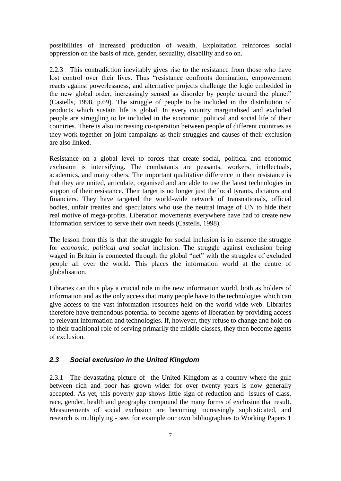possibilities of increased production of wealth. Exploitation reinforces social oppression on the basis of race, gender, sexuality, disability and so on.

2.2.3 This contradiction inevitably gives rise to the resistance from those who have lost control over their lives. Thus "resistance confronts domination, empowerment reacts against powerlessness, and alternative projects challenge the logic embedded in the new global order, increasingly sensed as disorder by people around the planet" (Castells, 1998, p.69). The struggle of people to be included in the distribution of products which sustain life is global. In every country marginalised and excluded people are struggling to be included in the economic, political and social life of their countries. There is also increasing co-operation between people of different countries as they work together on joint campaigns as their struggles and causes of their exclusion are also linked.

Resistance on a global level to forces that create social, political and economic exclusion is intensifying. The combatants are peasants, workers, intellectuals, academics, and many others. The important qualitative difference in their resistance is that they are united, articulate, organised and are able to use the latest technologies in support of their resistance. Their target is no longer just the local tyrants, dictators and financiers. They have targeted the world-wide network of transnationals, official bodies, unfair treaties and speculators who use the neutral image of UN to hide their real motive of mega-profits. Liberation movements everywhere have had to create new information services to serve their own needs (Castells, 1998).

The lesson from this is that the struggle for social inclusion is in essence the struggle for *economic, political and social* inclusion. The struggle against exclusion being waged in Britain is connected through the global "net" with the struggles of excluded people all over the world. This places the information world at the centre of globalisation.

Libraries can thus play a crucial role in the new information world, both as holders of information and as the only access that many people have to the technologies which can give access to the vast information resources held on the world wide web. Libraries therefore have tremendous potential to become agents of liberation by providing access to relevant information and technologies. If, however, they refuse to change and hold on to their traditional role of serving primarily the middle classes, they then become agents of exclusion.

#### *2.3 Social exclusion in the United Kingdom*

2.3.1 The devastating picture of the United Kingdom as a country where the gulf between rich and poor has grown wider for over twenty years is now generally accepted. As yet, this poverty gap shows little sign of reduction and issues of class, race, gender, health and geography compound the many forms of exclusion that result. Measurements of social exclusion are becoming increasingly sophisticated, and research is multiplying - see, for example our own bibliographies to Working Papers 1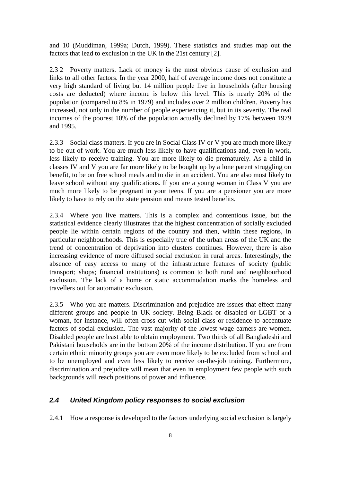and 10 (Muddiman, 1999a; Dutch, 1999). These statistics and studies map out the factors that lead to exclusion in the UK in the 21st century [2].

2.3 2 Poverty matters. Lack of money is the most obvious cause of exclusion and links to all other factors. In the year 2000, half of average income does not constitute a very high standard of living but 14 million people live in households (after housing costs are deducted) where income is below this level. This is nearly 20% of the population (compared to 8% in 1979) and includes over 2 million children. Poverty has increased, not only in the number of people experiencing it, but in its severity. The real incomes of the poorest 10% of the population actually declined by 17% between 1979 and 1995.

2.3.3 Social class matters. If you are in Social Class IV or V you are much more likely to be out of work. You are much less likely to have qualifications and, even in work, less likely to receive training. You are more likely to die prematurely. As a child in classes IV and V you are far more likely to be bought up by a lone parent struggling on benefit, to be on free school meals and to die in an accident. You are also most likely to leave school without any qualifications. If you are a young woman in Class V you are much more likely to be pregnant in your teens. If you are a pensioner you are more likely to have to rely on the state pension and means tested benefits.

2.3.4 Where you live matters. This is a complex and contentious issue, but the statistical evidence clearly illustrates that the highest concentration of socially excluded people lie within certain regions of the country and then, within these regions, in particular neighbourhoods. This is especially true of the urban areas of the UK and the trend of concentration of deprivation into clusters continues. However, there is also increasing evidence of more diffused social exclusion in rural areas. Interestingly, the absence of easy access to many of the infrastructure features of society (public transport; shops; financial institutions) is common to both rural and neighbourhood exclusion. The lack of a home or static accommodation marks the homeless and travellers out for automatic exclusion.

2.3.5 Who you are matters. Discrimination and prejudice are issues that effect many different groups and people in UK society. Being Black or disabled or LGBT or a woman, for instance, will often cross cut with social class or residence to accentuate factors of social exclusion. The vast majority of the lowest wage earners are women. Disabled people are least able to obtain employment. Two thirds of all Bangladeshi and Pakistani households are in the bottom 20% of the income distribution. If you are from certain ethnic minority groups you are even more likely to be excluded from school and to be unemployed and even less likely to receive on-the-job training. Furthermore, discrimination and prejudice will mean that even in employment few people with such backgrounds will reach positions of power and influence.

#### *2.4 United Kingdom policy responses to social exclusion*

2.4.1 How a response is developed to the factors underlying social exclusion is largely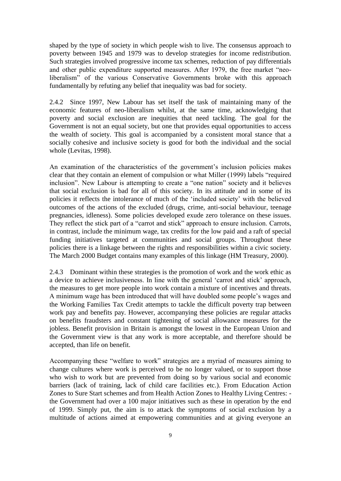shaped by the type of society in which people wish to live. The consensus approach to poverty between 1945 and 1979 was to develop strategies for income redistribution. Such strategies involved progressive income tax schemes, reduction of pay differentials and other public expenditure supported measures. After 1979, the free market "neoliberalism" of the various Conservative Governments broke with this approach fundamentally by refuting any belief that inequality was bad for society.

2.4.2 Since 1997, New Labour has set itself the task of maintaining many of the economic features of neo-liberalism whilst, at the same time, acknowledging that poverty and social exclusion are inequities that need tackling. The goal for the Government is not an equal society, but one that provides equal opportunities to access the wealth of society. This goal is accompanied by a consistent moral stance that a socially cohesive and inclusive society is good for both the individual and the social whole (Levitas, 1998).

An examination of the characteristics of the government's inclusion policies makes clear that they contain an element of compulsion or what Miller (1999) labels "required inclusion". New Labour is attempting to create a "one nation" society and it believes that social exclusion is bad for all of this society. In its attitude and in some of its policies it reflects the intolerance of much of the 'included society' with the believed outcomes of the actions of the excluded (drugs, crime, anti-social behaviour, teenage pregnancies, idleness). Some policies developed exude zero tolerance on these issues. They reflect the stick part of a "carrot and stick" approach to ensure inclusion. Carrots, in contrast, include the minimum wage, tax credits for the low paid and a raft of special funding initiatives targeted at communities and social groups. Throughout these policies there is a linkage between the rights and responsibilities within a civic society. The March 2000 Budget contains many examples of this linkage (HM Treasury, 2000).

2.4.3 Dominant within these strategies is the promotion of work and the work ethic as a device to achieve inclusiveness. In line with the general 'carrot and stick' approach, the measures to get more people into work contain a mixture of incentives and threats. A minimum wage has been introduced that will have doubled some people's wages and the Working Families Tax Credit attempts to tackle the difficult poverty trap between work pay and benefits pay. However, accompanying these policies are regular attacks on benefits fraudsters and constant tightening of social allowance measures for the jobless. Benefit provision in Britain is amongst the lowest in the European Union and the Government view is that any work is more acceptable, and therefore should be accepted, than life on benefit.

Accompanying these "welfare to work" strategies are a myriad of measures aiming to change cultures where work is perceived to be no longer valued, or to support those who wish to work but are prevented from doing so by various social and economic barriers (lack of training, lack of child care facilities etc.). From Education Action Zones to Sure Start schemes and from Health Action Zones to Healthy Living Centres: the Government had over a 100 major initiatives such as these in operation by the end of 1999. Simply put, the aim is to attack the symptoms of social exclusion by a multitude of actions aimed at empowering communities and at giving everyone an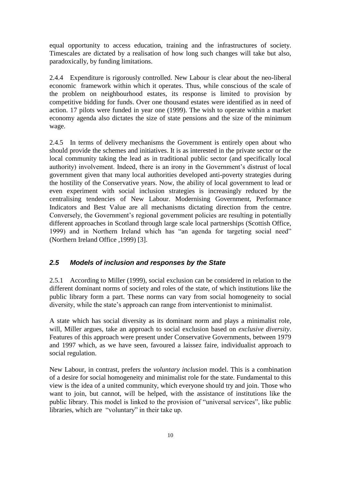equal opportunity to access education, training and the infrastructures of society. Timescales are dictated by a realisation of how long such changes will take but also, paradoxically, by funding limitations.

2.4.4 Expenditure is rigorously controlled. New Labour is clear about the neo-liberal economic framework within which it operates. Thus, while conscious of the scale of the problem on neighbourhood estates, its response is limited to provision by competitive bidding for funds. Over one thousand estates were identified as in need of action. 17 pilots were funded in year one (1999). The wish to operate within a market economy agenda also dictates the size of state pensions and the size of the minimum wage.

2.4.5 In terms of delivery mechanisms the Government is entirely open about who should provide the schemes and initiatives. It is as interested in the private sector or the local community taking the lead as in traditional public sector (and specifically local authority) involvement. Indeed, there is an irony in the Government's distrust of local government given that many local authorities developed anti-poverty strategies during the hostility of the Conservative years. Now, the ability of local government to lead or even experiment with social inclusion strategies is increasingly reduced by the centralising tendencies of New Labour. Modernising Government, Performance Indicators and Best Value are all mechanisms dictating direction from the centre. Conversely, the Government's regional government policies are resulting in potentially different approaches in Scotland through large scale local partnerships (Scottish Office, 1999) and in Northern Ireland which has "an agenda for targeting social need" (Northern Ireland Office ,1999) [3].

#### *2.5 Models of inclusion and responses by the State*

2.5.1 According to Miller (1999), social exclusion can be considered in relation to the different dominant norms of society and roles of the state, of which institutions like the public library form a part. These norms can vary from social homogeneity to social diversity, while the state's approach can range from interventionist to minimalist.

A state which has social diversity as its dominant norm and plays a minimalist role, will, Miller argues, take an approach to social exclusion based on *exclusive diversity*. Features of this approach were present under Conservative Governments, between 1979 and 1997 which, as we have seen, favoured a laissez faire, individualist approach to social regulation.

New Labour, in contrast, prefers the *voluntary inclusion* model. This is a combination of a desire for social homogeneity and minimalist role for the state. Fundamental to this view is the idea of a united community, which everyone should try and join. Those who want to join, but cannot, will be helped, with the assistance of institutions like the public library. This model is linked to the provision of "universal services", like public libraries, which are "voluntary" in their take up.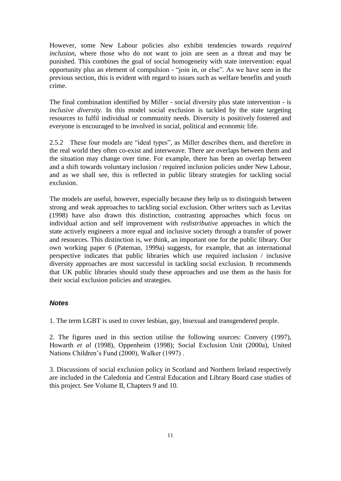However, some New Labour policies also exhibit tendencies towards *required inclusion*, where those who do not want to join are seen as a threat and may be punished. This combines the goal of social homogeneity with state intervention: equal opportunity plus an element of compulsion - "join in, or else". As we have seen in the previous section, this is evident with regard to issues such as welfare benefits and youth crime.

The final combination identified by Miller - social diversity plus state intervention - is *inclusive diversity*. In this model social exclusion is tackled by the state targeting resources to fulfil individual or community needs. Diversity is positively fostered and everyone is encouraged to be involved in social, political and economic life.

2.5.2 These four models are "ideal types", as Miller describes them, and therefore in the real world they often co-exist and interweave. There are overlaps between them and the situation may change over time. For example, there has been an overlap between and a shift towards voluntary inclusion / required inclusion policies under New Labour, and as we shall see, this is reflected in public library strategies for tackling social exclusion.

The models are useful, however, especially because they help us to distinguish between strong and weak approaches to tackling social exclusion. Other writers such as Levitas (1998) have also drawn this distinction, contrasting approaches which focus on individual action and self improvement with *redistributive* approaches in which the state actively engineers a more equal and inclusive society through a transfer of power and resources. This distinction is, we think, an important one for the public library. Our own working paper 6 (Pateman, 1999a) suggests, for example, that an international perspective indicates that public libraries which use required inclusion / inclusive diversity approaches are most successful in tackling social exclusion. It recommends that UK public libraries should study these approaches and use them as the basis for their social exclusion policies and strategies.

#### *Notes*

1. The term LGBT is used to cover lesbian, gay, bisexual and transgendered people.

2. The figures used in this section utilise the following sources: Convery (1997), Howarth *et al* (1998), Oppenheim (1998); Social Exclusion Unit (2000a), United Nations Children's Fund (2000), Walker (1997) .

3. Discussions of social exclusion policy in Scotland and Northern Ireland respectively are included in the Caledonia and Central Education and Library Board case studies of this project. See Volume II, Chapters 9 and 10.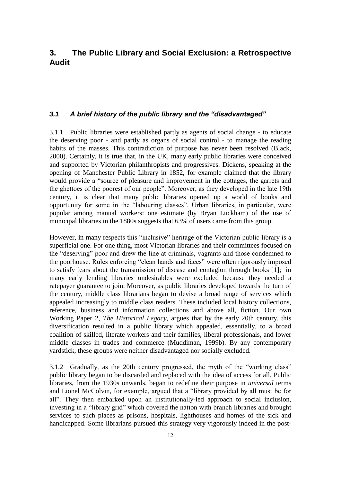## **3. The Public Library and Social Exclusion: a Retrospective Audit**

#### *3.1 A brief history of the public library and the "disadvantaged"*

3.1.1 Public libraries were established partly as agents of social change - to educate the deserving poor - and partly as organs of social control - to manage the reading habits of the masses. This contradiction of purpose has never been resolved (Black, 2000). Certainly, it is true that, in the UK, many early public libraries were conceived and supported by Victorian philanthropists and progressives. Dickens, speaking at the opening of Manchester Public Library in 1852, for example claimed that the library would provide a "source of pleasure and improvement in the cottages, the garrets and the ghettoes of the poorest of our people". Moreover, as they developed in the late 19th century, it is clear that many public libraries opened up a world of books and opportunity for some in the "labouring classes". Urban libraries, in particular, were popular among manual workers: one estimate (by Bryan Luckham) of the use of municipal libraries in the 1880s suggests that 63% of users came from this group.

However, in many respects this "inclusive" heritage of the Victorian public library is a superficial one. For one thing, most Victorian libraries and their committees focused on the "deserving" poor and drew the line at criminals, vagrants and those condemned to the poorhouse. Rules enforcing "clean hands and faces" were often rigorously imposed to satisfy fears about the transmission of disease and contagion through books [1]; in many early lending libraries undesirables were excluded because they needed a ratepayer guarantee to join. Moreover, as public libraries developed towards the turn of the century, middle class librarians began to devise a broad range of services which appealed increasingly to middle class readers. These included local history collections, reference, business and information collections and above all, fiction. Our own Working Paper 2, *The Historical Legacy,* argues that by the early 20th century, this diversification resulted in a public library which appealed, essentially, to a broad coalition of skilled, literate workers and their families, liberal professionals, and lower middle classes in trades and commerce (Muddiman, 1999b). By any contemporary yardstick, these groups were neither disadvantaged nor socially excluded.

3.1.2 Gradually, as the 20th century progressed, the myth of the "working class" public library began to be discarded and replaced with the idea of access for all. Public libraries, from the 1930s onwards, began to redefine their purpose in *universal* terms and Lionel McColvin, for example, argued that a "library provided by all must be for all". They then embarked upon an institutionally-led approach to social inclusion, investing in a "library grid" which covered the nation with branch libraries and brought services to such places as prisons, hospitals, lighthouses and homes of the sick and handicapped. Some librarians pursued this strategy very vigorously indeed in the post-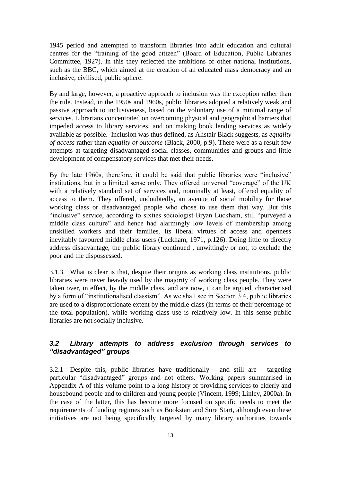1945 period and attempted to transform libraries into adult education and cultural centres for the "training of the good citizen" (Board of Education, Public Libraries Committee, 1927). In this they reflected the ambitions of other national institutions, such as the BBC, which aimed at the creation of an educated mass democracy and an inclusive, civilised, public sphere.

By and large, however, a proactive approach to inclusion was the exception rather than the rule. Instead, in the 1950s and 1960s, public libraries adopted a relatively weak and passive approach to inclusiveness, based on the voluntary use of a minimal range of services. Librarians concentrated on overcoming physical and geographical barriers that impeded access to library services, and on making book lending services as widely available as possible. Inclusion was thus defined, as Alistair Black suggests, as *equality of access* rather than *equality of outcome* (Black, 2000, p.9). There were as a result few attempts at targeting disadvantaged social classes, communities and groups and little development of compensatory services that met their needs.

By the late 1960s, therefore, it could be said that public libraries were "inclusive" institutions, but in a limited sense only. They offered universal "coverage" of the UK with a relatively standard set of services and, nominally at least, offered equality of access to them. They offered, undoubtedly, an avenue of social mobility for those working class or disadvantaged people who chose to use them that way. But this "inclusive" service, according to sixties sociologist Bryan Luckham, still "purveyed a middle class culture" and hence had alarmingly low levels of membership among unskilled workers and their families. Its liberal virtues of access and openness inevitably favoured middle class users (Luckham, 1971, p.126). Doing little to directly address disadvantage, the public library continued , unwittingly or not, to exclude the poor and the dispossessed.

3.1.3 What is clear is that, despite their origins as working class institutions, public libraries were never heavily used by the majority of working class people. They were taken over, in effect, by the middle class, and are now, it can be argued, characterised by a form of "institutionalised classism". As we shall see in Section 3.4, public libraries are used to a disproportionate extent by the middle class (in terms of their percentage of the total population), while working class use is relatively low. In this sense public libraries are not socially inclusive.

#### *3.2 Library attempts to address exclusion through services to "disadvantaged" groups*

3.2.1 Despite this, public libraries have traditionally - and still are - targeting particular "disadvantaged" groups and not others. Working papers summarised in Appendix A of this volume point to a long history of providing services to elderly and housebound people and to children and young people (Vincent, 1999; Linley, 2000a). In the case of the latter, this has become more focused on specific needs to meet the requirements of funding regimes such as Bookstart and Sure Start, although even these initiatives are not being specifically targeted by many library authorities towards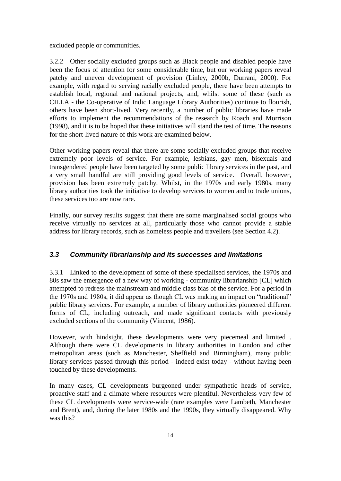excluded people or communities.

3.2.2 Other socially excluded groups such as Black people and disabled people have been the focus of attention for some considerable time, but our working papers reveal patchy and uneven development of provision (Linley, 2000b, Durrani, 2000). For example, with regard to serving racially excluded people, there have been attempts to establish local, regional and national projects, and, whilst some of these (such as CILLA - the Co-operative of Indic Language Library Authorities) continue to flourish, others have been short-lived. Very recently, a number of public libraries have made efforts to implement the recommendations of the research by Roach and Morrison (1998), and it is to be hoped that these initiatives will stand the test of time. The reasons for the short-lived nature of this work are examined below.

Other working papers reveal that there are some socially excluded groups that receive extremely poor levels of service. For example, lesbians, gay men, bisexuals and transgendered people have been targeted by some public library services in the past, and a very small handful are still providing good levels of service. Overall, however, provision has been extremely patchy. Whilst, in the 1970s and early 1980s, many library authorities took the initiative to develop services to women and to trade unions, these services too are now rare.

Finally, our survey results suggest that there are some marginalised social groups who receive virtually no services at all, particularly those who cannot provide a stable address for library records, such as homeless people and travellers (see Section 4.2).

#### *3.3 Community librarianship and its successes and limitations*

3.3.1 Linked to the development of some of these specialised services, the 1970s and 80s saw the emergence of a new way of working - community librarianship [CL] which attempted to redress the mainstream and middle class bias of the service. For a period in the 1970s and 1980s, it did appear as though CL was making an impact on "traditional" public library services. For example, a number of library authorities pioneered different forms of CL, including outreach, and made significant contacts with previously excluded sections of the community (Vincent, 1986).

However, with hindsight, these developments were very piecemeal and limited . Although there were CL developments in library authorities in London and other metropolitan areas (such as Manchester, Sheffield and Birmingham), many public library services passed through this period - indeed exist today - without having been touched by these developments.

In many cases, CL developments burgeoned under sympathetic heads of service, proactive staff and a climate where resources were plentiful. Nevertheless very few of these CL developments were service-wide (rare examples were Lambeth, Manchester and Brent), and, during the later 1980s and the 1990s, they virtually disappeared. Why was this?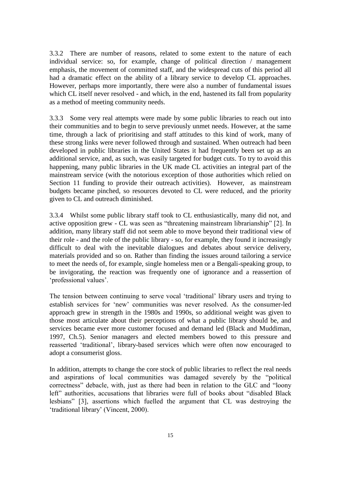3.3.2 There are number of reasons, related to some extent to the nature of each individual service: so, for example, change of political direction / management emphasis, the movement of committed staff, and the widespread cuts of this period all had a dramatic effect on the ability of a library service to develop CL approaches. However, perhaps more importantly, there were also a number of fundamental issues which CL itself never resolved - and which, in the end, hastened its fall from popularity as a method of meeting community needs.

3.3.3 Some very real attempts were made by some public libraries to reach out into their communities and to begin to serve previously unmet needs. However, at the same time, through a lack of prioritising and staff attitudes to this kind of work, many of these strong links were never followed through and sustained. When outreach had been developed in public libraries in the United States it had frequently been set up as an additional service, and, as such, was easily targeted for budget cuts. To try to avoid this happening, many public libraries in the UK made CL activities an integral part of the mainstream service (with the notorious exception of those authorities which relied on Section 11 funding to provide their outreach activities). However, as mainstream budgets became pinched, so resources devoted to CL were reduced, and the priority given to CL and outreach diminished.

3.3.4 Whilst some public library staff took to CL enthusiastically, many did not, and active opposition grew - CL was seen as "threatening mainstream librarianship" [2]. In addition, many library staff did not seem able to move beyond their traditional view of their role - and the role of the public library - so, for example, they found it increasingly difficult to deal with the inevitable dialogues and debates about service delivery, materials provided and so on. Rather than finding the issues around tailoring a service to meet the needs of, for example, single homeless men or a Bengali-speaking group, to be invigorating, the reaction was frequently one of ignorance and a reassertion of 'professional values'.

The tension between continuing to serve vocal 'traditional' library users and trying to establish services for 'new' communities was never resolved. As the consumer-led approach grew in strength in the 1980s and 1990s, so additional weight was given to those most articulate about their perceptions of what a public library should be, and services became ever more customer focused and demand led (Black and Muddiman, 1997, Ch.5). Senior managers and elected members bowed to this pressure and reasserted 'traditional', library-based services which were often now encouraged to adopt a consumerist gloss.

In addition, attempts to change the core stock of public libraries to reflect the real needs and aspirations of local communities was damaged severely by the "political correctness" debacle, with, just as there had been in relation to the GLC and "loony left" authorities, accusations that libraries were full of books about "disabled Black lesbians" [3], assertions which fuelled the argument that CL was destroying the 'traditional library' (Vincent, 2000).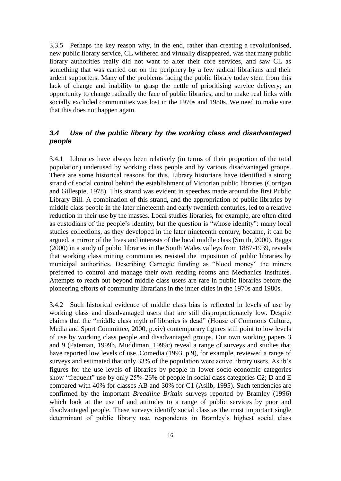3.3.5 Perhaps the key reason why, in the end, rather than creating a revolutionised, new public library service, CL withered and virtually disappeared, was that many public library authorities really did not want to alter their core services, and saw CL as something that was carried out on the periphery by a few radical librarians and their ardent supporters. Many of the problems facing the public library today stem from this lack of change and inability to grasp the nettle of prioritising service delivery; an opportunity to change radically the face of public libraries, and to make real links with socially excluded communities was lost in the 1970s and 1980s. We need to make sure that this does not happen again.

#### *3.4 Use of the public library by the working class and disadvantaged people*

3.4.1 Libraries have always been relatively (in terms of their proportion of the total population) underused by working class people and by various disadvantaged groups. There are some historical reasons for this. Library historians have identified a strong strand of social control behind the establishment of Victorian public libraries (Corrigan and Gillespie, 1978). This strand was evident in speeches made around the first Public Library Bill. A combination of this strand, and the appropriation of public libraries by middle class people in the later nineteenth and early twentieth centuries, led to a relative reduction in their use by the masses. Local studies libraries, for example, are often cited as custodians of the people's identity, but the question is "whose identity": many local studies collections, as they developed in the later nineteenth century, became, it can be argued, a mirror of the lives and interests of the local middle class (Smith, 2000). Baggs (2000) in a study of public libraries in the South Wales valleys from 1887-1939, reveals that working class mining communities resisted the imposition of public libraries by municipal authorities. Describing Carnegie funding as "blood money" the miners preferred to control and manage their own reading rooms and Mechanics Institutes. Attempts to reach out beyond middle class users are rare in public libraries before the pioneering efforts of community librarians in the inner cities in the 1970s and 1980s.

3.4.2 Such historical evidence of middle class bias is reflected in levels of use by working class and disadvantaged users that are still disproportionately low. Despite claims that the "middle class myth of libraries is dead" (House of Commons Culture, Media and Sport Committee, 2000, p.xiv) contemporary figures still point to low levels of use by working class people and disadvantaged groups. Our own working papers 3 and 9 (Pateman, 1999b, Muddiman, 1999c) reveal a range of surveys and studies that have reported low levels of use. Comedia (1993, p.9), for example, reviewed a range of surveys and estimated that only 33% of the population were active library users. Aslib's figures for the use levels of libraries by people in lower socio-economic categories show "frequent" use by only 25%-26% of people in social class categories C2; D and E compared with 40% for classes AB and 30% for C1 (Aslib, 1995). Such tendencies are confirmed by the important *Breadline Britain* surveys reported by Bramley (1996) which look at the use of and attitudes to a range of public services by poor and disadvantaged people. These surveys identify social class as the most important single determinant of public library use, respondents in Bramley's highest social class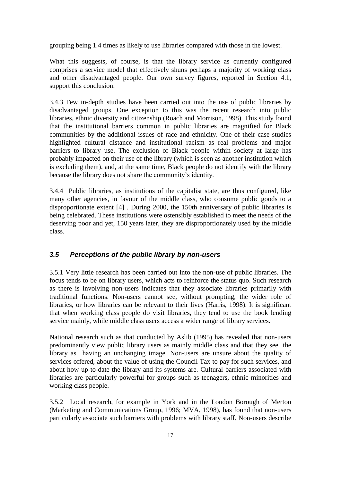grouping being 1.4 times as likely to use libraries compared with those in the lowest.

What this suggests, of course, is that the library service as currently configured comprises a service model that effectively shuns perhaps a majority of working class and other disadvantaged people. Our own survey figures, reported in Section 4.1, support this conclusion.

3.4.3 Few in-depth studies have been carried out into the use of public libraries by disadvantaged groups. One exception to this was the recent research into public libraries, ethnic diversity and citizenship (Roach and Morrison, 1998). This study found that the institutional barriers common in public libraries are magnified for Black communities by the additional issues of race and ethnicity. One of their case studies highlighted cultural distance and institutional racism as real problems and major barriers to library use. The exclusion of Black people within society at large has probably impacted on their use of the library (which is seen as another institution which is excluding them), and, at the same time, Black people do not identify with the library because the library does not share the community's identity.

3.4.4 Public libraries, as institutions of the capitalist state, are thus configured, like many other agencies, in favour of the middle class, who consume public goods to a disproportionate extent [4] . During 2000, the 150th anniversary of public libraries is being celebrated. These institutions were ostensibly established to meet the needs of the deserving poor and yet, 150 years later, they are disproportionately used by the middle class.

#### *3.5 Perceptions of the public library by non-users*

3.5.1 Very little research has been carried out into the non-use of public libraries. The focus tends to be on library users, which acts to reinforce the status quo. Such research as there is involving non-users indicates that they associate libraries primarily with traditional functions. Non-users cannot see, without prompting, the wider role of libraries, or how libraries can be relevant to their lives (Harris, 1998). It is significant that when working class people do visit libraries, they tend to use the book lending service mainly, while middle class users access a wider range of library services.

National research such as that conducted by Aslib (1995) has revealed that non-users predominantly view public library users as mainly middle class and that they see the library as having an unchanging image. Non-users are unsure about the quality of services offered, about the value of using the Council Tax to pay for such services, and about how up-to-date the library and its systems are. Cultural barriers associated with libraries are particularly powerful for groups such as teenagers, ethnic minorities and working class people.

3.5.2 Local research, for example in York and in the London Borough of Merton (Marketing and Communications Group, 1996; MVA, 1998), has found that non-users particularly associate such barriers with problems with library staff. Non-users describe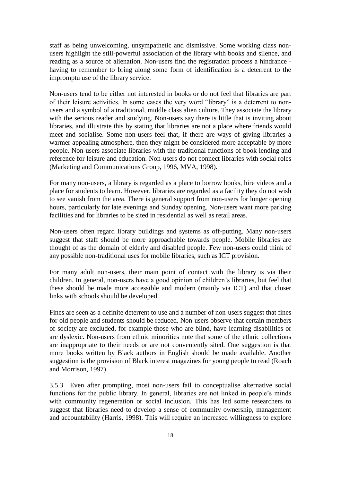staff as being unwelcoming, unsympathetic and dismissive. Some working class nonusers highlight the still-powerful association of the library with books and silence, and reading as a source of alienation. Non-users find the registration process a hindrance having to remember to bring along some form of identification is a deterrent to the impromptu use of the library service.

Non-users tend to be either not interested in books or do not feel that libraries are part of their leisure activities. In some cases the very word "library" is a deterrent to nonusers and a symbol of a traditional, middle class alien culture. They associate the library with the serious reader and studying. Non-users say there is little that is inviting about libraries, and illustrate this by stating that libraries are not a place where friends would meet and socialise. Some non-users feel that, if there are ways of giving libraries a warmer appealing atmosphere, then they might be considered more acceptable by more people. Non-users associate libraries with the traditional functions of book lending and reference for leisure and education. Non-users do not connect libraries with social roles (Marketing and Communications Group, 1996, MVA, 1998).

For many non-users, a library is regarded as a place to borrow books, hire videos and a place for students to learn. However, libraries are regarded as a facility they do not wish to see vanish from the area. There is general support from non-users for longer opening hours, particularly for late evenings and Sunday opening. Non-users want more parking facilities and for libraries to be sited in residential as well as retail areas.

Non-users often regard library buildings and systems as off-putting. Many non-users suggest that staff should be more approachable towards people. Mobile libraries are thought of as the domain of elderly and disabled people. Few non-users could think of any possible non-traditional uses for mobile libraries, such as ICT provision.

For many adult non-users, their main point of contact with the library is via their children. In general, non-users have a good opinion of children's libraries, but feel that these should be made more accessible and modern (mainly via ICT) and that closer links with schools should be developed.

Fines are seen as a definite deterrent to use and a number of non-users suggest that fines for old people and students should be reduced. Non-users observe that certain members of society are excluded, for example those who are blind, have learning disabilities or are dyslexic. Non-users from ethnic minorities note that some of the ethnic collections are inappropriate to their needs or are not conveniently sited. One suggestion is that more books written by Black authors in English should be made available. Another suggestion is the provision of Black interest magazines for young people to read (Roach and Morrison, 1997).

3.5.3 Even after prompting, most non-users fail to conceptualise alternative social functions for the public library. In general, libraries are not linked in people's minds with community regeneration or social inclusion. This has led some researchers to suggest that libraries need to develop a sense of community ownership, management and accountability (Harris, 1998). This will require an increased willingness to explore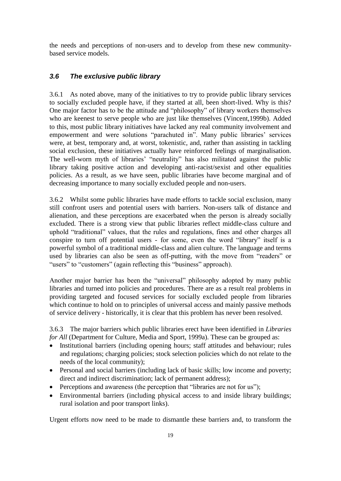the needs and perceptions of non-users and to develop from these new communitybased service models.

#### *3.6 The exclusive public library*

3.6.1 As noted above, many of the initiatives to try to provide public library services to socially excluded people have, if they started at all, been short-lived. Why is this? One major factor has to be the attitude and "philosophy" of library workers themselves who are keenest to serve people who are just like themselves (Vincent,1999b). Added to this, most public library initiatives have lacked any real community involvement and empowerment and were solutions "parachuted in". Many public libraries' services were, at best, temporary and, at worst, tokenistic, and, rather than assisting in tackling social exclusion, these initiatives actually have reinforced feelings of marginalisation. The well-worn myth of libraries' "neutrality" has also militated against the public library taking positive action and developing anti-racist/sexist and other equalities policies. As a result, as we have seen, public libraries have become marginal and of decreasing importance to many socially excluded people and non-users.

3.6.2 Whilst some public libraries have made efforts to tackle social exclusion, many still confront users and potential users with barriers. Non-users talk of distance and alienation, and these perceptions are exacerbated when the person is already socially excluded. There is a strong view that public libraries reflect middle-class culture and uphold "traditional" values, that the rules and regulations, fines and other charges all conspire to turn off potential users - for some, even the word "library" itself is a powerful symbol of a traditional middle-class and alien culture. The language and terms used by libraries can also be seen as off-putting, with the move from "readers" or "users" to "customers" (again reflecting this "business" approach).

Another major barrier has been the "universal" philosophy adopted by many public libraries and turned into policies and procedures. There are as a result real problems in providing targeted and focused services for socially excluded people from libraries which continue to hold on to principles of universal access and mainly passive methods of service delivery - historically, it is clear that this problem has never been resolved.

3.6.3 The major barriers which public libraries erect have been identified in *Libraries for All* (Department for Culture, Media and Sport, 1999a). These can be grouped as:

- Institutional barriers (including opening hours; staff attitudes and behaviour; rules and regulations; charging policies; stock selection policies which do not relate to the needs of the local community);
- Personal and social barriers (including lack of basic skills; low income and poverty; direct and indirect discrimination; lack of permanent address);
- Perceptions and awareness (the perception that "libraries are not for us");
- Environmental barriers (including physical access to and inside library buildings; rural isolation and poor transport links).

Urgent efforts now need to be made to dismantle these barriers and, to transform the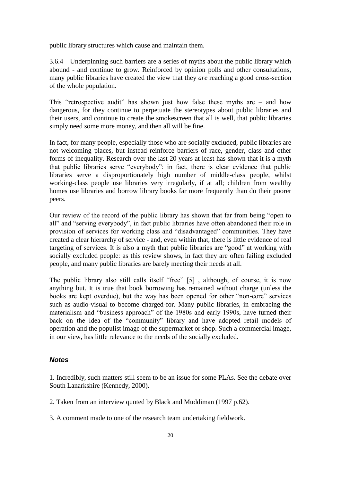public library structures which cause and maintain them.

3.6.4 Underpinning such barriers are a series of myths about the public library which abound - and continue to grow. Reinforced by opinion polls and other consultations, many public libraries have created the view that they *are* reaching a good cross-section of the whole population.

This "retrospective audit" has shown just how false these myths are – and how dangerous, for they continue to perpetuate the stereotypes about public libraries and their users, and continue to create the smokescreen that all is well, that public libraries simply need some more money, and then all will be fine.

In fact, for many people, especially those who are socially excluded, public libraries are not welcoming places, but instead reinforce barriers of race, gender, class and other forms of inequality. Research over the last 20 years at least has shown that it is a myth that public libraries serve "everybody": in fact, there is clear evidence that public libraries serve a disproportionately high number of middle-class people, whilst working-class people use libraries very irregularly, if at all; children from wealthy homes use libraries and borrow library books far more frequently than do their poorer peers.

Our review of the record of the public library has shown that far from being "open to all" and "serving everybody", in fact public libraries have often abandoned their role in provision of services for working class and "disadvantaged" communities. They have created a clear hierarchy of service - and, even within that, there is little evidence of real targeting of services. It is also a myth that public libraries are "good" at working with socially excluded people: as this review shows, in fact they are often failing excluded people, and many public libraries are barely meeting their needs at all.

The public library also still calls itself "free" [5] , although, of course, it is now anything but. It is true that book borrowing has remained without charge (unless the books are kept overdue), but the way has been opened for other "non-core" services such as audio-visual to become charged-for. Many public libraries, in embracing the materialism and "business approach" of the 1980s and early 1990s, have turned their back on the idea of the "community" library and have adopted retail models of operation and the populist image of the supermarket or shop. Such a commercial image, in our view, has little relevance to the needs of the socially excluded.

#### *Notes*

1. Incredibly, such matters still seem to be an issue for some PLAs. See the debate over South Lanarkshire (Kennedy, 2000).

2. Taken from an interview quoted by Black and Muddiman (1997 p.62).

3. A comment made to one of the research team undertaking fieldwork.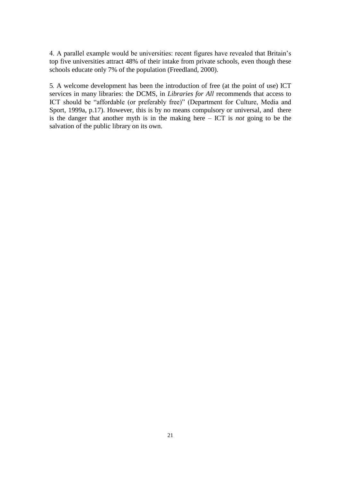4. A parallel example would be universities: recent figures have revealed that Britain's top five universities attract 48% of their intake from private schools, even though these schools educate only 7% of the population (Freedland, 2000).

5. A welcome development has been the introduction of free (at the point of use) ICT services in many libraries: the DCMS, in *Libraries for All* recommends that access to ICT should be "affordable (or preferably free)" (Department for Culture, Media and Sport, 1999a, p.17). However, this is by no means compulsory or universal, and there is the danger that another myth is in the making here – ICT is *not* going to be the salvation of the public library on its own.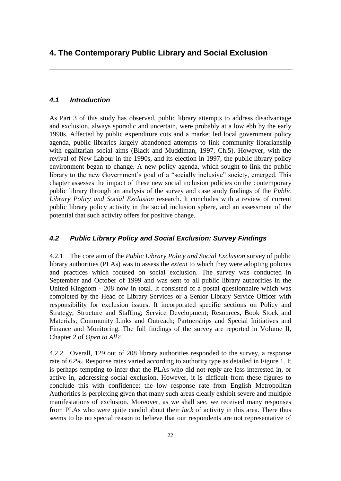#### *4.1 Introduction*

As Part 3 of this study has observed, public library attempts to address disadvantage and exclusion, always sporadic and uncertain, were probably at a low ebb by the early 1990s. Affected by public expenditure cuts and a market led local government policy agenda, public libraries largely abandoned attempts to link community librarianship with egalitarian social aims (Black and Muddiman, 1997, Ch.5). However, with the revival of New Labour in the 1990s, and its election in 1997, the public library policy environment began to change. A new policy agenda, which sought to link the public library to the new Government's goal of a "socially inclusive" society, emerged. This chapter assesses the impact of these new social inclusion policies on the contemporary public library through an analysis of the survey and case study findings of the *Public Library Policy and Social Exclusion* research. It concludes with a review of current public library policy activity in the social inclusion sphere, and an assessment of the potential that such activity offers for positive change.

#### *4.2 Public Library Policy and Social Exclusion: Survey Findings*

4.2.1 The core aim of the *Public Library Policy and Social Exclusion* survey of public library authorities (PLAs) was to assess the *extent* to which they were adopting policies and practices which focused on social exclusion. The survey was conducted in September and October of 1999 and was sent to all public library authorities in the United Kingdom - 208 now in total. It consisted of a postal questionnaire which was completed by the Head of Library Services or a Senior Library Service Officer with responsibility for exclusion issues. It incorporated specific sections on Policy and Strategy; Structure and Staffing; Service Development; Resources, Book Stock and Materials; Community Links and Outreach; Partnerships and Special Initiatives and Finance and Monitoring. The full findings of the survey are reported in Volume II, Chapter 2 of *Open to All?.*

4.2.2 Overall, 129 out of 208 library authorities responded to the survey, a response rate of 62%. Response rates varied according to authority type as detailed in Figure 1. It is perhaps tempting to infer that the PLAs who did not reply are less interested in, or active in, addressing social exclusion. However, it is difficult from these figures to conclude this with confidence: the low response rate from English Metropolitan Authorities is perplexing given that many such areas clearly exhibit severe and multiple manifestations of exclusion. Moreover, as we shall see, we received many responses from PLAs who were quite candid about their *lack* of activity in this area. There thus seems to be no special reason to believe that our respondents are not representative of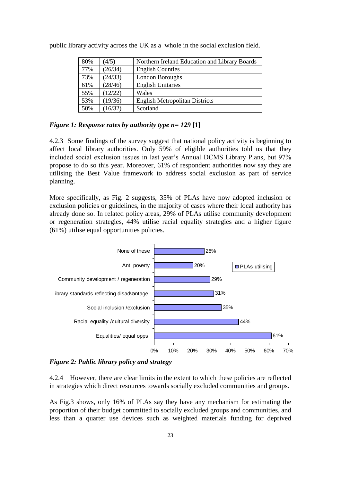| 80% | (4/5)   | Northern Ireland Education and Library Boards |
|-----|---------|-----------------------------------------------|
| 77% | (26/34) | <b>English Counties</b>                       |
| 73% | (24/33) | London Boroughs                               |
| 61% | (28/46) | <b>English Unitaries</b>                      |
| 55% | (12/22) | Wales                                         |
| 53% | (19/36) | <b>English Metropolitan Districts</b>         |
| 50% | (16/32) | Scotland                                      |

public library activity across the UK as a whole in the social exclusion field.

#### *Figure 1: Response rates by authority type n= 129* **[1]**

4.2.3 Some findings of the survey suggest that national policy activity is beginning to affect local library authorities. Only 59% of eligible authorities told us that they included social exclusion issues in last year's Annual DCMS Library Plans, but 97% propose to do so this year. Moreover, 61% of respondent authorities now say they are utilising the Best Value framework to address social exclusion as part of service planning.

More specifically, as Fig. 2 suggests, 35% of PLAs have now adopted inclusion or exclusion policies or guidelines, in the majority of cases where their local authority has already done so. In related policy areas, 29% of PLAs utilise community development or regeneration strategies, 44% utilise racial equality strategies and a higher figure (61%) utilise equal opportunities policies.



*Figure 2: Public library policy and strategy*

4.2.4 However, there are clear limits in the extent to which these policies are reflected in strategies which direct resources towards socially excluded communities and groups.

As Fig.3 shows, only 16% of PLAs say they have any mechanism for estimating the proportion of their budget committed to socially excluded groups and communities, and less than a quarter use devices such as weighted materials funding for deprived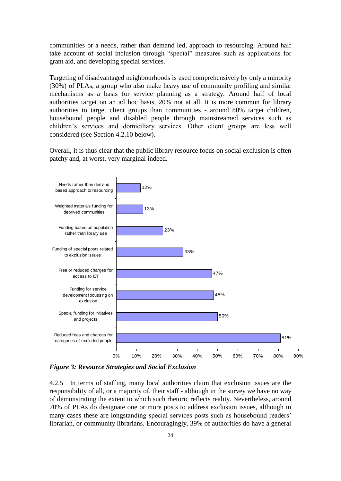communities or a needs, rather than demand led, approach to resourcing. Around half take account of social inclusion through "special" measures such as applications for grant aid, and developing special services.

Targeting of disadvantaged neighbourhoods is used comprehensively by only a minority (30%) of PLAs, a group who also make heavy use of community profiling and similar mechanisms as a basis for service planning as a strategy. Around half of local authorities target on an ad hoc basis, 20% not at all. It is more common for library authorities to target client groups than communities - around 80% target children, housebound people and disabled people through mainstreamed services such as children's services and domiciliary services. Other client groups are less well considered (see Section 4.2.10 below).

Overall, it is thus clear that the public library resource focus on social exclusion is often patchy and, at worst, very marginal indeed.



*Figure 3: Resource Strategies and Social Exclusion*

4.2.5 In terms of staffing, many local authorities claim that exclusion issues are the responsibility of all, or a majority of, their staff - although in the survey we have no way of demonstrating the extent to which such rhetoric reflects reality. Nevertheless, around 70% of PLAs do designate one or more posts to address exclusion issues, although in many cases these are longstanding special services posts such as housebound readers' librarian, or community librarians. Encouragingly, 39% of authorities do have a general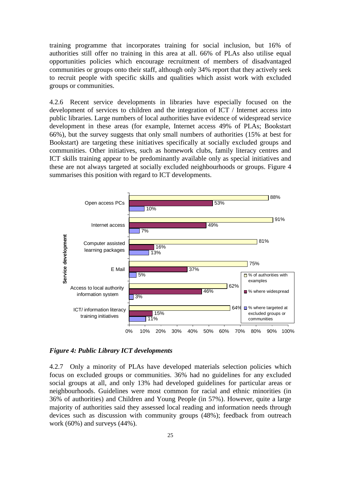training programme that incorporates training for social inclusion, but 16% of authorities still offer no training in this area at all. 66% of PLAs also utilise equal opportunities policies which encourage recruitment of members of disadvantaged communities or groups onto their staff, although only 34% report that they actively seek to recruit people with specific skills and qualities which assist work with excluded groups or communities.

4.2.6 Recent service developments in libraries have especially focused on the development of services to children and the integration of ICT / Internet access into public libraries. Large numbers of local authorities have evidence of widespread service development in these areas (for example, Internet access 49% of PLAs; Bookstart 66%), but the survey suggests that only small numbers of authorities (15% at best for Bookstart) are targeting these initiatives specifically at socially excluded groups and communities. Other initiatives, such as homework clubs, family literacy centres and ICT skills training appear to be predominantly available only as special initiatives and these are not always targeted at socially excluded neighbourhoods or groups. Figure 4 summarises this position with regard to ICT developments.



*Figure 4: Public Library ICT developments*

4.2.7 Only a minority of PLAs have developed materials selection policies which focus on excluded groups or communities. 36% had no guidelines for any excluded social groups at all, and only 13% had developed guidelines for particular areas or neighbourhoods. Guidelines were most common for racial and ethnic minorities (in 36% of authorities) and Children and Young People (in 57%). However, quite a large majority of authorities said they assessed local reading and information needs through devices such as discussion with community groups (48%); feedback from outreach work (60%) and surveys (44%).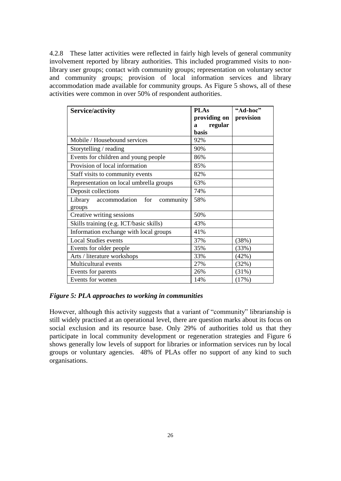4.2.8 These latter activities were reflected in fairly high levels of general community involvement reported by library authorities. This included programmed visits to nonlibrary user groups; contact with community groups; representation on voluntary sector and community groups; provision of local information services and library accommodation made available for community groups. As Figure 5 shows, all of these activities were common in over 50% of respondent authorities.

| Service/activity                          | <b>PLAs</b>              | "Ad-hoc" |
|-------------------------------------------|--------------------------|----------|
|                                           | providing on   provision |          |
|                                           | regular<br>a             |          |
|                                           | basis                    |          |
| Mobile / Housebound services              | 92%                      |          |
| Storytelling / reading                    | 90%                      |          |
| Events for children and young people      | 86%                      |          |
| Provision of local information            | 85%                      |          |
| Staff visits to community events          | 82%                      |          |
| Representation on local umbrella groups   | 63%                      |          |
| Deposit collections                       | 74%                      |          |
| accommodation for<br>Library<br>community | 58%                      |          |
| groups                                    |                          |          |
| Creative writing sessions                 | 50%                      |          |
| Skills training (e.g. ICT/basic skills)   | 43%                      |          |
| Information exchange with local groups    | 41%                      |          |
| <b>Local Studies events</b>               | 37%                      | (38%)    |
| Events for older people                   | 35%                      | (33%)    |
| Arts / literature workshops               | 33%                      | (42%)    |
| Multicultural events                      | 27%                      | (32%)    |
| Events for parents                        | 26%                      | (31%)    |
| Events for women                          | 14%                      | (17%)    |

#### *Figure 5: PLA approaches to working in communities*

However, although this activity suggests that a variant of "community" librarianship is still widely practised at an operational level, there are question marks about its focus on social exclusion and its resource base. Only 29% of authorities told us that they participate in local community development or regeneration strategies and Figure 6 shows generally low levels of support for libraries or information services run by local groups or voluntary agencies. 48% of PLAs offer no support of any kind to such organisations.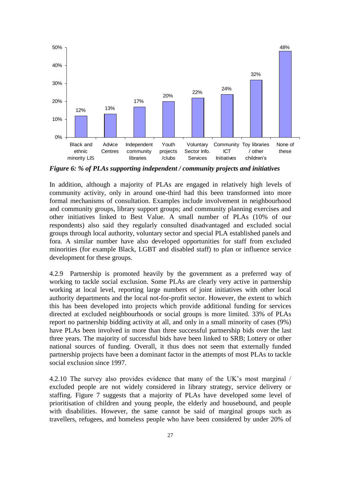

*Figure 6: % of PLAs supporting independent / community projects and initiatives*

In addition, although a majority of PLAs are engaged in relatively high levels of community activity, only in around one-third had this been transformed into more formal mechanisms of consultation. Examples include involvement in neighbourhood and community groups, library support groups; and community planning exercises and other initiatives linked to Best Value. A small number of PLAs (10% of our respondents) also said they regularly consulted disadvantaged and excluded social groups through local authority, voluntary sector and special PLA established panels and fora. A similar number have also developed opportunities for staff from excluded minorities (for example Black, LGBT and disabled staff) to plan or influence service development for these groups.

4.2.9 Partnership is promoted heavily by the government as a preferred way of working to tackle social exclusion. Some PLAs are clearly very active in partnership working at local level, reporting large numbers of joint initiatives with other local authority departments and the local not-for-profit sector. However, the extent to which this has been developed into projects which provide additional funding for services directed at excluded neighbourhoods or social groups is more limited. 33% of PLAs report no partnership bidding activity at all, and only in a small minority of cases (9%) have PLAs been involved in more than three successful partnership bids over the last three years. The majority of successful bids have been linked to SRB; Lottery or other national sources of funding. Overall, it thus does not seem that externally funded partnership projects have been a dominant factor in the attempts of most PLAs to tackle social exclusion since 1997.

4.2.10 The survey also provides evidence that many of the UK's most marginal / excluded people are not widely considered in library strategy, service delivery or staffing. Figure 7 suggests that a majority of PLAs have developed some level of prioritisation of children and young people, the elderly and housebound, and people with disabilities. However, the same cannot be said of marginal groups such as travellers, refugees, and homeless people who have been considered by under 20% of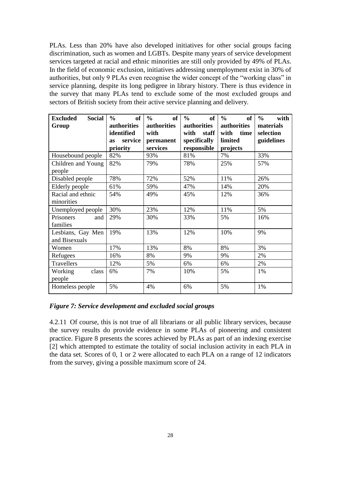PLAs. Less than 20% have also developed initiatives for other social groups facing discrimination, such as women and LGBTs. Despite many years of service development services targeted at racial and ethnic minorities are still only provided by 49% of PLAs. In the field of economic exclusion, initiatives addressing unemployment exist in 30% of authorities, but only 9 PLAs even recognise the wider concept of the "working class" in service planning, despite its long pedigree in library history. There is thus evidence in the survey that many PLAs tend to exclude some of the most excluded groups and sectors of British society from their active service planning and delivery.

| <b>Excluded</b><br><b>Social</b><br>Group | $\frac{6}{6}$<br>of<br>authorities<br>identified | $\frac{0}{0}$<br><b>of</b><br>authorities<br>with | <b>of</b><br>$\frac{6}{9}$<br>authorities<br>with<br>staff | $\frac{6}{6}$<br><b>of</b><br>authorities<br>with<br>time | $\frac{6}{6}$<br>with<br>materials<br>selection |
|-------------------------------------------|--------------------------------------------------|---------------------------------------------------|------------------------------------------------------------|-----------------------------------------------------------|-------------------------------------------------|
|                                           | service<br>as                                    | permanent                                         | specifically                                               | limited                                                   | guidelines                                      |
|                                           | priority                                         | services                                          | responsible                                                | projects                                                  |                                                 |
| Housebound people                         | 82%                                              | 93%                                               | 81%                                                        | 7%                                                        | 33%                                             |
| Children and Young                        | 82%                                              | 79%                                               | 78%                                                        | 25%                                                       | 57%                                             |
| people                                    |                                                  |                                                   |                                                            |                                                           |                                                 |
| Disabled people                           | 78%                                              | 72%                                               | 52%                                                        | 11%                                                       | 26%                                             |
| Elderly people                            | 61%                                              | 59%                                               | 47%                                                        | 14%                                                       | 20%                                             |
| Racial and ethnic                         | 54%                                              | 49%                                               | 45%                                                        | 12%                                                       | 36%                                             |
| minorities                                |                                                  |                                                   |                                                            |                                                           |                                                 |
| Unemployed people                         | 30%                                              | 23%                                               | 12%                                                        | 11%                                                       | 5%                                              |
| Prisoners<br>and                          | 29%                                              | 30%                                               | 33%                                                        | 5%                                                        | 16%                                             |
| families                                  |                                                  |                                                   |                                                            |                                                           |                                                 |
| Lesbians, Gay Men                         | 19%                                              | 13%                                               | 12%                                                        | 10%                                                       | 9%                                              |
| and Bisexuals                             |                                                  |                                                   |                                                            |                                                           |                                                 |
| Women                                     | 17%                                              | 13%                                               | 8%                                                         | 8%                                                        | 3%                                              |
| Refugees                                  | 16%                                              | 8%                                                | 9%                                                         | 9%                                                        | 2%                                              |
| Travellers                                | 12%                                              | 5%                                                | 6%                                                         | 6%                                                        | 2%                                              |
| Working<br>class                          | 6%                                               | 7%                                                | 10%                                                        | 5%                                                        | 1%                                              |
| people                                    |                                                  |                                                   |                                                            |                                                           |                                                 |
| Homeless people                           | 5%                                               | 4%                                                | 6%                                                         | 5%                                                        | 1%                                              |

#### *Figure 7: Service development and excluded social groups*

4.2.11 Of course, this is not true of all librarians or all public library services, because the survey results do provide evidence in some PLAs of pioneering and consistent practice. Figure 8 presents the scores achieved by PLAs as part of an indexing exercise [2] which attempted to estimate the totality of social inclusion activity in each PLA in the data set. Scores of 0, 1 or 2 were allocated to each PLA on a range of 12 indicators from the survey, giving a possible maximum score of 24.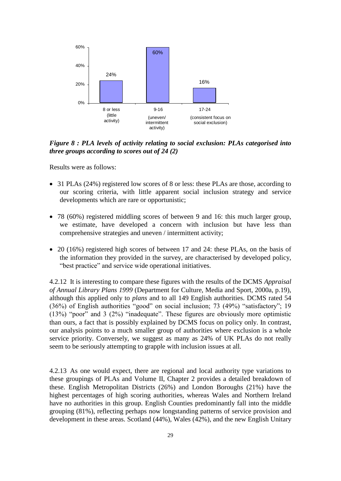

*Figure 8 : PLA levels of activity relating to social exclusion: PLAs categorised into three groups according to scores out of 24 (2)*

Results were as follows:

- 31 PLAs (24%) registered low scores of 8 or less: these PLAs are those, according to our scoring criteria, with little apparent social inclusion strategy and service developments which are rare or opportunistic;
- 78 (60%) registered middling scores of between 9 and 16: this much larger group, we estimate, have developed a concern with inclusion but have less than comprehensive strategies and uneven / intermittent activity;
- 20 (16%) registered high scores of between 17 and 24: these PLAs, on the basis of the information they provided in the survey, are characterised by developed policy, "best practice" and service wide operational initiatives.

4.2.12 It is interesting to compare these figures with the results of the DCMS *Appraisal of Annual Library Plans 1999* (Department for Culture, Media and Sport, 2000a, p.19), although this applied only to *plans* and to all 149 English authorities. DCMS rated 54 (36%) of English authorities "good" on social inclusion; 73 (49%) "satisfactory"; 19 (13%) "poor" and 3 (2%) "inadequate". These figures are obviously more optimistic than ours, a fact that is possibly explained by DCMS focus on policy only. In contrast, our analysis points to a much smaller group of authorities where exclusion is a whole service priority. Conversely, we suggest as many as 24% of UK PLAs do not really seem to be seriously attempting to grapple with inclusion issues at all.

4.2.13 As one would expect, there are regional and local authority type variations to these groupings of PLAs and Volume II, Chapter 2 provides a detailed breakdown of these. English Metropolitan Districts (26%) and London Boroughs (21%) have the highest percentages of high scoring authorities, whereas Wales and Northern Ireland have no authorities in this group. English Counties predominantly fall into the middle grouping (81%), reflecting perhaps now longstanding patterns of service provision and development in these areas. Scotland (44%), Wales (42%), and the new English Unitary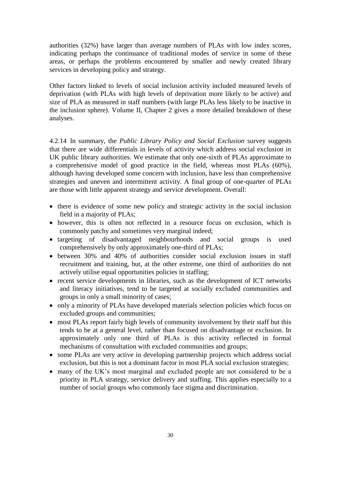authorities (32%) have larger than average numbers of PLAs with low index scores, indicating perhaps the continuance of traditional modes of service in some of these areas, or perhaps the problems encountered by smaller and newly created library services in developing policy and strategy.

Other factors linked to levels of social inclusion activity included measured levels of deprivation (with PLAs with high levels of deprivation more likely to be active) and size of PLA as measured in staff numbers (with large PLAs less likely to be inactive in the inclusion sphere). Volume II, Chapter 2 gives a more detailed breakdown of these analyses.

4.2.14 In summary, the *Public Library Policy and Social Exclusion* survey suggests that there are wide differentials in levels of activity which address social exclusion in UK public library authorities. We estimate that only one-sixth of PLAs approximate to a comprehensive model of good practice in the field, whereas most PLAs (60%), although having developed some concern with inclusion, have less than comprehensive strategies and uneven and intermittent activity. A final group of one-quarter of PLAs are those with little apparent strategy and service development. Overall:

- there is evidence of some new policy and strategic activity in the social inclusion field in a majority of PLAs;
- however, this is often not reflected in a resource focus on exclusion, which is commonly patchy and sometimes very marginal indeed;
- targeting of disadvantaged neighbourhoods and social groups is used comprehensively by only approximately one-third of PLAs;
- between 30% and 40% of authorities consider social exclusion issues in staff recruitment and training, but, at the other extreme, one third of authorities do not actively utilise equal opportunities policies in staffing;
- recent service developments in libraries, such as the development of ICT networks and literacy initiatives, tend to be targeted at socially excluded communities and groups in only a small minority of cases;
- only a minority of PLAs have developed materials selection policies which focus on excluded groups and communities;
- most PLAs report fairly high levels of community involvement by their staff but this tends to be at a general level, rather than focused on disadvantage or exclusion. In approximately only one third of PLAs is this activity reflected in formal mechanisms of consultation with excluded communities and groups;
- some PLAs are very active in developing partnership projects which address social exclusion, but this is not a dominant factor in most PLA social exclusion strategies;
- many of the UK's most marginal and excluded people are not considered to be a priority in PLA strategy, service delivery and staffing. This applies especially to a number of social groups who commonly face stigma and discrimination.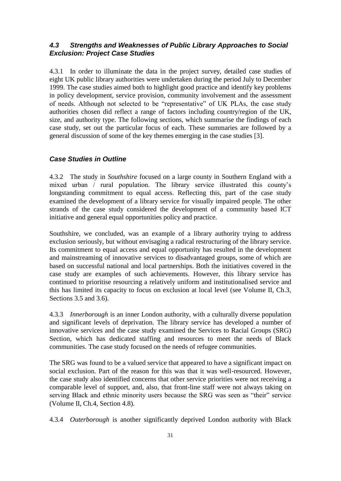### *4.3 Strengths and Weaknesses of Public Library Approaches to Social Exclusion: Project Case Studies*

4.3.1 In order to illuminate the data in the project survey, detailed case studies of eight UK public library authorities were undertaken during the period July to December 1999. The case studies aimed both to highlight good practice and identify key problems in policy development, service provision, community involvement and the assessment of needs. Although not selected to be "representative" of UK PLAs, the case study authorities chosen did reflect a range of factors including country/region of the UK, size, and authority type. The following sections, which summarise the findings of each case study, set out the particular focus of each. These summaries are followed by a general discussion of some of the key themes emerging in the case studies [3].

#### *Case Studies in Outline*

4.3.2 The study in *Southshire* focused on a large county in Southern England with a mixed urban / rural population. The library service illustrated this county's longstanding commitment to equal access. Reflecting this, part of the case study examined the development of a library service for visually impaired people. The other strands of the case study considered the development of a community based ICT initiative and general equal opportunities policy and practice.

Southshire, we concluded, was an example of a library authority trying to address exclusion seriously, but without envisaging a radical restructuring of the library service. Its commitment to equal access and equal opportunity has resulted in the development and mainstreaming of innovative services to disadvantaged groups, some of which are based on successful national and local partnerships. Both the initiatives covered in the case study are examples of such achievements. However, this library service has continued to prioritise resourcing a relatively uniform and institutionalised service and this has limited its capacity to focus on exclusion at local level (see Volume II, Ch.3, Sections 3.5 and 3.6).

4.3.3 *Innerborough* is an inner London authority, with a culturally diverse population and significant levels of deprivation. The library service has developed a number of innovative services and the case study examined the Services to Racial Groups (SRG) Section, which has dedicated staffing and resources to meet the needs of Black communities. The case study focused on the needs of refugee communities.

The SRG was found to be a valued service that appeared to have a significant impact on social exclusion. Part of the reason for this was that it was well-resourced. However, the case study also identified concerns that other service priorities were not receiving a comparable level of support, and, also, that front-line staff were not always taking on serving Black and ethnic minority users because the SRG was seen as "their" service (Volume II, Ch.4, Section 4.8).

4.3.4 *Outerborough* is another significantly deprived London authority with Black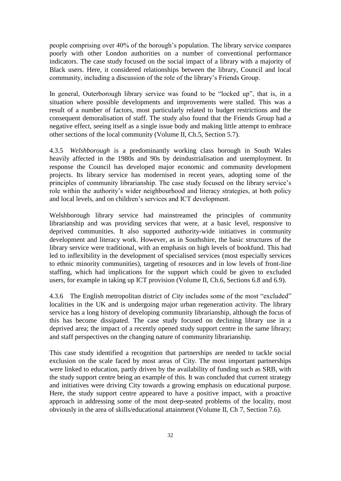people comprising over 40% of the borough's population. The library service compares poorly with other London authorities on a number of conventional performance indicators. The case study focused on the social impact of a library with a majority of Black users. Here, it considered relationships between the library, Council and local community, including a discussion of the role of the library's Friends Group.

In general, Outerborough library service was found to be "locked up", that is, in a situation where possible developments and improvements were stalled. This was a result of a number of factors, most particularly related to budget restrictions and the consequent demoralisation of staff. The study also found that the Friends Group had a negative effect, seeing itself as a single issue body and making little attempt to embrace other sections of the local community (Volume II, Ch.5, Section 5.7).

4.3.5 *Welshborough* is a predominantly working class borough in South Wales heavily affected in the 1980s and 90s by deindustrialisation and unemployment. In response the Council has developed major economic and community development projects. Its library service has modernised in recent years, adopting some of the principles of community librarianship. The case study focused on the library service's role within the authority's wider neighbourhood and literacy strategies, at both policy and local levels, and on children's services and ICT development.

Welshborough library service had mainstreamed the principles of community librarianship and was providing services that were, at a basic level, responsive to deprived communities. It also supported authority-wide initiatives in community development and literacy work. However, as in Southshire, the basic structures of the library service were traditional, with an emphasis on high levels of bookfund. This had led to inflexibility in the development of specialised services (most especially services to ethnic minority communities), targeting of resources and in low levels of front-line staffing, which had implications for the support which could be given to excluded users, for example in taking up ICT provision (Volume II, Ch.6, Sections 6.8 and 6.9).

4.3.6 The English metropolitan district of *City* includes some of the most "excluded" localities in the UK and is undergoing major urban regeneration activity. The library service has a long history of developing community librarianship, although the focus of this has become dissipated. The case study focused on declining library use in a deprived area; the impact of a recently opened study support centre in the same library; and staff perspectives on the changing nature of community librarianship.

This case study identified a recognition that partnerships are needed to tackle social exclusion on the scale faced by most areas of City. The most important partnerships were linked to education, partly driven by the availability of funding such as SRB, with the study support centre being an example of this. It was concluded that current strategy and initiatives were driving City towards a growing emphasis on educational purpose. Here, the study support centre appeared to have a positive impact, with a proactive approach in addressing some of the most deep-seated problems of the locality, most obviously in the area of skills/educational attainment (Volume II, Ch 7, Section 7.6).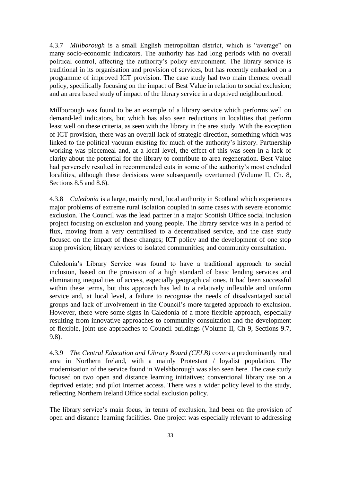4.3.7 *Millborough* is a small English metropolitan district, which is "average" on many socio-economic indicators. The authority has had long periods with no overall political control, affecting the authority's policy environment. The library service is traditional in its organisation and provision of services, but has recently embarked on a programme of improved ICT provision. The case study had two main themes: overall policy, specifically focusing on the impact of Best Value in relation to social exclusion; and an area based study of impact of the library service in a deprived neighbourhood.

Millborough was found to be an example of a library service which performs well on demand-led indicators, but which has also seen reductions in localities that perform least well on these criteria, as seen with the library in the area study. With the exception of ICT provision, there was an overall lack of strategic direction, something which was linked to the political vacuum existing for much of the authority's history. Partnership working was piecemeal and, at a local level, the effect of this was seen in a lack of clarity about the potential for the library to contribute to area regeneration. Best Value had perversely resulted in recommended cuts in some of the authority's most excluded localities, although these decisions were subsequently overturned (Volume II, Ch. 8, Sections 8.5 and 8.6).

4.3.8 *Caledonia* is a large, mainly rural, local authority in Scotland which experiences major problems of extreme rural isolation coupled in some cases with severe economic exclusion. The Council was the lead partner in a major Scottish Office social inclusion project focusing on exclusion and young people. The library service was in a period of flux, moving from a very centralised to a decentralised service, and the case study focused on the impact of these changes; ICT policy and the development of one stop shop provision; library services to isolated communities; and community consultation.

Caledonia's Library Service was found to have a traditional approach to social inclusion, based on the provision of a high standard of basic lending services and eliminating inequalities of access, especially geographical ones. It had been successful within these terms, but this approach has led to a relatively inflexible and uniform service and, at local level, a failure to recognise the needs of disadvantaged social groups and lack of involvement in the Council's more targeted approach to exclusion. However, there were some signs in Caledonia of a more flexible approach, especially resulting from innovative approaches to community consultation and the development of flexible, joint use approaches to Council buildings (Volume II, Ch 9, Sections 9.7, 9.8).

4.3.9 *The Central Education and Library Board (CELB)* covers a predominantly rural area in Northern Ireland, with a mainly Protestant / loyalist population. The modernisation of the service found in Welshborough was also seen here. The case study focused on two open and distance learning initiatives; conventional library use on a deprived estate; and pilot Internet access. There was a wider policy level to the study, reflecting Northern Ireland Office social exclusion policy.

The library service's main focus, in terms of exclusion, had been on the provision of open and distance learning facilities. One project was especially relevant to addressing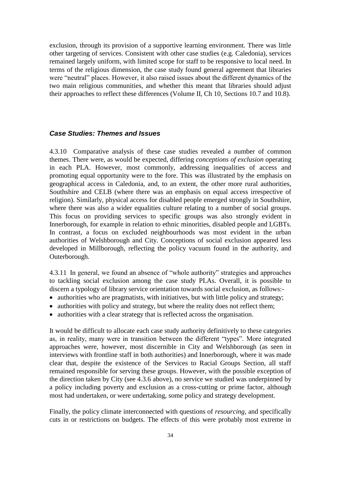exclusion, through its provision of a supportive learning environment. There was little other targeting of services. Consistent with other case studies (e.g. Caledonia), services remained largely uniform, with limited scope for staff to be responsive to local need. In terms of the religious dimension, the case study found general agreement that libraries were "neutral" places. However, it also raised issues about the different dynamics of the two main religious communities, and whether this meant that libraries should adjust their approaches to reflect these differences (Volume II, Ch 10, Sections 10.7 and 10.8).

#### *Case Studies: Themes and Issues*

4.3.10 Comparative analysis of these case studies revealed a number of common themes. There were, as would be expected, differing *conceptions of exclusion* operating in each PLA. However, most commonly, addressing inequalities of access and promoting equal opportunity were to the fore. This was illustrated by the emphasis on geographical access in Caledonia, and, to an extent, the other more rural authorities, Southshire and CELB (where there was an emphasis on equal access irrespective of religion). Similarly, physical access for disabled people emerged strongly in Southshire, where there was also a wider equalities culture relating to a number of social groups. This focus on providing services to specific groups was also strongly evident in Innerborough, for example in relation to ethnic minorities, disabled people and LGBTs. In contrast, a focus on excluded neighbourhoods was most evident in the urban authorities of Welshborough and City. Conceptions of social exclusion appeared less developed in Millborough, reflecting the policy vacuum found in the authority, and Outerborough.

4.3.11 In general, we found an absence of "whole authority" strategies and approaches to tackling social exclusion among the case study PLAs. Overall, it is possible to discern a typology of library service orientation towards social exclusion, as follows:-

- authorities who are pragmatists, with initiatives, but with little policy and strategy;
- authorities with policy and strategy, but where the reality does not reflect them;
- authorities with a clear strategy that is reflected across the organisation.

It would be difficult to allocate each case study authority definitively to these categories as, in reality, many were in transition between the different "types". More integrated approaches were, however, most discernible in City and Welshborough (as seen in interviews with frontline staff in both authorities) and Innerborough, where it was made clear that, despite the existence of the Services to Racial Groups Section, all staff remained responsible for serving these groups. However, with the possible exception of the direction taken by City (see 4.3.6 above), no service we studied was underpinned by a policy including poverty and exclusion as a cross-cutting or prime factor, although most had undertaken, or were undertaking, some policy and strategy development.

Finally, the policy climate interconnected with questions of *resourcing*, and specifically cuts in or restrictions on budgets. The effects of this were probably most extreme in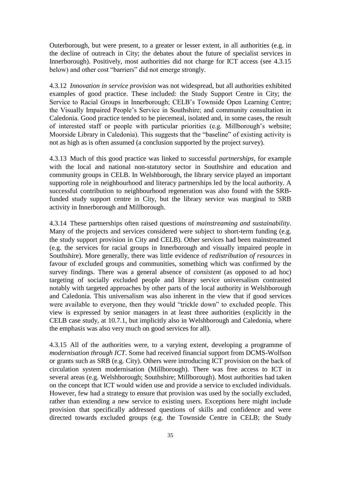Outerborough, but were present, to a greater or lesser extent, in all authorities (e.g. in the decline of outreach in City; the debates about the future of specialist services in Innerborough). Positively, most authorities did not charge for ICT access (see 4.3.15 below) and other cost "barriers" did not emerge strongly.

4.3.12 *Innovation in service provision* was not widespread, but all authorities exhibited examples of good practice. These included: the Study Support Centre in City; the Service to Racial Groups in Innerborough; CELB's Townside Open Learning Centre; the Visually Impaired People's Service in Southshire; and community consultation in Caledonia. Good practice tended to be piecemeal, isolated and, in some cases, the result of interested staff or people with particular priorities (e.g. Millborough's website; Moorside Library in Caledonia). This suggests that the "baseline" of existing activity is not as high as is often assumed (a conclusion supported by the project survey).

4.3.13 Much of this good practice was linked to successful *partnerships*, for example with the local and national non-statutory sector in Southshire and education and community groups in CELB. In Welshborough, the library service played an important supporting role in neighbourhood and literacy partnerships led by the local authority. A successful contribution to neighbourhood regeneration was also found with the SRBfunded study support centre in City, but the library service was marginal to SRB activity in Innerborough and Millborough.

4.3.14 These partnerships often raised questions of *mainstreaming and sustainability*. Many of the projects and services considered were subject to short-term funding (e.g. the study support provision in City and CELB). Other services had been mainstreamed (e.g. the services for racial groups in Innerborough and visually impaired people in Southshire). More generally, there was little evidence of *redistribution of resources* in favour of excluded groups and communities, something which was confirmed by the survey findings. There was a general absence of *consistent* (as opposed to ad hoc) targeting of socially excluded people and library service universalism contrasted notably with targeted approaches by other parts of the local authority in Welshborough and Caledonia. This universalism was also inherent in the view that if good services were available to everyone, then they would "trickle down" to excluded people. This view is expressed by senior managers in at least three authorities (explicitly in the CELB case study, at 10.7.1, but implicitly also in Welshborough and Caledonia, where the emphasis was also very much on good services for all).

4.3.15 All of the authorities were, to a varying extent, developing a programme of *modernisation through ICT*. Some had received financial support from DCMS-Wolfson or grants such as SRB (e.g. City). Others were introducing ICT provision on the back of circulation system modernisation (Millborough). There was free access to ICT in several areas (e.g. Welshborough; Southshire; Millborough). Most authorities had taken on the concept that ICT would widen use and provide a service to excluded individuals. However, few had a strategy to ensure that provision was used by the socially excluded, rather than extending a new service to existing users. Exceptions here might include provision that specifically addressed questions of skills and confidence and were directed towards excluded groups (e.g. the Townside Centre in CELB; the Study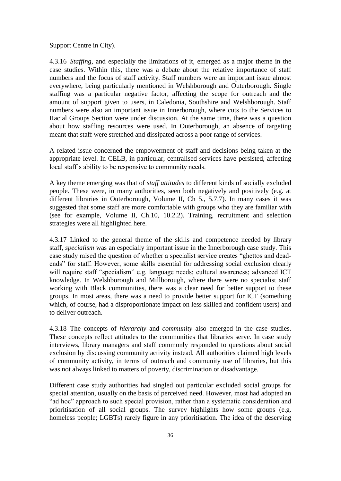Support Centre in City).

4.3.16 *Staffing*, and especially the limitations of it, emerged as a major theme in the case studies. Within this, there was a debate about the relative importance of staff numbers and the focus of staff activity. Staff numbers were an important issue almost everywhere, being particularly mentioned in Welshborough and Outerborough. Single staffing was a particular negative factor, affecting the scope for outreach and the amount of support given to users, in Caledonia, Southshire and Welshborough. Staff numbers were also an important issue in Innerborough, where cuts to the Services to Racial Groups Section were under discussion. At the same time, there was a question about how staffing resources were used. In Outerborough, an absence of targeting meant that staff were stretched and dissipated across a poor range of services.

A related issue concerned the empowerment of staff and decisions being taken at the appropriate level. In CELB, in particular, centralised services have persisted, affecting local staff's ability to be responsive to community needs.

A key theme emerging was that of *staff attitudes* to different kinds of socially excluded people. These were, in many authorities, seen both negatively and positively (e.g. at different libraries in Outerborough, Volume II, Ch 5., 5.7.7). In many cases it was suggested that some staff are more comfortable with groups who they are familiar with (see for example, Volume II, Ch.10, 10.2.2). Training, recruitment and selection strategies were all highlighted here.

4.3.17 Linked to the general theme of the skills and competence needed by library staff, *specialism* was an especially important issue in the Innerborough case study. This case study raised the question of whether a specialist service creates "ghettos and deadends" for staff. However, some skills essential for addressing social exclusion clearly will require staff "specialism" e.g. language needs; cultural awareness; advanced ICT knowledge. In Welshborough and Millborough, where there were no specialist staff working with Black communities, there was a clear need for better support to these groups. In most areas, there was a need to provide better support for ICT (something which, of course, had a disproportionate impact on less skilled and confident users) and to deliver outreach.

4.3.18 The concepts of *hierarchy* and *community* also emerged in the case studies. These concepts reflect attitudes to the communities that libraries serve. In case study interviews, library managers and staff commonly responded to questions about social exclusion by discussing community activity instead. All authorities claimed high levels of community activity, in terms of outreach and community use of libraries, but this was not always linked to matters of poverty, discrimination or disadvantage.

Different case study authorities had singled out particular excluded social groups for special attention, usually on the basis of perceived need. However, most had adopted an "ad hoc" approach to such special provision, rather than a systematic consideration and prioritisation of all social groups. The survey highlights how some groups (e.g. homeless people; LGBTs) rarely figure in any prioritisation. The idea of the deserving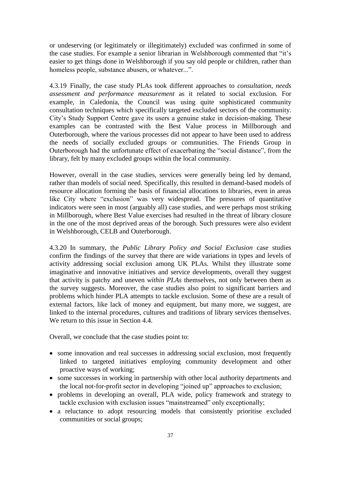or undeserving (or legitimately or illegitimately) excluded was confirmed in some of the case studies. For example a senior librarian in Welshborough commented that "it's easier to get things done in Welshborough if you say old people or children, rather than homeless people, substance abusers, or whatever...".

4.3.19 Finally, the case study PLAs took different approaches to *consultation, needs assessment and performance measurement* as it related to social exclusion. For example, in Caledonia, the Council was using quite sophisticated community consultation techniques which specifically targeted excluded sectors of the community. City's Study Support Centre gave its users a genuine stake in decision-making. These examples can be contrasted with the Best Value process in Millborough and Outerborough, where the various processes did not appear to have been used to address the needs of socially excluded groups or communities. The Friends Group in Outerborough had the unfortunate effect of exacerbating the "social distance", from the library, felt by many excluded groups within the local community.

However, overall in the case studies, services were generally being led by demand, rather than models of social need. Specifically, this resulted in demand-based models of resource allocation forming the basis of financial allocations to libraries, even in areas like City where "exclusion" was very widespread. The pressures of quantitative indicators were seen in most (arguably all) case studies, and were perhaps most striking in Millborough, where Best Value exercises had resulted in the threat of library closure in the one of the most deprived areas of the borough. Such pressures were also evident in Welshborough, CELB and Outerborough.

4.3.20 In summary, the *Public Library Policy and Social Exclusion* case studies confirm the findings of the survey that there are wide variations in types and levels of activity addressing social exclusion among UK PLAs. Whilst they illustrate some imaginative and innovative initiatives and service developments, overall they suggest that activity is patchy and uneven *within PLAs* themselves, not only between them as the survey suggests. Moreover, the case studies also point to significant barriers and problems which hinder PLA attempts to tackle exclusion. Some of these are a result of external factors, like lack of money and equipment, but many more, we suggest, are linked to the internal procedures, cultures and traditions of library services themselves. We return to this issue in Section 4.4.

Overall, we conclude that the case studies point to:

- some innovation and real successes in addressing social exclusion, most frequently linked to targeted initiatives employing community development and other proactive ways of working;
- some successes in working in partnership with other local authority departments and the local not-for-profit sector in developing "joined up" approaches to exclusion;
- problems in developing an overall, PLA wide, policy framework and strategy to tackle exclusion with exclusion issues "mainstreamed" only exceptionally;
- a reluctance to adopt resourcing models that consistently prioritise excluded communities or social groups;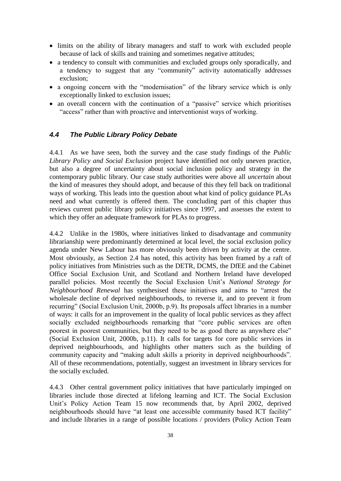- limits on the ability of library managers and staff to work with excluded people because of lack of skills and training and sometimes negative attitudes;
- a tendency to consult with communities and excluded groups only sporadically, and a tendency to suggest that any "community" activity automatically addresses exclusion;
- a ongoing concern with the "modernisation" of the library service which is only exceptionally linked to exclusion issues;
- an overall concern with the continuation of a "passive" service which prioritises "access" rather than with proactive and interventionist ways of working.

### *4.4 The Public Library Policy Debate*

4.4.1 As we have seen, both the survey and the case study findings of the *Public Library Policy and Social Exclusion* project have identified not only uneven practice, but also a degree of uncertainty about social inclusion policy and strategy in the contemporary public library. Our case study authorities were above all *uncertain* about the kind of measures they should adopt, and because of this they fell back on traditional ways of working. This leads into the question about what kind of policy guidance PLAs need and what currently is offered them. The concluding part of this chapter thus reviews current public library policy initiatives since 1997, and assesses the extent to which they offer an adequate framework for PLAs to progress.

4.4.2 Unlike in the 1980s, where initiatives linked to disadvantage and community librarianship were predominantly determined at local level, the social exclusion policy agenda under New Labour has more obviously been driven by activity at the centre. Most obviously, as Section 2.4 has noted, this activity has been framed by a raft of policy initiatives from Ministries such as the DETR, DCMS, the DfEE and the Cabinet Office Social Exclusion Unit, and Scotland and Northern Ireland have developed parallel policies. Most recently the Social Exclusion Unit's *National Strategy for Neighbourhood Renewal* has synthesised these initiatives and aims to "arrest the wholesale decline of deprived neighbourhoods, to reverse it, and to prevent it from recurring" (Social Exclusion Unit, 2000b, p.9). Its proposals affect libraries in a number of ways: it calls for an improvement in the quality of local public services as they affect socially excluded neighbourhoods remarking that "core public services are often poorest in poorest communities, but they need to be as good there as anywhere else" (Social Exclusion Unit, 2000b, p.11). It calls for targets for core public services in deprived neighbourhoods, and highlights other matters such as the building of community capacity and "making adult skills a priority in deprived neighbourhoods". All of these recommendations, potentially, suggest an investment in library services for the socially excluded.

4.4.3 Other central government policy initiatives that have particularly impinged on libraries include those directed at lifelong learning and ICT. The Social Exclusion Unit's Policy Action Team 15 now recommends that, by April 2002, deprived neighbourhoods should have "at least one accessible community based ICT facility" and include libraries in a range of possible locations / providers (Policy Action Team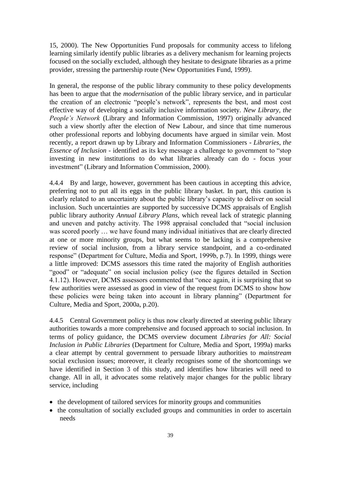15, 2000). The New Opportunities Fund proposals for community access to lifelong learning similarly identify public libraries as a delivery mechanism for learning projects focused on the socially excluded, although they hesitate to designate libraries as a prime provider, stressing the partnership route (New Opportunities Fund, 1999).

In general, the response of the public library community to these policy developments has been to argue that the *modernisation* of the public library service, and in particular the creation of an electronic "people's network", represents the best, and most cost effective way of developing a socially inclusive information society. *New Library, the People's Network* (Library and Information Commission, 1997) originally advanced such a view shortly after the election of New Labour, and since that time numerous other professional reports and lobbying documents have argued in similar vein. Most recently, a report drawn up by Library and Information Commissioners - *Libraries, the Essence of Inclusion* - identified as its key message a challenge to government to "stop" investing in new institutions to do what libraries already can do - focus your investment" (Library and Information Commission, 2000).

4.4.4 By and large, however, government has been cautious in accepting this advice, preferring not to put all its eggs in the public library basket. In part, this caution is clearly related to an uncertainty about the public library's capacity to deliver on social inclusion. Such uncertainties are supported by successive DCMS appraisals of English public library authority *Annual Library Plans,* which reveal lack of strategic planning and uneven and patchy activity. The 1998 appraisal concluded that "social inclusion was scored poorly … we have found many individual initiatives that are clearly directed at one or more minority groups, but what seems to be lacking is a comprehensive review of social inclusion, from a library service standpoint, and a co-ordinated response" (Department for Culture, Media and Sport, 1999b, p.7). In 1999, things were a little improved: DCMS assessors this time rated the majority of English authorities "good" or "adequate" on social inclusion policy (see the figures detailed in Section 4.1.12). However, DCMS assessors commented that "once again, it is surprising that so few authorities were assessed as good in view of the request from DCMS to show how these policies were being taken into account in library planning" (Department for Culture, Media and Sport, 2000a, p.20).

4.4.5 Central Government policy is thus now clearly directed at steering public library authorities towards a more comprehensive and focused approach to social inclusion. In terms of policy guidance, the DCMS overview document *Libraries for All: Social Inclusion in Public Libraries* (Department for Culture, Media and Sport, 1999a) marks a clear attempt by central government to persuade library authorities to *mainstream* social exclusion issues; moreover, it clearly recognises some of the shortcomings we have identified in Section 3 of this study, and identifies how libraries will need to change. All in all, it advocates some relatively major changes for the public library service, including

- the development of tailored services for minority groups and communities
- the consultation of socially excluded groups and communities in order to ascertain needs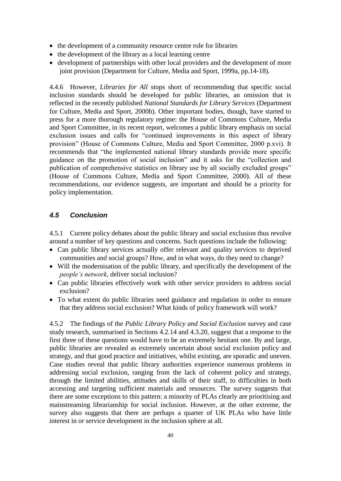- the development of a community resource centre role for libraries
- the development of the library as a local learning centre
- development of partnerships with other local providers and the development of more joint provision (Department for Culture, Media and Sport, 1999a, pp.14-18).

4.4.6 However, *Libraries for All* stops short of recommending that specific social inclusion standards should be developed for public libraries, an omission that is reflected in the recently published *National Standards for Library Services* (Department for Culture, Media and Sport, 2000b). Other important bodies, though, have started to press for a more thorough regulatory regime: the House of Commons Culture, Media and Sport Committee, in its recent report, welcomes a public library emphasis on social exclusion issues and calls for "continued improvements in this aspect of library provision" (House of Commons Culture, Media and Sport Committee, 2000 p.xvi). It recommends that "the implemented national library standards provide more specific guidance on the promotion of social inclusion" and it asks for the "collection and publication of comprehensive statistics on library use by all socially excluded groups" (House of Commons Culture, Media and Sport Committee, 2000). All of these recommendations, our evidence suggests, are important and should be a priority for policy implementation.

#### *4.5 Conclusion*

4.5.1 Current policy debates about the public library and social exclusion thus revolve around a number of key questions and concerns. Such questions include the following:

- Can public library services actually offer relevant and quality services to deprived communities and social groups? How, and in what ways, do they need to change?
- Will the modernisation of the public library, and specifically the development of the *people's network*, deliver social inclusion?
- Can public libraries effectively work with other service providers to address social exclusion?
- To what extent do public libraries need guidance and regulation in order to ensure that they address social exclusion? What kinds of policy framework will work?

4.5.2 The findings of the *Public Library Policy and Social Exclusion* survey and case study research, summarised in Sections 4.2.14 and 4.3.20, suggest that a response to the first three of these questions would have to be an extremely hesitant one. By and large, public libraries are revealed as extremely uncertain about social exclusion policy and strategy, and that good practice and initiatives, whilst existing, are sporadic and uneven. Case studies reveal that public library authorities experience numerous problems in addressing social exclusion, ranging from the lack of coherent policy and strategy, through the limited abilities, attitudes and skills of their staff, to difficulties in both accessing and targeting sufficient materials and resources. The survey suggests that there are some exceptions to this pattern: a minority of PLAs clearly are prioritising and mainstreaming librarianship for social inclusion. However, at the other extreme, the survey also suggests that there are perhaps a quarter of UK PLAs who have little interest in or service development in the inclusion sphere at all.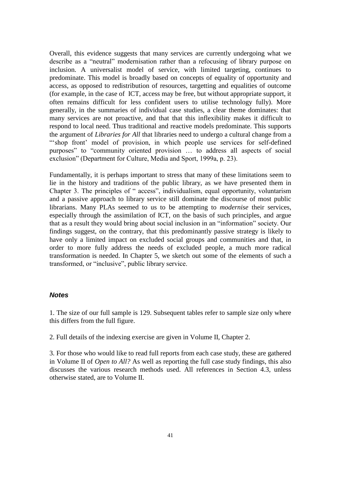Overall, this evidence suggests that many services are currently undergoing what we describe as a "neutral" modernisation rather than a refocusing of library purpose on inclusion. A universalist model of service, with limited targeting, continues to predominate. This model is broadly based on concepts of equality of opportunity and access, as opposed to redistribution of resources, targetting and equalities of outcome (for example, in the case of ICT, access may be free, but without appropriate support, it often remains difficult for less confident users to utilise technology fully). More generally, in the summaries of individual case studies, a clear theme dominates: that many services are not proactive, and that that this inflexibility makes it difficult to respond to local need. Thus traditional and reactive models predominate. This supports the argument of *Libraries for All* that libraries need to undergo a cultural change from a "shop front' model of provision, in which people use services for self-defined purposes" to "community oriented provision … to address all aspects of social exclusion" (Department for Culture, Media and Sport, 1999a, p. 23).

Fundamentally, it is perhaps important to stress that many of these limitations seem to lie in the history and traditions of the public library, as we have presented them in Chapter 3. The principles of " access", individualism, equal opportunity, voluntarism and a passive approach to library service still dominate the discourse of most public librarians. Many PLAs seemed to us to be attempting to *modernise* their services, especially through the assimilation of ICT, on the basis of such principles, and argue that as a result they would bring about social inclusion in an "information" society. Our findings suggest, on the contrary, that this predominantly passive strategy is likely to have only a limited impact on excluded social groups and communities and that, in order to more fully address the needs of excluded people, a much more radical transformation is needed. In Chapter 5, we sketch out some of the elements of such a transformed, or "inclusive", public library service.

#### *Notes*

1. The size of our full sample is 129. Subsequent tables refer to sample size only where this differs from the full figure.

2. Full details of the indexing exercise are given in Volume II, Chapter 2.

3. For those who would like to read full reports from each case study, these are gathered in Volume II of *Open to All?* As well as reporting the full case study findings, this also discusses the various research methods used. All references in Section 4.3, unless otherwise stated, are to Volume II.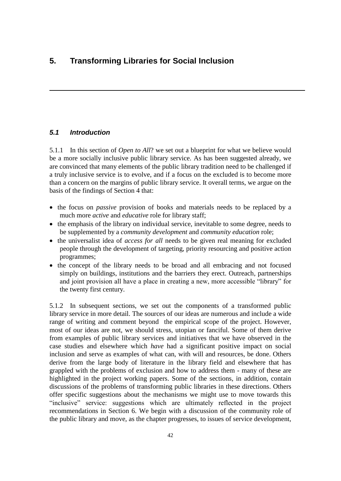# **5. Transforming Libraries for Social Inclusion**

#### *5.1 Introduction*

5.1.1 In this section of *Open to All*? we set out a blueprint for what we believe would be a more socially inclusive public library service. As has been suggested already, we are convinced that many elements of the public library tradition need to be challenged if a truly inclusive service is to evolve, and if a focus on the excluded is to become more than a concern on the margins of public library service. It overall terms, we argue on the basis of the findings of Section 4 that:

- the focus on *passive* provision of books and materials needs to be replaced by a much more *active* and *educative* role for library staff;
- the emphasis of the library on individual service, inevitable to some degree, needs to be supplemented by a *community development* and *community education* role;
- the universalist idea of *access for all* needs to be given real meaning for excluded people through the development of targeting, priority resourcing and positive action programmes;
- the concept of the library needs to be broad and all embracing and not focused simply on buildings, institutions and the barriers they erect. Outreach, partnerships and joint provision all have a place in creating a new, more accessible "library" for the twenty first century.

5.1.2 In subsequent sections, we set out the components of a transformed public library service in more detail. The sources of our ideas are numerous and include a wide range of writing and comment beyond the empirical scope of the project. However, most of our ideas are not, we should stress, utopian or fanciful. Some of them derive from examples of public library services and initiatives that we have observed in the case studies and elsewhere which *have* had a significant positive impact on social inclusion and serve as examples of what can, with will and resources, be done. Others derive from the large body of literature in the library field and elsewhere that has grappled with the problems of exclusion and how to address them - many of these are highlighted in the project working papers. Some of the sections, in addition, contain discussions of the problems of transforming public libraries in these directions. Others offer specific suggestions about the mechanisms we might use to move towards this "inclusive" service: suggestions which are ultimately reflected in the project recommendations in Section 6. We begin with a discussion of the community role of the public library and move, as the chapter progresses, to issues of service development,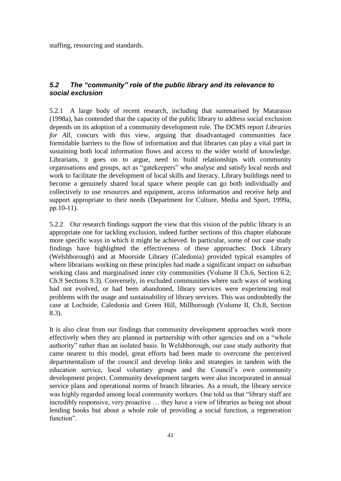staffing, resourcing and standards.

### *5.2 The "community" role of the public library and its relevance to social exclusion*

5.2.1 A large body of recent research, including that summarised by Matarasso (1998a), has contended that the capacity of the public library to address social exclusion depends on its adoption of a community development role. The DCMS report *Libraries for All*, concurs with this view, arguing that disadvantaged communities face formidable barriers to the flow of information and that libraries can play a vital part in sustaining both local information flows and access to the wider world of knowledge. Librarians, it goes on to argue, need to build relationships with community organisations and groups, act as "gatekeepers" who analyse and satisfy local needs and work to facilitate the development of local skills and literacy. Library buildings need to become a genuinely shared local space where people can go both individually and collectively to use resources and equipment, access information and receive help and support appropriate to their needs (Department for Culture, Media and Sport, 1999a, pp.10-11).

5.2.2 Our research findings support the view that this vision of the public library is an appropriate one for tackling exclusion, indeed further sections of this chapter elaborate more specific ways in which it might be achieved. In particular, some of our case study findings have highlighted the effectiveness of these approaches: Dock Library (Welshborough) and at Moorside Library (Caledonia) provided typical examples of where librarians working on these principles had made a significant impact on suburban working class and marginalised inner city communities (Volume II Ch.6, Section 6.2; Ch.9 Sections 9.3). Conversely, in excluded communities where such ways of working had not evolved, or had been abandoned, library services were experiencing real problems with the usage and sustainability of library services. This was undoubtedly the case at Lochside, Caledonia and Green Hill, Millborough (Volume II, Ch.8, Section 8.3).

It is also clear from our findings that community development approaches work more effectively when they are planned in partnership with other agencies and on a "whole authority" rather than an isolated basis. In Welshborough, our case study authority that came nearest to this model, great efforts had been made to overcome the perceived departmentalism of the council and develop links and strategies in tandem with the education service, local voluntary groups and the Council's own community development project. Community development targets were also incorporated in annual service plans and operational norms of branch libraries. As a result, the library service was highly regarded among local community workers. One told us that "library staff are incredibly responsive, very proactive … they have a view of libraries as being not about lending books but about a whole role of providing a social function, a regeneration function"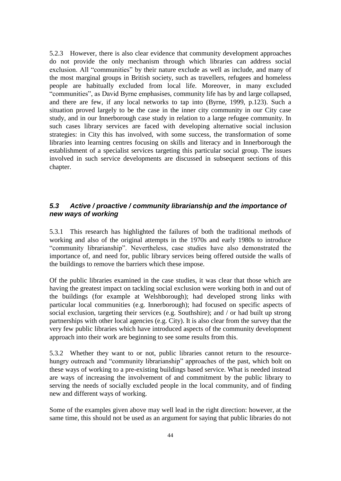5.2.3 However, there is also clear evidence that community development approaches do not provide the only mechanism through which libraries can address social exclusion. All "communities" by their nature exclude as well as include, and many of the most marginal groups in British society, such as travellers, refugees and homeless people are habitually excluded from local life. Moreover, in many excluded "communities", as David Byrne emphasises, community life has by and large collapsed, and there are few, if any local networks to tap into (Byrne, 1999, p.123). Such a situation proved largely to be the case in the inner city community in our City case study, and in our Innerborough case study in relation to a large refugee community. In such cases library services are faced with developing alternative social inclusion strategies: in City this has involved, with some success, the transformation of some libraries into learning centres focusing on skills and literacy and in Innerborough the establishment of a specialist services targeting this particular social group. The issues involved in such service developments are discussed in subsequent sections of this chapter.

### *5.3 Active / proactive / community librarianship and the importance of new ways of working*

5.3.1 This research has highlighted the failures of both the traditional methods of working and also of the original attempts in the 1970s and early 1980s to introduce "community librarianship". Nevertheless, case studies have also demonstrated the importance of, and need for, public library services being offered outside the walls of the buildings to remove the barriers which these impose.

Of the public libraries examined in the case studies, it was clear that those which are having the greatest impact on tackling social exclusion were working both in and out of the buildings (for example at Welshborough); had developed strong links with particular local communities (e.g. Innerborough); had focused on specific aspects of social exclusion, targeting their services (e.g. Southshire); and / or had built up strong partnerships with other local agencies (e.g. City). It is also clear from the survey that the very few public libraries which have introduced aspects of the community development approach into their work are beginning to see some results from this.

5.3.2 Whether they want to or not, public libraries cannot return to the resourcehungry outreach and "community librarianship" approaches of the past, which bolt on these ways of working to a pre-existing buildings based service. What is needed instead are ways of increasing the involvement of and commitment by the public library to serving the needs of socially excluded people in the local community, and of finding new and different ways of working.

Some of the examples given above may well lead in the right direction: however, at the same time, this should not be used as an argument for saying that public libraries do not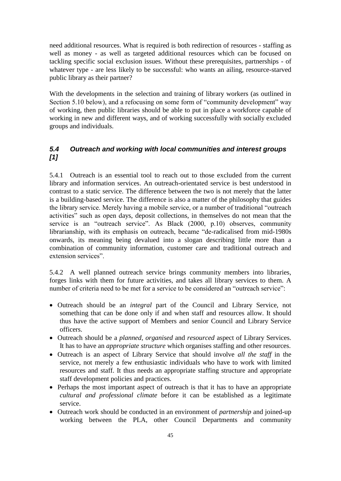need additional resources. What is required is both redirection of resources - staffing as well as money - as well as targeted additional resources which can be focused on tackling specific social exclusion issues. Without these prerequisites, partnerships - of whatever type - are less likely to be successful: who wants an ailing, resource-starved public library as their partner?

With the developments in the selection and training of library workers (as outlined in Section 5.10 below), and a refocusing on some form of "community development" way of working, then public libraries should be able to put in place a workforce capable of working in new and different ways, and of working successfully with socially excluded groups and individuals.

### *5.4 Outreach and working with local communities and interest groups [1]*

5.4.1 Outreach is an essential tool to reach out to those excluded from the current library and information services. An outreach-orientated service is best understood in contrast to a static service. The difference between the two is not merely that the latter is a building-based service. The difference is also a matter of the philosophy that guides the library service. Merely having a mobile service, or a number of traditional "outreach activities" such as open days, deposit collections, in themselves do not mean that the service is an "outreach service". As Black (2000, p.10) observes, community librarianship, with its emphasis on outreach, became "de-radicalised from mid-1980s onwards, its meaning being devalued into a slogan describing little more than a combination of community information, customer care and traditional outreach and extension services".

5.4.2 A well planned outreach service brings community members into libraries, forges links with them for future activities, and takes all library services to them. A number of criteria need to be met for a service to be considered an "outreach service":

- Outreach should be an *integral* part of the Council and Library Service, not something that can be done only if and when staff and resources allow. It should thus have the active support of Members and senior Council and Library Service officers.
- Outreach should be a *planned, organised* and *resourced* aspect of Library Services. It has to have an *appropriate structure* which organises staffing and other resources.
- Outreach is an aspect of Library Service that should involve *all the staff* in the service, not merely a few enthusiastic individuals who have to work with limited resources and staff. It thus needs an appropriate staffing structure and appropriate staff development policies and practices.
- Perhaps the most important aspect of outreach is that it has to have an appropriate *cultural and professional climate* before it can be established as a legitimate service.
- Outreach work should be conducted in an environment of *partnership* and joined-up working between the PLA, other Council Departments and community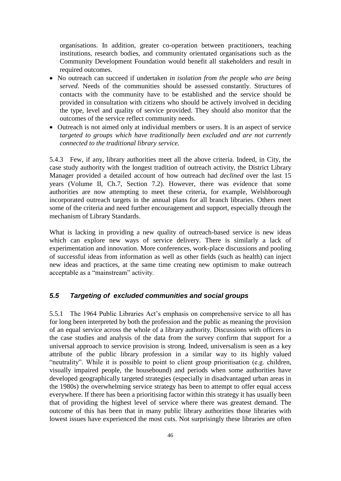organisations. In addition, greater co-operation between practitioners, teaching institutions, research bodies, and community orientated organisations such as the Community Development Foundation would benefit all stakeholders and result in required outcomes.

- No outreach can succeed if undertaken *in isolation from the people who are being served*. Needs of the communities should be assessed constantly. Structures of contacts with the community have to be established and the service should be provided in consultation with citizens who should be actively involved in deciding the type, level and quality of service provided. They should also monitor that the outcomes of the service reflect community needs.
- Outreach is not aimed only at individual members or users. It is an aspect of service *targeted to groups which have traditionally been excluded and are not currently connected to the traditional library service.*

5.4.3 Few, if any, library authorities meet all the above criteria. Indeed, in City, the case study authority with the longest tradition of outreach activity, the District Library Manager provided a detailed account of how outreach had *declined* over the last 15 years (Volume II, Ch.7, Section 7.2). However, there was evidence that some authorities are now attempting to meet these criteria, for example, Welshborough incorporated outreach targets in the annual plans for all branch libraries. Others meet some of the criteria and need further encouragement and support, especially through the mechanism of Library Standards.

What is lacking in providing a new quality of outreach-based service is new ideas which can explore new ways of service delivery. There is similarly a lack of experimentation and innovation. More conferences, work-place discussions and pooling of successful ideas from information as well as other fields (such as health) can inject new ideas and practices, at the same time creating new optimism to make outreach acceptable as a "mainstream" activity.

#### *5.5 Targeting of excluded communities and social groups*

5.5.1 The 1964 Public Libraries Act's emphasis on comprehensive service to all has for long been interpreted by both the profession and the public as meaning the provision of an equal service across the whole of a library authority. Discussions with officers in the case studies and analysis of the data from the survey confirm that support for a universal approach to service provision is strong. Indeed, universalism is seen as a key attribute of the public library profession in a similar way to its highly valued "neutrality". While it is possible to point to client group prioritisation (e.g. children, visually impaired people, the housebound) and periods when some authorities have developed geographically targeted strategies (especially in disadvantaged urban areas in the 1980s) the overwhelming service strategy has been to attempt to offer equal access everywhere. If there has been a prioritising factor within this strategy it has usually been that of providing the highest level of service where there was greatest demand. The outcome of this has been that in many public library authorities those libraries with lowest issues have experienced the most cuts. Not surprisingly these libraries are often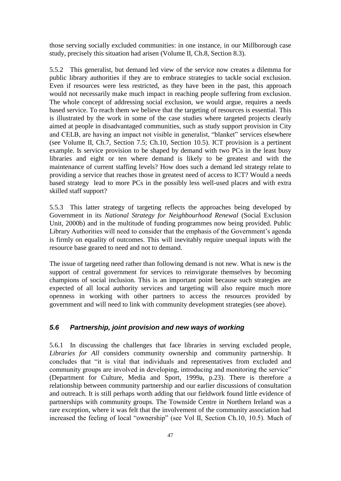those serving socially excluded communities: in one instance, in our Millborough case study, precisely this situation had arisen (Volume II, Ch.8, Section 8.3).

5.5.2 This generalist, but demand led view of the service now creates a dilemma for public library authorities if they are to embrace strategies to tackle social exclusion. Even if resources were less restricted, as they have been in the past, this approach would not necessarily make much impact in reaching people suffering from exclusion. The whole concept of addressing social exclusion, we would argue, requires a needs based service. To reach them we believe that the targeting of resources is essential. This is illustrated by the work in some of the case studies where targeted projects clearly aimed at people in disadvantaged communities, such as study support provision in City and CELB, are having an impact not visible in generalist, "blanket" services elsewhere (see Volume II, Ch.7, Section 7.5; Ch.10, Section 10.5). ICT provision is a pertinent example. Is service provision to be shaped by demand with two PCs in the least busy libraries and eight or ten where demand is likely to be greatest and with the maintenance of current staffing levels? How does such a demand led strategy relate to providing a service that reaches those in greatest need of access to ICT? Would a needs based strategy lead to more PCs in the possibly less well-used places and with extra skilled staff support?

5.5.3 This latter strategy of targeting reflects the approaches being developed by Government in its *National Strategy for Neighbourhood Renewal* (Social Exclusion Unit, 2000b) and in the multitude of funding programmes now being provided. Public Library Authorities will need to consider that the emphasis of the Government's agenda is firmly on equality of outcomes. This will inevitably require unequal inputs with the resource base geared to need and not to demand.

The issue of targeting need rather than following demand is not new. What is new is the support of central government for services to reinvigorate themselves by becoming champions of social inclusion. This is an important point because such strategies are expected of all local authority services and targeting will also require much more openness in working with other partners to access the resources provided by government and will need to link with community development strategies (see above).

#### *5.6 Partnership, joint provision and new ways of working*

5.6.1 In discussing the challenges that face libraries in serving excluded people, *Libraries for All* considers community ownership and community partnership. It concludes that "it is vital that individuals and representatives from excluded and community groups are involved in developing, introducing and monitoring the service" (Department for Culture, Media and Sport, 1999a, p.23). There is therefore a relationship between community partnership and our earlier discussions of consultation and outreach. It is still perhaps worth adding that our fieldwork found little evidence of partnerships with community groups. The Townside Centre in Northern Ireland was a rare exception, where it was felt that the involvement of the community association had increased the feeling of local "ownership" (see Vol II, Section Ch.10, 10.5). Much of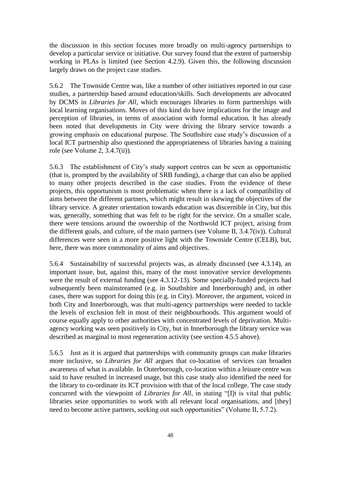the discussion in this section focuses more broadly on multi-agency partnerships to develop a particular service or initiative. Our survey found that the extent of partnership working in PLAs is limited (see Section 4.2.9). Given this, the following discussion largely draws on the project case studies.

5.6.2 The Townside Centre was, like a number of other initiatives reported in our case studies, a partnership based around education/skills. Such developments are advocated by DCMS in *Libraries for All*, which encourages libraries to form partnerships with local learning organisations. Moves of this kind do have implications for the image and perception of libraries, in terms of association with formal education. It has already been noted that developments in City were driving the library service towards a growing emphasis on educational purpose. The Southshire case study's discussion of a local ICT partnership also questioned the appropriateness of libraries having a training role (see Volume 2, 3.4.7(ii)).

5.6.3 The establishment of City's study support centres can be seen as opportunistic (that is, prompted by the availability of SRB funding), a charge that can also be applied to many other projects described in the case studies. From the evidence of these projects, this opportunism is most problematic when there is a lack of compatibility of aims between the different partners, which might result in skewing the objectives of the library service. A greater orientation towards education was discernible in City, but this was, generally, something that was felt to be right for the service. On a smaller scale, there were tensions around the ownership of the Northwold ICT project, arising from the different goals, and culture, of the main partners (see Volume II, 3.4.7(iv)). Cultural differences were seen in a more positive light with the Townside Centre (CELB), but, here, there was more commonality of aims and objectives.

5.6.4 Sustainability of successful projects was, as already discussed (see 4.3.14), an important issue, but, against this, many of the most innovative service developments were the result of external funding (see 4.3.12-13). Some specially-funded projects had subsequently been mainstreamed (e.g. in Southshire and Innerborough) and, in other cases, there was support for doing this (e.g. in City). Moreover, the argument, voiced in both City and Innerborough, was that multi-agency partnerships were needed to tackle the levels of exclusion felt in most of their neighbourhoods. This argument would of course equally apply to other authorities with concentrated levels of deprivation. Multiagency working was seen positively in City, but in Innerborough the library service was described as marginal to most regeneration activity (see section 4.5.5 above).

5.6.5 Just as it is argued that partnerships with community groups can make libraries more inclusive, so *Libraries for All* argues that co-location of services can broaden awareness of what is available. In Outerborough, co-location within a leisure centre was said to have resulted in increased usage, but this case study also identified the need for the library to co-ordinate its ICT provision with that of the local college. The case study concurred with the viewpoint of *Libraries for All*, in stating "[I]t is vital that public libraries seize opportunities to work with all relevant local organisations, and [they] need to become active partners, seeking out such opportunities" (Volume II, 5.7.2).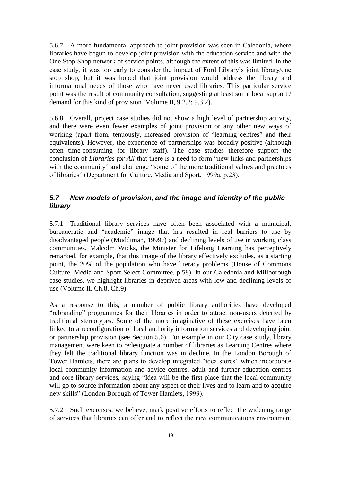5.6.7 A more fundamental approach to joint provision was seen in Caledonia, where libraries have begun to develop joint provision with the education service and with the One Stop Shop network of service points, although the extent of this was limited. In the case study, it was too early to consider the impact of Ford Library's joint library/one stop shop, but it was hoped that joint provision would address the library and informational needs of those who have never used libraries. This particular service point was the result of community consultation, suggesting at least some local support / demand for this kind of provision (Volume II, 9.2.2; 9.3.2).

5.6.8 Overall, project case studies did not show a high level of partnership activity, and there were even fewer examples of joint provision or any other new ways of working (apart from, tenuously, increased provision of "learning centres" and their equivalents). However, the experience of partnerships was broadly positive (although often time-consuming for library staff). The case studies therefore support the conclusion of *Libraries for All* that there is a need to form "new links and partnerships with the community" and challenge "some of the more traditional values and practices" of libraries" (Department for Culture, Media and Sport, 1999a, p.23).

### *5.7 New models of provision, and the image and identity of the public library*

5.7.1 Traditional library services have often been associated with a municipal, bureaucratic and "academic" image that has resulted in real barriers to use by disadvantaged people (Muddiman, 1999c) and declining levels of use in working class communities. Malcolm Wicks, the Minister for Lifelong Learning has perceptively remarked, for example, that this image of the library effectively excludes, as a starting point, the 20% of the population who have literacy problems (House of Commons Culture, Media and Sport Select Committee, p.58). In our Caledonia and Millborough case studies, we highlight libraries in deprived areas with low and declining levels of use (Volume II, Ch.8, Ch.9).

As a response to this, a number of public library authorities have developed "rebranding" programmes for their libraries in order to attract non-users deterred by traditional stereotypes. Some of the more imaginative of these exercises have been linked to a reconfiguration of local authority information services and developing joint or partnership provision (see Section 5.6). For example in our City case study, library management were keen to redesignate a number of libraries as Learning Centres where they felt the traditional library function was in decline. In the London Borough of Tower Hamlets, there are plans to develop integrated "idea stores" which incorporate local community information and advice centres, adult and further education centres and core library services, saying "Idea will be the first place that the local community will go to source information about any aspect of their lives and to learn and to acquire new skills" (London Borough of Tower Hamlets, 1999).

5.7.2 Such exercises, we believe, mark positive efforts to reflect the widening range of services that libraries can offer and to reflect the new communications environment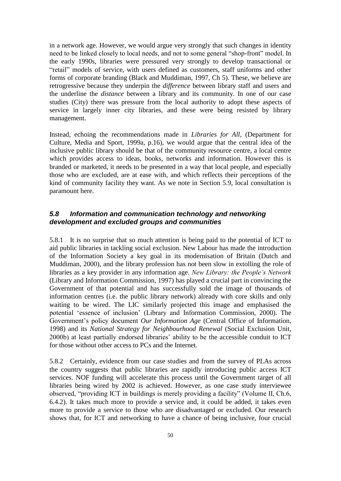in a network age. However, we would argue very strongly that such changes in identity need to be linked closely to local needs, and not to some general "shop-front" model. In the early 1990s, libraries were pressured very strongly to develop transactional or "retail" models of service, with users defined as customers, staff uniforms and other forms of corporate branding (Black and Muddiman, 1997, Ch 5). These, we believe are retrogressive because they underpin the *difference* between library staff and users and the underline the *distance* between a library and its community. In one of our case studies (City) there was pressure from the local authority to adopt these aspects of service in largely inner city libraries, and these were being resisted by library management.

Instead, echoing the recommendations made in *Libraries for All,* (Department for Culture, Media and Sport, 1999a, p.16), we would argue that the central idea of the inclusive public library should be that of the community resource centre, a local centre which provides access to ideas, books, networks and information. However this is branded or marketed, it needs to be presented in a way that local people, and especially those who are excluded, are at ease with, and which reflects their perceptions of the kind of community facility they want. As we note in Section 5.9, local consultation is paramount here.

### *5.8 Information and communication technology and networking development and excluded groups and communities*

5.8.1 It is no surprise that so much attention is being paid to the potential of ICT to aid public libraries in tackling social exclusion. New Labour has made the introduction of the Information Society a key goal in its modernisation of Britain (Dutch and Muddiman, 2000), and the library profession has not been slow in extolling the role of libraries as a key provider in any information age. *New Library: the People's Network* (Library and Information Commission, 1997) has played a crucial part in convincing the Government of that potential and has successfully sold the image of thousands of information centres (i.e. the public library network) already with core skills and only waiting to be wired. The LIC similarly projected this image and emphasised the potential 'essence of inclusion' (Library and Information Commission, 2000). The Government's policy document *Our Information Age* (Central Office of Information, 1998) and its *National Strategy for Neighbourhood Renewal* (Social Exclusion Unit, 2000b) at least partially endorsed libraries' ability to be the accessible conduit to ICT for those without other access to PCs and the Internet.

5.8.2 Certainly, evidence from our case studies and from the survey of PLAs across the country suggests that public libraries are rapidly introducing public access ICT services. NOF funding will accelerate this process until the Government target of all libraries being wired by 2002 is achieved. However, as one case study interviewee observed, "providing ICT in buildings is merely providing a facility" (Volume II, Ch.6, 6.4.2). It takes much more to provide a service and, it could be added, it takes even more to provide a service to those who are disadvantaged or excluded. Our research shows that, for ICT and networking to have a chance of being inclusive, four crucial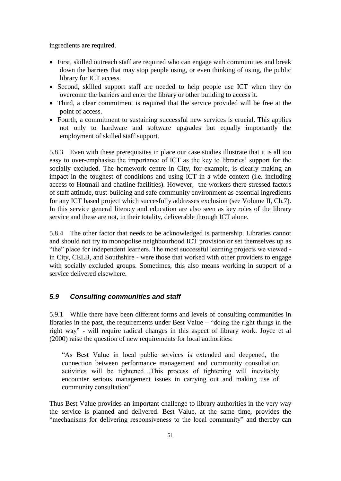ingredients are required.

- First, skilled outreach staff are required who can engage with communities and break down the barriers that may stop people using, or even thinking of using, the public library for ICT access.
- Second, skilled support staff are needed to help people use ICT when they do overcome the barriers and enter the library or other building to access it.
- Third, a clear commitment is required that the service provided will be free at the point of access.
- Fourth, a commitment to sustaining successful new services is crucial. This applies not only to hardware and software upgrades but equally importantly the employment of skilled staff support.

5.8.3 Even with these prerequisites in place our case studies illustrate that it is all too easy to over-emphasise the importance of ICT as the key to libraries' support for the socially excluded. The homework centre in City, for example, is clearly making an impact in the toughest of conditions and using ICT in a wide context (i.e. including access to Hotmail and chatline facilities). However, the workers there stressed factors of staff attitude, trust-building and safe community environment as essential ingredients for any ICT based project which succesfully addresses exclusion (see Volume II, Ch.7). In this service general literacy and education are also seen as key roles of the library service and these are not, in their totality, deliverable through ICT alone.

5.8.4 The other factor that needs to be acknowledged is partnership. Libraries cannot and should not try to monopolise neighbourhood ICT provision or set themselves up as "the" place for independent learners. The most successful learning projects we viewed in City, CELB, and Southshire - were those that worked with other providers to engage with socially excluded groups. Sometimes, this also means working in support of a service delivered elsewhere.

### *5.9 Consulting communities and staff*

5.9.1 While there have been different forms and levels of consulting communities in libraries in the past, the requirements under Best Value – "doing the right things in the right way" - will require radical changes in this aspect of library work. Joyce et al (2000) raise the question of new requirements for local authorities:

"As Best Value in local public services is extended and deepened, the connection between performance management and community consultation activities will be tightened…This process of tightening will inevitably encounter serious management issues in carrying out and making use of community consultation".

Thus Best Value provides an important challenge to library authorities in the very way the service is planned and delivered. Best Value, at the same time, provides the "mechanisms for delivering responsiveness to the local community" and thereby can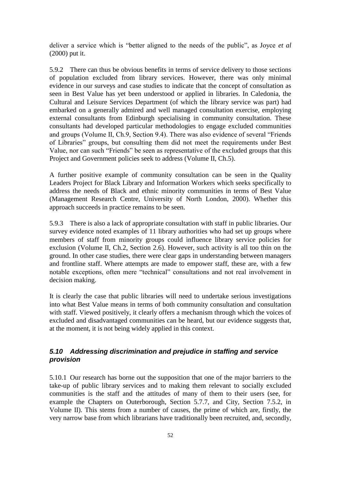deliver a service which is "better aligned to the needs of the public", as Joyce *et al* (2000) put it.

5.9.2 There can thus be obvious benefits in terms of service delivery to those sections of population excluded from library services. However, there was only minimal evidence in our surveys and case studies to indicate that the concept of consultation as seen in Best Value has yet been understood or applied in libraries. In Caledonia, the Cultural and Leisure Services Department (of which the library service was part) had embarked on a generally admired and well managed consultation exercise, employing external consultants from Edinburgh specialising in community consultation. These consultants had developed particular methodologies to engage excluded communities and groups (Volume II, Ch.9, Section 9.4). There was also evidence of several "Friends of Libraries" groups, but consulting them did not meet the requirements under Best Value, nor can such "Friends" be seen as representative of the excluded groups that this Project and Government policies seek to address (Volume II, Ch.5).

A further positive example of community consultation can be seen in the Quality Leaders Project for Black Library and Information Workers which seeks specifically to address the needs of Black and ethnic minority communities in terms of Best Value (Management Research Centre, University of North London, 2000). Whether this approach succeeds in practice remains to be seen.

5.9.3 There is also a lack of appropriate consultation with staff in public libraries. Our survey evidence noted examples of 11 library authorities who had set up groups where members of staff from minority groups could influence library service policies for exclusion (Volume II, Ch.2, Section 2.6). However, such activity is all too thin on the ground. In other case studies, there were clear gaps in understanding between managers and frontline staff. Where attempts are made to empower staff, these are, with a few notable exceptions, often mere "technical" consultations and not real involvement in decision making.

It is clearly the case that public libraries will need to undertake serious investigations into what Best Value means in terms of both community consultation and consultation with staff. Viewed positively, it clearly offers a mechanism through which the voices of excluded and disadvantaged communities can be heard, but our evidence suggests that, at the moment, it is not being widely applied in this context.

#### *5.10 Addressing discrimination and prejudice in staffing and service provision*

5.10.1 Our research has borne out the supposition that one of the major barriers to the take-up of public library services and to making them relevant to socially excluded communities is the staff and the attitudes of many of them to their users (see, for example the Chapters on Outerborough, Section 5.7.7, and City, Section 7.5.2, in Volume II). This stems from a number of causes, the prime of which are, firstly, the very narrow base from which librarians have traditionally been recruited, and, secondly,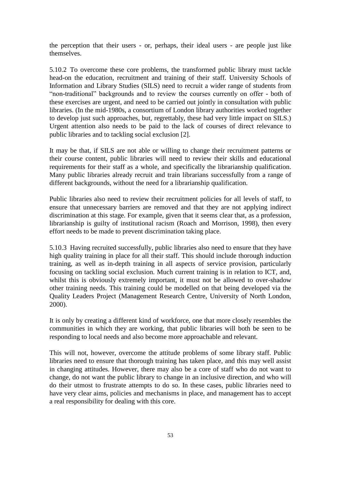the perception that their users - or, perhaps, their ideal users - are people just like themselves.

5.10.2 To overcome these core problems, the transformed public library must tackle head-on the education, recruitment and training of their staff. University Schools of Information and Library Studies (SILS) need to recruit a wider range of students from "non-traditional" backgrounds and to review the courses currently on offer - both of these exercises are urgent, and need to be carried out jointly in consultation with public libraries. (In the mid-1980s, a consortium of London library authorities worked together to develop just such approaches, but, regrettably, these had very little impact on SILS.) Urgent attention also needs to be paid to the lack of courses of direct relevance to public libraries and to tackling social exclusion [2].

It may be that, if SILS are not able or willing to change their recruitment patterns or their course content, public libraries will need to review their skills and educational requirements for their staff as a whole, and specifically the librarianship qualification. Many public libraries already recruit and train librarians successfully from a range of different backgrounds, without the need for a librarianship qualification.

Public libraries also need to review their recruitment policies for all levels of staff, to ensure that unnecessary barriers are removed and that they are not applying indirect discrimination at this stage. For example, given that it seems clear that, as a profession, librarianship is guilty of institutional racism (Roach and Morrison, 1998), then every effort needs to be made to prevent discrimination taking place.

5.10.3 Having recruited successfully, public libraries also need to ensure that they have high quality training in place for all their staff. This should include thorough induction training, as well as in-depth training in all aspects of service provision, particularly focusing on tackling social exclusion. Much current training is in relation to ICT, and, whilst this is obviously extremely important, it must not be allowed to over-shadow other training needs. This training could be modelled on that being developed via the Quality Leaders Project (Management Research Centre, University of North London, 2000).

It is only by creating a different kind of workforce, one that more closely resembles the communities in which they are working, that public libraries will both be seen to be responding to local needs and also become more approachable and relevant.

This will not, however, overcome the attitude problems of some library staff. Public libraries need to ensure that thorough training has taken place, and this may well assist in changing attitudes. However, there may also be a core of staff who do not want to change, do not want the public library to change in an inclusive direction, and who will do their utmost to frustrate attempts to do so. In these cases, public libraries need to have very clear aims, policies and mechanisms in place, and management has to accept a real responsibility for dealing with this core.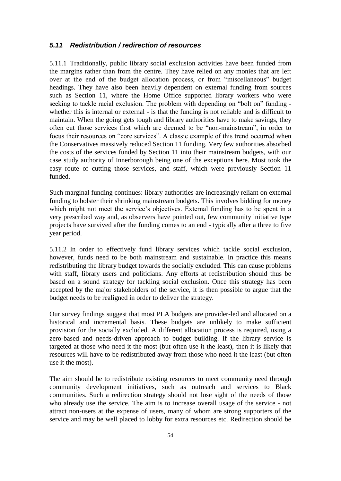#### *5.11 Redistribution / redirection of resources*

5.11.1 Traditionally, public library social exclusion activities have been funded from the margins rather than from the centre. They have relied on any monies that are left over at the end of the budget allocation process, or from "miscellaneous" budget headings. They have also been heavily dependent on external funding from sources such as Section 11, where the Home Office supported library workers who were seeking to tackle racial exclusion. The problem with depending on "bolt on" funding whether this is internal or external - is that the funding is not reliable and is difficult to maintain. When the going gets tough and library authorities have to make savings, they often cut those services first which are deemed to be "non-mainstream", in order to focus their resources on "core services". A classic example of this trend occurred when the Conservatives massively reduced Section 11 funding. Very few authorities absorbed the costs of the services funded by Section 11 into their mainstream budgets, with our case study authority of Innerborough being one of the exceptions here. Most took the easy route of cutting those services, and staff, which were previously Section 11 funded.

Such marginal funding continues: library authorities are increasingly reliant on external funding to bolster their shrinking mainstream budgets. This involves bidding for money which might not meet the service's objectives. External funding has to be spent in a very prescribed way and, as observers have pointed out, few community initiative type projects have survived after the funding comes to an end - typically after a three to five year period.

5.11.2 In order to effectively fund library services which tackle social exclusion, however, funds need to be both mainstream and sustainable. In practice this means redistributing the library budget towards the socially excluded. This can cause problems with staff, library users and politicians. Any efforts at redistribution should thus be based on a sound strategy for tackling social exclusion. Once this strategy has been accepted by the major stakeholders of the service, it is then possible to argue that the budget needs to be realigned in order to deliver the strategy.

Our survey findings suggest that most PLA budgets are provider-led and allocated on a historical and incremental basis. These budgets are unlikely to make sufficient provision for the socially excluded. A different allocation process is required, using a zero-based and needs-driven approach to budget building. If the library service is targeted at those who need it the most (but often use it the least), then it is likely that resources will have to be redistributed away from those who need it the least (but often use it the most).

The aim should be to redistribute existing resources to meet community need through community development initiatives, such as outreach and services to Black communities. Such a redirection strategy should not lose sight of the needs of those who already use the service. The aim is to increase overall usage of the service - not attract non-users at the expense of users, many of whom are strong supporters of the service and may be well placed to lobby for extra resources etc. Redirection should be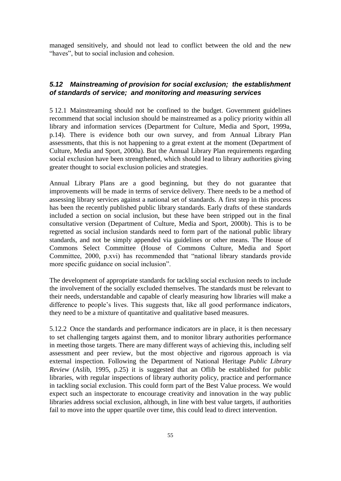managed sensitively, and should not lead to conflict between the old and the new "haves", but to social inclusion and cohesion.

### *5.12 Mainstreaming of provision for social exclusion; the establishment of standards of service; and monitoring and measuring services*

5 12.1 Mainstreaming should not be confined to the budget. Government guidelines recommend that social inclusion should be mainstreamed as a policy priority within all library and information services (Department for Culture, Media and Sport, 1999a, p.14). There is evidence both our own survey, and from Annual Library Plan assessments, that this is not happening to a great extent at the moment (Department of Culture, Media and Sport, 2000a). But the Annual Library Plan requirements regarding social exclusion have been strengthened, which should lead to library authorities giving greater thought to social exclusion policies and strategies.

Annual Library Plans are a good beginning, but they do not guarantee that improvements will be made in terms of service delivery. There needs to be a method of assessing library services against a national set of standards. A first step in this process has been the recently published public library standards. Early drafts of these standards included a section on social inclusion, but these have been stripped out in the final consultative version (Department of Culture, Media and Sport, 2000b). This is to be regretted as social inclusion standards need to form part of the national public library standards, and not be simply appended via guidelines or other means. The House of Commons Select Committee (House of Commons Culture, Media and Sport Committee, 2000, p.xvi) has recommended that "national library standards provide more specific guidance on social inclusion".

The development of appropriate standards for tackling social exclusion needs to include the involvement of the socially excluded themselves. The standards must be relevant to their needs, understandable and capable of clearly measuring how libraries will make a difference to people's lives. This suggests that, like all good performance indicators, they need to be a mixture of quantitative and qualitative based measures.

5.12.2 Once the standards and performance indicators are in place, it is then necessary to set challenging targets against them, and to monitor library authorities performance in meeting those targets. There are many different ways of achieving this, including self assessment and peer review, but the most objective and rigorous approach is via external inspection. Following the Department of National Heritage *Public Library Review* (Aslib, 1995, p.25) it is suggested that an Oflib be established for public libraries, with regular inspections of library authority policy, practice and performance in tackling social exclusion. This could form part of the Best Value process. We would expect such an inspectorate to encourage creativity and innovation in the way public libraries address social exclusion, although, in line with best value targets, if authorities fail to move into the upper quartile over time, this could lead to direct intervention.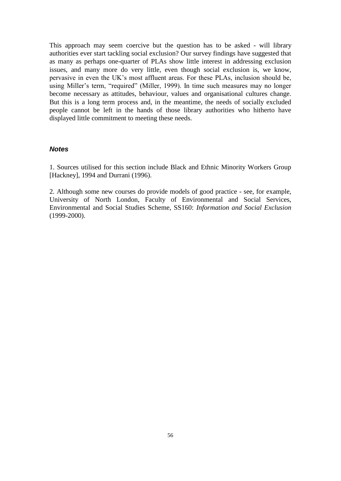This approach may seem coercive but the question has to be asked - will library authorities ever start tackling social exclusion? Our survey findings have suggested that as many as perhaps one-quarter of PLAs show little interest in addressing exclusion issues, and many more do very little, even though social exclusion is, we know, pervasive in even the UK's most affluent areas. For these PLAs, inclusion should be, using Miller's term, "required" (Miller, 1999). In time such measures may no longer become necessary as attitudes, behaviour, values and organisational cultures change. But this is a long term process and, in the meantime, the needs of socially excluded people cannot be left in the hands of those library authorities who hitherto have displayed little commitment to meeting these needs.

#### *Notes*

1. Sources utilised for this section include Black and Ethnic Minority Workers Group [Hackney], 1994 and Durrani (1996).

2. Although some new courses do provide models of good practice - see, for example, University of North London, Faculty of Environmental and Social Services, Environmental and Social Studies Scheme, SS160: *Information and Social Exclusion* (1999-2000).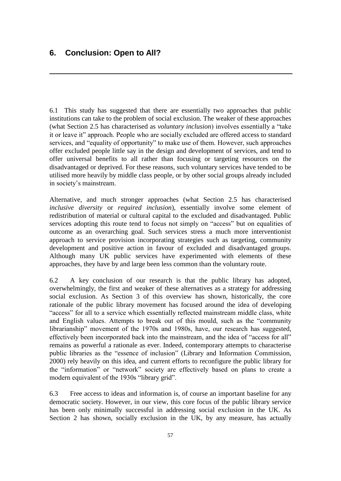# **6. Conclusion: Open to All?**

6.1 This study has suggested that there are essentially two approaches that public institutions can take to the problem of social exclusion. The weaker of these approaches (what Section 2.5 has characterised as *voluntary inclusion*) involves essentially a "take it or leave it" approach. People who are socially excluded are offered access to standard services, and "equality of opportunity" to make use of them. However, such approaches offer excluded people little say in the design and development of services, and tend to offer universal benefits to all rather than focusing or targeting resources on the disadvantaged or deprived. For these reasons, such voluntary services have tended to be utilised more heavily by middle class people, or by other social groups already included in society's mainstream.

Alternative, and much stronger approaches (what Section 2.5 has characterised *inclusive diversity* or *required inclusion*), essentially involve some element of redistribution of material or cultural capital to the excluded and disadvantaged. Public services adopting this route tend to focus not simply on "access" but on equalities of outcome as an overarching goal. Such services stress a much more interventionist approach to service provision incorporating strategies such as targeting, community development and positive action in favour of excluded and disadvantaged groups. Although many UK public services have experimented with elements of these approaches, they have by and large been less common than the voluntary route.

6.2 A key conclusion of our research is that the public library has adopted, overwhelmingly, the first and weaker of these alternatives as a strategy for addressing social exclusion. As Section 3 of this overview has shown, historically, the core rationale of the public library movement has focused around the idea of developing "access" for all to a service which essentially reflected mainstream middle class, white and English values. Attempts to break out of this mould, such as the "community librarianship" movement of the 1970s and 1980s, have, our research has suggested, effectively been incorporated back into the mainstream, and the idea of "access for all" remains as powerful a rationale as ever. Indeed, contemporary attempts to characterise public libraries as the "essence of inclusion" (Library and Information Commission, 2000) rely heavily on this idea, and current efforts to reconfigure the public library for the "information" or "network" society are effectively based on plans to create a modern equivalent of the 1930s "library grid".

6.3 Free access to ideas and information is, of course an important baseline for any democratic society. However, in our view, this core focus of the public library service has been only minimally successful in addressing social exclusion in the UK. As Section 2 has shown, socially exclusion in the UK, by any measure, has actually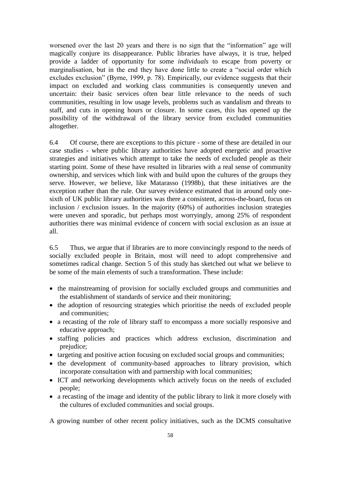worsened over the last 20 years and there is no sign that the "information" age will magically conjure its disappearance. Public libraries have always, it is true, helped provide a ladder of opportunity for some *individuals* to escape from poverty or marginalisation, but in the end they have done little to create a "social order which excludes exclusion" (Byrne, 1999, p. 78). Empirically, our evidence suggests that their impact on excluded and working class communities is consequently uneven and uncertain: their basic services often bear little relevance to the needs of such communities, resulting in low usage levels, problems such as vandalism and threats to staff, and cuts in opening hours or closure. In some cases, this has opened up the possibility of the withdrawal of the library service from excluded communities altogether.

6.4 Of course, there are exceptions to this picture - some of these are detailed in our case studies - where public library authorities have adopted energetic and proactive strategies and initiatives which attempt to take the needs of excluded people as their starting point. Some of these have resulted in libraries with a real sense of community ownership, and services which link with and build upon the cultures of the groups they serve. However, we believe, like Matarasso (1998b), that these initiatives are the exception rather than the rule. Our survey evidence estimated that in around only onesixth of UK public library authorities was there a consistent, across-the-board, focus on inclusion / exclusion issues. In the majority (60%) of authorities inclusion strategies were uneven and sporadic, but perhaps most worryingly, among 25% of respondent authorities there was minimal evidence of concern with social exclusion as an issue at all.

6.5 Thus, we argue that if libraries are to more convincingly respond to the needs of socially excluded people in Britain, most will need to adopt comprehensive and sometimes radical change. Section 5 of this study has sketched out what we believe to be some of the main elements of such a transformation. These include:

- the mainstreaming of provision for socially excluded groups and communities and the establishment of standards of service and their monitoring;
- the adoption of resourcing strategies which prioritise the needs of excluded people and communities;
- a recasting of the role of library staff to encompass a more socially responsive and educative approach;
- staffing policies and practices which address exclusion, discrimination and prejudice;
- targeting and positive action focusing on excluded social groups and communities;
- the development of community-based approaches to library provision, which incorporate consultation with and partnership with local communities;
- ICT and networking developments which actively focus on the needs of excluded people;
- a recasting of the image and identity of the public library to link it more closely with the cultures of excluded communities and social groups.

A growing number of other recent policy initiatives, such as the DCMS consultative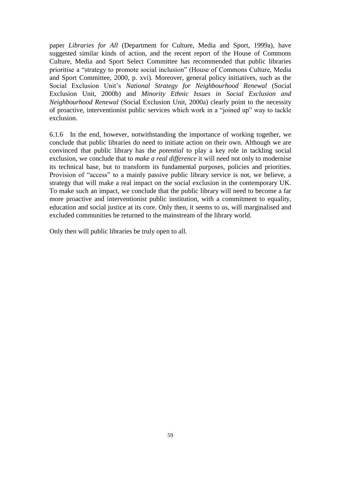paper *Libraries for All* (Department for Culture, Media and Sport, 1999a), have suggested similar kinds of action, and the recent report of the House of Commons Culture, Media and Sport Select Committee has recommended that public libraries prioritise a "strategy to promote social inclusion" (House of Commons Culture, Media and Sport Committee, 2000, p. xvi). Moreover, general policy initiatives, such as the Social Exclusion Unit's *National Strategy for Neighbourhood Renewal* (Social Exclusion Unit, 2000b) and *Minority Ethnic Issues in Social Exclusion and Neighbourhood Renewal* (Social Exclusion Unit, 2000a) clearly point to the necessity of proactive, interventionist public services which work in a "joined up" way to tackle exclusion.

6.1.6 In the end, however, notwithstanding the importance of working together, we conclude that public libraries do need to initiate action on their own. Although we are convinced that public library has the *potential* to play a key role in tackling social exclusion, we conclude that to *make a real difference* it will need not only to modernise its technical base, but to transform its fundamental purposes, policies and priorities. Provision of "access" to a mainly passive public library service is not, we believe, a strategy that will make a real impact on the social exclusion in the contemporary UK. To make such an impact, we conclude that the public library will need to become a far more proactive and interventionist public institution, with a commitment to equality, education and social justice at its core. Only then, it seems to us, will marginalised and excluded communities be returned to the mainstream of the library world.

Only then will public libraries be truly open to all.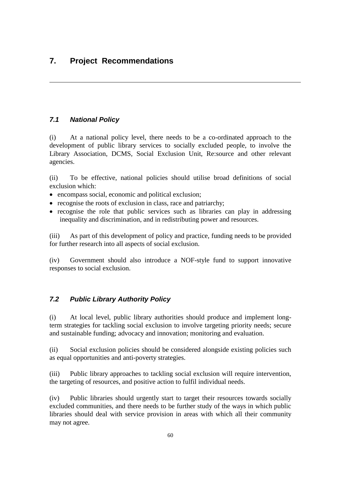# **7. Project Recommendations**

### *7.1 National Policy*

(i) At a national policy level, there needs to be a co-ordinated approach to the development of public library services to socially excluded people, to involve the Library Association, DCMS, Social Exclusion Unit, Re:source and other relevant agencies.

(ii) To be effective, national policies should utilise broad definitions of social exclusion which:

- encompass social, economic and political exclusion;
- recognise the roots of exclusion in class, race and patriarchy;
- recognise the role that public services such as libraries can play in addressing inequality and discrimination, and in redistributing power and resources.

(iii) As part of this development of policy and practice, funding needs to be provided for further research into all aspects of social exclusion.

(iv) Government should also introduce a NOF-style fund to support innovative responses to social exclusion.

### *7.2 Public Library Authority Policy*

(i) At local level, public library authorities should produce and implement longterm strategies for tackling social exclusion to involve targeting priority needs; secure and sustainable funding; advocacy and innovation; monitoring and evaluation.

(ii) Social exclusion policies should be considered alongside existing policies such as equal opportunities and anti-poverty strategies.

(iii) Public library approaches to tackling social exclusion will require intervention, the targeting of resources, and positive action to fulfil individual needs.

(iv) Public libraries should urgently start to target their resources towards socially excluded communities, and there needs to be further study of the ways in which public libraries should deal with service provision in areas with which all their community may not agree.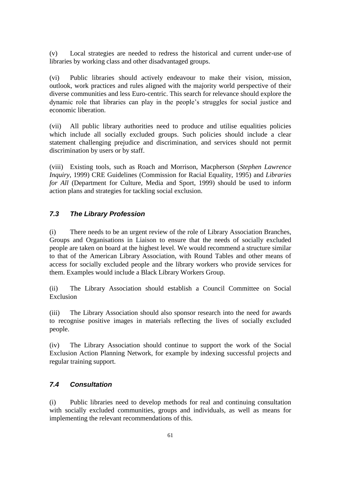(v) Local strategies are needed to redress the historical and current under-use of libraries by working class and other disadvantaged groups.

(vi) Public libraries should actively endeavour to make their vision, mission, outlook, work practices and rules aligned with the majority world perspective of their diverse communities and less Euro-centric. This search for relevance should explore the dynamic role that libraries can play in the people's struggles for social justice and economic liberation.

(vii) All public library authorities need to produce and utilise equalities policies which include all socially excluded groups. Such policies should include a clear statement challenging prejudice and discrimination, and services should not permit discrimination by users or by staff.

(viii) Existing tools, such as Roach and Morrison, Macpherson (*Stephen Lawrence Inquiry*, 1999) CRE Guidelines (Commission for Racial Equality, 1995) and *Libraries for All (Department for Culture, Media and Sport, 1999) should be used to inform* action plans and strategies for tackling social exclusion.

### *7.3 The Library Profession*

(i) There needs to be an urgent review of the role of Library Association Branches, Groups and Organisations in Liaison to ensure that the needs of socially excluded people are taken on board at the highest level. We would recommend a structure similar to that of the American Library Association, with Round Tables and other means of access for socially excluded people and the library workers who provide services for them. Examples would include a Black Library Workers Group.

(ii) The Library Association should establish a Council Committee on Social Exclusion

(iii) The Library Association should also sponsor research into the need for awards to recognise positive images in materials reflecting the lives of socially excluded people.

(iv) The Library Association should continue to support the work of the Social Exclusion Action Planning Network, for example by indexing successful projects and regular training support.

### *7.4 Consultation*

(i) Public libraries need to develop methods for real and continuing consultation with socially excluded communities, groups and individuals, as well as means for implementing the relevant recommendations of this.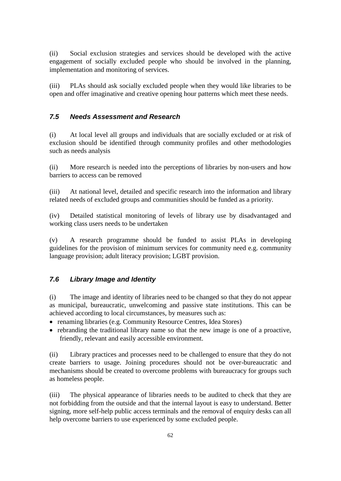(ii) Social exclusion strategies and services should be developed with the active engagement of socially excluded people who should be involved in the planning, implementation and monitoring of services.

(iii) PLAs should ask socially excluded people when they would like libraries to be open and offer imaginative and creative opening hour patterns which meet these needs.

### *7.5 Needs Assessment and Research*

(i) At local level all groups and individuals that are socially excluded or at risk of exclusion should be identified through community profiles and other methodologies such as needs analysis

(ii) More research is needed into the perceptions of libraries by non-users and how barriers to access can be removed

(iii) At national level, detailed and specific research into the information and library related needs of excluded groups and communities should be funded as a priority.

(iv) Detailed statistical monitoring of levels of library use by disadvantaged and working class users needs to be undertaken

(v) A research programme should be funded to assist PLAs in developing guidelines for the provision of minimum services for community need e.g. community language provision; adult literacy provision; LGBT provision.

## *7.6 Library Image and Identity*

(i) The image and identity of libraries need to be changed so that they do not appear as municipal, bureaucratic, unwelcoming and passive state institutions. This can be achieved according to local circumstances, by measures such as:

- renaming libraries (e.g. Community Resource Centres, Idea Stores)
- rebranding the traditional library name so that the new image is one of a proactive, friendly, relevant and easily accessible environment.

(ii) Library practices and processes need to be challenged to ensure that they do not create barriers to usage. Joining procedures should not be over-bureaucratic and mechanisms should be created to overcome problems with bureaucracy for groups such as homeless people.

(iii) The physical appearance of libraries needs to be audited to check that they are not forbidding from the outside and that the internal layout is easy to understand. Better signing, more self-help public access terminals and the removal of enquiry desks can all help overcome barriers to use experienced by some excluded people.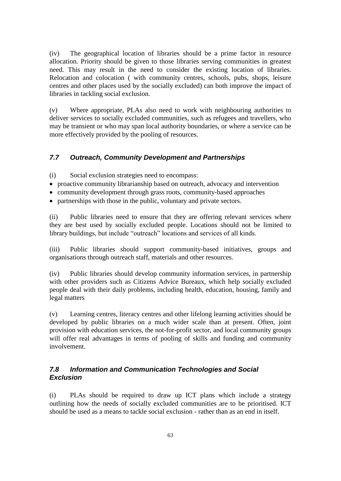(iv) The geographical location of libraries should be a prime factor in resource allocation. Priority should be given to those libraries serving communities in greatest need. This may result in the need to consider the existing location of libraries. Relocation and colocation ( with community centres, schools, pubs, shops, leisure centres and other places used by the socially excluded) can both improve the impact of libraries in tackling social exclusion.

(v) Where appropriate, PLAs also need to work with neighbouring authorities to deliver services to socially excluded communities, such as refugees and travellers, who may be transient or who may span local authority boundaries, or where a service can be more effectively provided by the pooling of resources.

### *7.7 Outreach, Community Development and Partnerships*

(i) Social exclusion strategies need to encompass:

- proactive community librarianship based on outreach, advocacy and intervention
- community development through grass roots, community-based approaches
- partnerships with those in the public, voluntary and private sectors.

(ii) Public libraries need to ensure that they are offering relevant services where they are best used by socially excluded people. Locations should not be limited to library buildings, but include "outreach" locations and services of all kinds.

(iii) Public libraries should support community-based initiatives, groups and organisations through outreach staff, materials and other resources.

(iv) Public libraries should develop community information services, in partnership with other providers such as Citizens Advice Bureaux, which help socially excluded people deal with their daily problems, including health, education, housing, family and legal matters

(v) Learning centres, literacy centres and other lifelong learning activities should be developed by public libraries on a much wider scale than at present. Often, joint provision with education services, the not-for-profit sector, and local community groups will offer real advantages in terms of pooling of skills and funding and community involvement.

## *7.8 Information and Communication Technologies and Social Exclusion*

(i) PLAs should be required to draw up ICT plans which include a strategy outlining how the needs of socially excluded communities are to be prioritised. ICT should be used as a means to tackle social exclusion - rather than as an end in itself.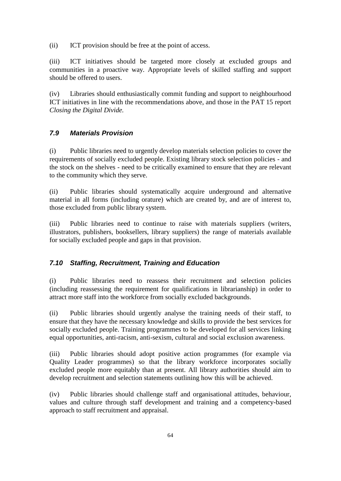(ii) ICT provision should be free at the point of access.

(iii) ICT initiatives should be targeted more closely at excluded groups and communities in a proactive way. Appropriate levels of skilled staffing and support should be offered to users.

(iv) Libraries should enthusiastically commit funding and support to neighbourhood ICT initiatives in line with the recommendations above, and those in the PAT 15 report *Closing the Digital Divide.*

# *7.9 Materials Provision*

(i) Public libraries need to urgently develop materials selection policies to cover the requirements of socially excluded people. Existing library stock selection policies - and the stock on the shelves - need to be critically examined to ensure that they are relevant to the community which they serve.

(ii) Public libraries should systematically acquire underground and alternative material in all forms (including orature) which are created by, and are of interest to, those excluded from public library system.

(iii) Public libraries need to continue to raise with materials suppliers (writers, illustrators, publishers, booksellers, library suppliers) the range of materials available for socially excluded people and gaps in that provision.

# *7.10 Staffing, Recruitment, Training and Education*

(i) Public libraries need to reassess their recruitment and selection policies (including reassessing the requirement for qualifications in librarianship) in order to attract more staff into the workforce from socially excluded backgrounds.

(ii) Public libraries should urgently analyse the training needs of their staff, to ensure that they have the necessary knowledge and skills to provide the best services for socially excluded people. Training programmes to be developed for all services linking equal opportunities, anti-racism, anti-sexism, cultural and social exclusion awareness.

(iii) Public libraries should adopt positive action programmes (for example via Quality Leader programmes) so that the library workforce incorporates socially excluded people more equitably than at present. All library authorities should aim to develop recruitment and selection statements outlining how this will be achieved.

(iv) Public libraries should challenge staff and organisational attitudes, behaviour, values and culture through staff development and training and a competency-based approach to staff recruitment and appraisal.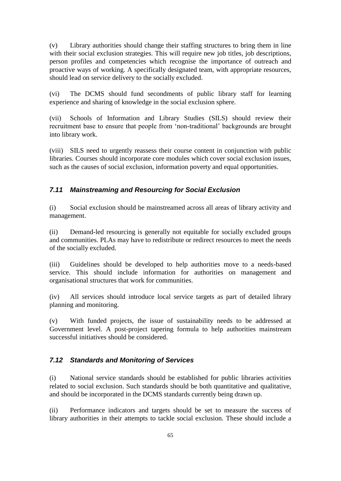(v) Library authorities should change their staffing structures to bring them in line with their social exclusion strategies. This will require new job titles, job descriptions, person profiles and competencies which recognise the importance of outreach and proactive ways of working. A specifically designated team, with appropriate resources, should lead on service delivery to the socially excluded.

(vi) The DCMS should fund secondments of public library staff for learning experience and sharing of knowledge in the social exclusion sphere.

(vii) Schools of Information and Library Studies (SILS) should review their recruitment base to ensure that people from 'non-traditional' backgrounds are brought into library work.

(viii) SILS need to urgently reassess their course content in conjunction with public libraries. Courses should incorporate core modules which cover social exclusion issues, such as the causes of social exclusion, information poverty and equal opportunities.

### *7.11 Mainstreaming and Resourcing for Social Exclusion*

(i) Social exclusion should be mainstreamed across all areas of library activity and management.

(ii) Demand-led resourcing is generally not equitable for socially excluded groups and communities. PLAs may have to redistribute or redirect resources to meet the needs of the socially excluded.

(iii) Guidelines should be developed to help authorities move to a needs-based service. This should include information for authorities on management and organisational structures that work for communities.

(iv) All services should introduce local service targets as part of detailed library planning and monitoring.

(v) With funded projects, the issue of sustainability needs to be addressed at Government level. A post-project tapering formula to help authorities mainstream successful initiatives should be considered.

#### *7.12 Standards and Monitoring of Services*

(i) National service standards should be established for public libraries activities related to social exclusion. Such standards should be both quantitative and qualitative, and should be incorporated in the DCMS standards currently being drawn up.

(ii) Performance indicators and targets should be set to measure the success of library authorities in their attempts to tackle social exclusion. These should include a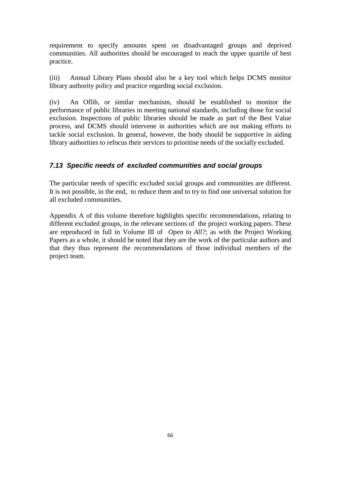requirement to specify amounts spent on disadvantaged groups and deprived communities. All authorities should be encouraged to reach the upper quartile of best practice.

(iii) Annual Library Plans should also be a key tool which helps DCMS monitor library authority policy and practice regarding social exclusion.

(iv) An Oflib, or similar mechanism, should be established to monitor the performance of public libraries in meeting national standards, including those for social exclusion. Inspections of public libraries should be made as part of the Best Value process, and DCMS should intervene in authorities which are not making efforts to tackle social exclusion. In general, however, the body should be supportive in aiding library authorities to refocus their services to prioritise needs of the socially excluded.

### *7.13 Specific needs of excluded communities and social groups*

The particular needs of specific excluded social groups and communities are different. It is not possible, in the end, to reduce them and to try to find one universal solution for all excluded communities.

Appendix A of this volume therefore highlights specific recommendations, relating to different excluded groups, in the relevant sections of the project working papers. These are reproduced in full in Volume III of *Open to All?*; as with the Project Working Papers as a whole, it should be noted that they are the work of the particular authors and that they thus represent the recommendations of those individual members of the project team.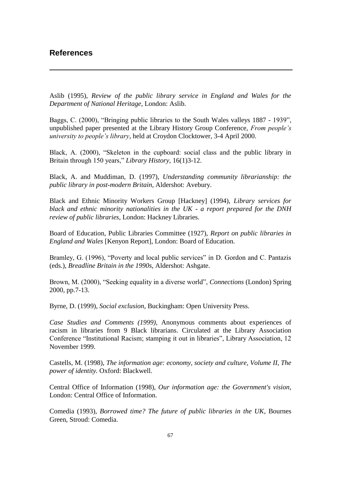# **References**

Aslib (1995), *Review of the public library service in England and Wales for the Department of National Heritage*, London: Aslib.

Baggs, C. (2000), "Bringing public libraries to the South Wales valleys 1887 - 1939", unpublished paper presented at the Library History Group Conference, *From people's university to people's library*, held at Croydon Clocktower, 3-4 April 2000.

Black, A. (2000), "Skeleton in the cupboard: social class and the public library in Britain through 150 years," *Library History*, 16(1)3-12.

Black, A. and Muddiman, D. (1997), *Understanding community librarianship: the public library in post-modern Britain*, Aldershot: Avebury.

Black and Ethnic Minority Workers Group [Hackney] (1994), *Library services for black and ethnic minority nationalities in the UK - a report prepared for the DNH review of public libraries*, London: Hackney Libraries.

Board of Education, Public Libraries Committee (1927), *Report on public libraries in England and Wales* [Kenyon Report], London: Board of Education.

Bramley, G. (1996), "Poverty and local public services" in D. Gordon and C. Pantazis (eds.), *Breadline Britain in the 1990s*, Aldershot: Ashgate.

Brown, M. (2000), "Seeking equality in a diverse world", *Connections* (London) Spring 2000, pp.7-13.

Byrne, D. (1999), *Social exclusion*, Buckingham: Open University Press.

*Case Studies and Comments (1999)*, Anonymous comments about experiences of racism in libraries from 9 Black librarians. Circulated at the Library Association Conference "Institutional Racism; stamping it out in libraries", Library Association, 12 November 1999.

Castells, M. (1998), *The information age: economy, society and culture, Volume II, The power of identity.* Oxford: Blackwell.

Central Office of Information (1998), *Our information age: the Government's vision*, London: Central Office of Information.

Comedia (1993), *Borrowed time? The future of public libraries in the UK*, Bournes Green, Stroud: Comedia.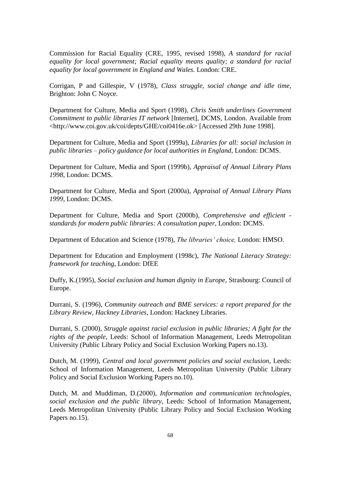Commission for Racial Equality (CRE, 1995, revised 1998), *A standard for racial equality for local government; Racial equality means quality; a standard for racial equality for local government in England and Wales.* London: CRE.

Corrigan, P and Gillespie, V (1978), *Class struggle, social change and idle time*, Brighton: John C Noyce.

Department for Culture, Media and Sport (1998), *Chris Smith underlines Government Commitment to public libraries IT network* [Internet], DCMS, London. Available from <http://www.coi.gov.uk/coi/depts/GHE/coi0416e.ok> [Accessed 29th June 1998].

Department for Culture, Media and Sport (1999a), *Libraries for all: social inclusion in public libraries – policy guidance for local authorities in England*, London: DCMS.

Department for Culture, Media and Sport (1999b), *Appraisal of Annual Library Plans 1998*, London: DCMS.

Department for Culture, Media and Sport (2000a), *Appraisal of Annual Library Plans 1999*, London: DCMS.

Department for Culture, Media and Sport (2000b), *Comprehensive and efficient standards for modern public libraries: A consultation paper*, London: DCMS.

Department of Education and Science (1978), *The libraries' choice,* London: HMSO.

Department for Education and Employment (1998c), *The National Literacy Strategy: framework for teaching,* London: DfEE

Duffy, K.(1995), *Social exclusion and human dignity in Europe*, Strasbourg: Council of Europe.

Durrani, S. (1996), *Community outreach and BME services: a report prepared for the Library Review, Hackney Libraries*, London: Hackney Libraries.

Durrani, S. (2000), *Struggle against racial exclusion in public libraries; A fight for the rights of the people*, Leeds: School of Information Management, Leeds Metropolitan University (Public Library Policy and Social Exclusion Working Papers no.13).

Dutch, M. (1999), *Central and local government policies and social exclusion*, Leeds: School of Information Management, Leeds Metropolitan University (Public Library Policy and Social Exclusion Working Papers no.10).

Dutch, M. and Muddiman, D.(2000), *Information and communication technologies, social exclusion and the public library*, Leeds: School of Information Management, Leeds Metropolitan University (Public Library Policy and Social Exclusion Working Papers no.15).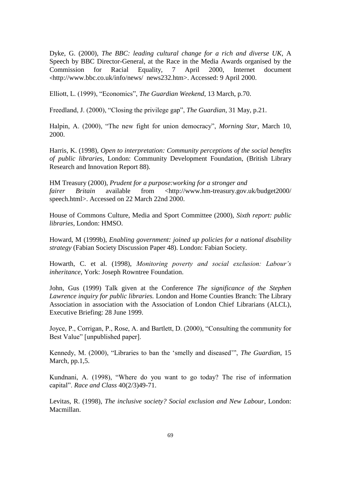Dyke, G. (2000), *The BBC: leading cultural change for a rich and diverse UK*, A Speech by BBC Director-General, at the Race in the Media Awards organised by the Commission for Racial Equality, 7 April 2000, Internet document **<**http://www.bbc.co.uk/info/news/ news232.htm>. Accessed: 9 April 2000.

Elliott, L. (1999), "Economics", *The Guardian Weekend*, 13 March, p.70.

Freedland, J. (2000), "Closing the privilege gap", *The Guardian*, 31 May, p.21.

Halpin, A. (2000), "The new fight for union democracy", *Morning Star*, March 10, 2000.

Harris, K. (1998), *Open to interpretation: Community perceptions of the social benefits of public libraries*, London: Community Development Foundation, (British Library Research and Innovation Report 88).

HM Treasury (2000), *Prudent for a purpose:working for a stronger and fairer Britain* available from <http://www.hm-treasury.gov.uk/budget2000/ speech.html>. Accessed on 22 March 22nd 2000.

House of Commons Culture, Media and Sport Committee (2000), *Sixth report: public libraries*, London: HMSO.

Howard, M (1999b), *Enabling government: joined up policies for a national disability strategy* (Fabian Society Discussion Paper 48). London: Fabian Society.

Howarth, C. et al. (1998), *Monitoring poverty and social exclusion: Labour's inheritance*, York: Joseph Rowntree Foundation.

John, Gus (1999) Talk given at the Conference *The significance of the Stephen Lawrence inquiry for public libraries.* London and Home Counties Branch: The Library Association in association with the Association of London Chief Librarians (ALCL), Executive Briefing: 28 June 1999.

Joyce, P., Corrigan, P., Rose, A. and Bartlett, D. (2000), "Consulting the community for Best Value" [unpublished paper].

Kennedy, M. (2000), "Libraries to ban the 'smelly and diseased'", *The Guardian*, 15 March, pp.1,5.

Kundnani, A. (1998), "Where do you want to go today? The rise of information capital". *Race and Class* 40(2/3)49-71.

Levitas, R. (1998), *The inclusive society? Social exclusion and New Labour*, London: Macmillan.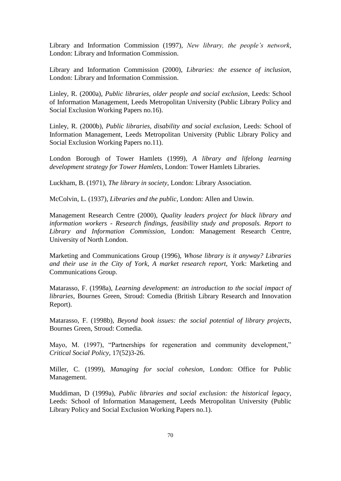Library and Information Commission (1997), *New library, the people's network*, London: Library and Information Commission.

Library and Information Commission (2000), *Libraries: the essence of inclusion,*  London: Library and Information Commission.

Linley, R. (2000a), *Public libraries, older people and social exclusion*, Leeds: School of Information Management, Leeds Metropolitan University (Public Library Policy and Social Exclusion Working Papers no.16).

Linley, R. (2000b), *Public libraries, disability and social exclusion*, Leeds: School of Information Management, Leeds Metropolitan University (Public Library Policy and Social Exclusion Working Papers no.11).

London Borough of Tower Hamlets (1999), *A library and lifelong learning development strategy for Tower Hamlets*, London: Tower Hamlets Libraries.

Luckham, B. (1971), *The library in society*, London: Library Association.

McColvin, L. (1937), *Libraries and the public*, London: Allen and Unwin.

Management Research Centre (2000), *Quality leaders project for black library and information workers - Research findings, feasibility study and proposals. Report to Library and Information Commission*, London: Management Research Centre, University of North London.

Marketing and Communications Group (1996), *Whose library is it anyway? Libraries and their use in the City of York*, *A market research report*, York: Marketing and Communications Group.

Matarasso, F. (1998a), *Learning development: an introduction to the social impact of libraries*, Bournes Green, Stroud: Comedia (British Library Research and Innovation Report).

Matarasso, F. (1998b), *Beyond book issues: the social potential of library projects*, Bournes Green, Stroud: Comedia.

Mayo, M. (1997), "Partnerships for regeneration and community development," *Critical Social Policy*, 17(52)3-26.

Miller, C. (1999), *Managing for social cohesion*, London: Office for Public Management.

Muddiman, D (1999a), *Public libraries and social exclusion: the historical legacy*, Leeds: School of Information Management, Leeds Metropolitan University (Public Library Policy and Social Exclusion Working Papers no.1).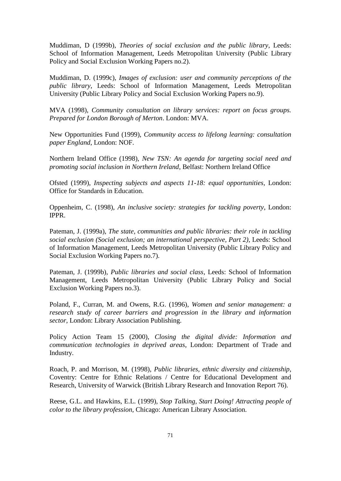Muddiman, D (1999b), *Theories of social exclusion and the public library*, Leeds: School of Information Management, Leeds Metropolitan University (Public Library Policy and Social Exclusion Working Papers no.2).

Muddiman, D. (1999c), *Images of exclusion: user and community perceptions of the public library*, Leeds: School of Information Management, Leeds Metropolitan University (Public Library Policy and Social Exclusion Working Papers no.9).

MVA (1998), *Community consultation on library services: report on focus groups. Prepared for London Borough of Merton*. London: MVA.

New Opportunities Fund (1999), *Community access to lifelong learning: consultation paper England*, London: NOF.

Northern Ireland Office (1998), *New TSN: An agenda for targeting social need and promoting social inclusion in Northern Ireland*, Belfast: Northern Ireland Office

Ofsted (1999), *Inspecting subjects and aspects 11-18: equal opportunities*, London: Office for Standards in Education.

Oppenheim, C. (1998), *An inclusive society: strategies for tackling poverty*, London: IPPR.

Pateman, J. (1999a), *The state, communities and public libraries: their role in tackling social exclusion (Social exclusion; an international perspective, Part 2)*, Leeds: School of Information Management, Leeds Metropolitan University (Public Library Policy and Social Exclusion Working Papers no.7).

Pateman, J. (1999b), *Public libraries and social class*, Leeds: School of Information Management, Leeds Metropolitan University (Public Library Policy and Social Exclusion Working Papers no.3).

Poland, F., Curran, M. and Owens, R.G. (1996), *Women and senior management: a research study of career barriers and progression in the library and information sector*, London: Library Association Publishing.

Policy Action Team 15 (2000), *Closing the digital divide: Information and communication technologies in deprived areas*, London: Department of Trade and Industry.

Roach, P. and Morrison, M. (1998), *Public libraries, ethnic diversity and citizenship*, Coventry: Centre for Ethnic Relations / Centre for Educational Development and Research, University of Warwick (British Library Research and Innovation Report 76).

Reese, G.L. and Hawkins, E.L. (1999), *Stop Talking, Start Doing! Attracting people of color to the library profession*, Chicago: American Library Association.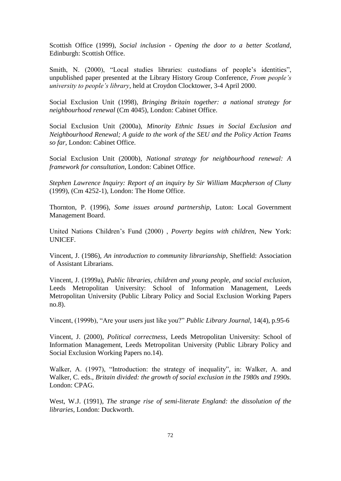Scottish Office (1999), *Social inclusion - Opening the door to a better Scotland*, Edinburgh: Scottish Office.

Smith, N. (2000), "Local studies libraries: custodians of people's identities", unpublished paper presented at the Library History Group Conference, *From people's university to people's library*, held at Croydon Clocktower, 3-4 April 2000.

Social Exclusion Unit (1998), *Bringing Britain together: a national strategy for neighbourhood renewal* (Cm 4045), London: Cabinet Office.

Social Exclusion Unit (2000a), *Minority Ethnic Issues in Social Exclusion and Neighbourhood Renewal; A guide to the work of the SEU and the Policy Action Teams so far*, London: Cabinet Office.

Social Exclusion Unit (2000b), *National strategy for neighbourhood renewal: A framework for consultation*, London: Cabinet Office.

*Stephen Lawrence Inquiry: Report of an inquiry by Sir William Macpherson of Cluny* (1999), (Cm 4252-1), London: The Home Office.

Thornton, P. (1996), *Some issues around partnership*, Luton: Local Government Management Board.

United Nations Children's Fund (2000) , *Poverty begins with children*, New York: UNICEF.

Vincent, J. (1986), *An introduction to community librarianship*, Sheffield: Association of Assistant Librarians.

Vincent, J. (1999a), *Public libraries, children and young people, and social exclusion*, Leeds Metropolitan University: School of Information Management, Leeds Metropolitan University (Public Library Policy and Social Exclusion Working Papers no.8).

Vincent, (1999b), "Are your users just like you?" *Public Library Journal,* 14(4), p.95-6

Vincent, J. (2000), *Political correctness*, Leeds Metropolitan University: School of Information Management, Leeds Metropolitan University (Public Library Policy and Social Exclusion Working Papers no.14).

Walker, A. (1997), "Introduction: the strategy of inequality", in: Walker, A. and Walker, C. eds., *Britain divided: the growth of social exclusion in the 1980s and 1990s.* London: CPAG.

West, W.J. (1991), *The strange rise of semi-literate England: the dissolution of the libraries*, London: Duckworth.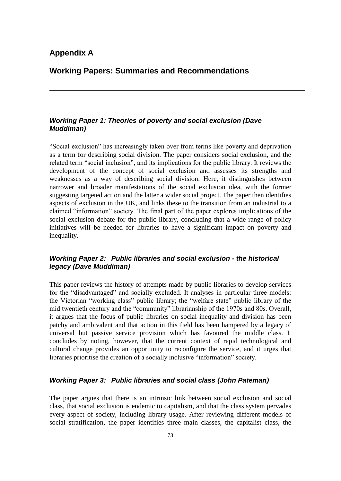# **Working Papers: Summaries and Recommendations**

### *Working Paper 1: Theories of poverty and social exclusion (Dave Muddiman)*

"Social exclusion" has increasingly taken over from terms like poverty and deprivation as a term for describing social division. The paper considers social exclusion, and the related term "social inclusion", and its implications for the public library. It reviews the development of the concept of social exclusion and assesses its strengths and weaknesses as a way of describing social division. Here, it distinguishes between narrower and broader manifestations of the social exclusion idea, with the former suggesting targeted action and the latter a wider social project. The paper then identifies aspects of exclusion in the UK, and links these to the transition from an industrial to a claimed "information" society. The final part of the paper explores implications of the social exclusion debate for the public library, concluding that a wide range of policy initiatives will be needed for libraries to have a significant impact on poverty and inequality.

## *Working Paper 2: Public libraries and social exclusion - the historical legacy (Dave Muddiman)*

This paper reviews the history of attempts made by public libraries to develop services for the "disadvantaged" and socially excluded. It analyses in particular three models: the Victorian "working class" public library; the "welfare state" public library of the mid twentieth century and the "community" librarianship of the 1970s and 80s. Overall, it argues that the focus of public libraries on social inequality and division has been patchy and ambivalent and that action in this field has been hampered by a legacy of universal but passive service provision which has favoured the middle class. It concludes by noting, however, that the current context of rapid technological and cultural change provides an opportunity to reconfigure the service, and it urges that libraries prioritise the creation of a socially inclusive "information" society.

### *Working Paper 3: Public libraries and social class (John Pateman)*

The paper argues that there is an intrinsic link between social exclusion and social class, that social exclusion is endemic to capitalism, and that the class system pervades every aspect of society, including library usage. After reviewing different models of social stratification, the paper identifies three main classes, the capitalist class, the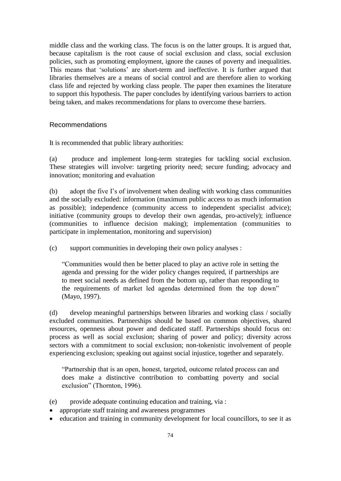middle class and the working class. The focus is on the latter groups. It is argued that, because capitalism is the root cause of social exclusion and class, social exclusion policies, such as promoting employment, ignore the causes of poverty and inequalities. This means that 'solutions' are short-term and ineffective. It is further argued that libraries themselves are a means of social control and are therefore alien to working class life and rejected by working class people. The paper then examines the literature to support this hypothesis. The paper concludes by identifying various barriers to action being taken, and makes recommendations for plans to overcome these barriers.

#### Recommendations

It is recommended that public library authorities:

(a) produce and implement long-term strategies for tackling social exclusion. These strategies will involve: targeting priority need; secure funding; advocacy and innovation; monitoring and evaluation

(b) adopt the five I's of involvement when dealing with working class communities and the socially excluded: information (maximum public access to as much information as possible); independence (community access to independent specialist advice); initiative (community groups to develop their own agendas, pro-actively); influence (communities to influence decision making); implementation (communities to participate in implementation, monitoring and supervision)

(c) support communities in developing their own policy analyses :

"Communities would then be better placed to play an active role in setting the agenda and pressing for the wider policy changes required, if partnerships are to meet social needs as defined from the bottom up, rather than responding to the requirements of market led agendas determined from the top down" (Mayo, 1997).

(d) develop meaningful partnerships between libraries and working class / socially excluded communities. Partnerships should be based on common objectives, shared resources, openness about power and dedicated staff. Partnerships should focus on: process as well as social exclusion; sharing of power and policy; diversity across sectors with a commitment to social exclusion; non-tokenistic involvement of people experiencing exclusion; speaking out against social injustice, together and separately.

"Partnership that is an open, honest, targeted, outcome related process can and does make a distinctive contribution to combatting poverty and social exclusion" (Thornton, 1996).

- (e) provide adequate continuing education and training, via :
- appropriate staff training and awareness programmes
- education and training in community development for local councillors, to see it as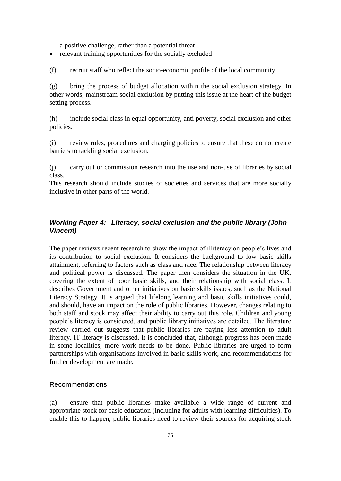a positive challenge, rather than a potential threat

- relevant training opportunities for the socially excluded
- (f) recruit staff who reflect the socio-economic profile of the local community

(g) bring the process of budget allocation within the social exclusion strategy. In other words, mainstream social exclusion by putting this issue at the heart of the budget setting process.

(h) include social class in equal opportunity, anti poverty, social exclusion and other policies.

(i) review rules, procedures and charging policies to ensure that these do not create barriers to tackling social exclusion.

(j) carry out or commission research into the use and non-use of libraries by social class.

This research should include studies of societies and services that are more socially inclusive in other parts of the world.

## *Working Paper 4: Literacy, social exclusion and the public library (John Vincent)*

The paper reviews recent research to show the impact of illiteracy on people's lives and its contribution to social exclusion. It considers the background to low basic skills attainment, referring to factors such as class and race. The relationship between literacy and political power is discussed. The paper then considers the situation in the UK, covering the extent of poor basic skills, and their relationship with social class. It describes Government and other initiatives on basic skills issues, such as the National Literacy Strategy. It is argued that lifelong learning and basic skills initiatives could, and should, have an impact on the role of public libraries. However, changes relating to both staff and stock may affect their ability to carry out this role. Children and young people's literacy is considered, and public library initiatives are detailed. The literature review carried out suggests that public libraries are paying less attention to adult literacy. IT literacy is discussed. It is concluded that, although progress has been made in some localities, more work needs to be done. Public libraries are urged to form partnerships with organisations involved in basic skills work, and recommendations for further development are made.

#### Recommendations

(a) ensure that public libraries make available a wide range of current and appropriate stock for basic education (including for adults with learning difficulties). To enable this to happen, public libraries need to review their sources for acquiring stock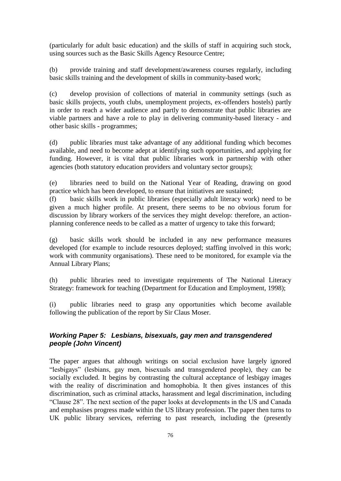(particularly for adult basic education) and the skills of staff in acquiring such stock, using sources such as the Basic Skills Agency Resource Centre;

(b) provide training and staff development/awareness courses regularly, including basic skills training and the development of skills in community-based work;

(c) develop provision of collections of material in community settings (such as basic skills projects, youth clubs, unemployment projects, ex-offenders hostels) partly in order to reach a wider audience and partly to demonstrate that public libraries are viable partners and have a role to play in delivering community-based literacy - and other basic skills - programmes;

(d) public libraries must take advantage of any additional funding which becomes available, and need to become adept at identifying such opportunities, and applying for funding. However, it is vital that public libraries work in partnership with other agencies (both statutory education providers and voluntary sector groups);

(e) libraries need to build on the National Year of Reading, drawing on good practice which has been developed, to ensure that initiatives are sustained;

(f) basic skills work in public libraries (especially adult literacy work) need to be given a much higher profile. At present, there seems to be no obvious forum for discussion by library workers of the services they might develop: therefore, an actionplanning conference needs to be called as a matter of urgency to take this forward;

(g) basic skills work should be included in any new performance measures developed (for example to include resources deployed; staffing involved in this work; work with community organisations). These need to be monitored, for example via the Annual Library Plans;

(h) public libraries need to investigate requirements of The National Literacy Strategy: framework for teaching (Department for Education and Employment, 1998);

(i) public libraries need to grasp any opportunities which become available following the publication of the report by Sir Claus Moser.

## *Working Paper 5: Lesbians, bisexuals, gay men and transgendered people (John Vincent)*

The paper argues that although writings on social exclusion have largely ignored "lesbigays" (lesbians, gay men, bisexuals and transgendered people), they can be socially excluded. It begins by contrasting the cultural acceptance of lesbigay images with the reality of discrimination and homophobia. It then gives instances of this discrimination, such as criminal attacks, harassment and legal discrimination, including "Clause 28". The next section of the paper looks at developments in the US and Canada and emphasises progress made within the US library profession. The paper then turns to UK public library services, referring to past research, including the (presently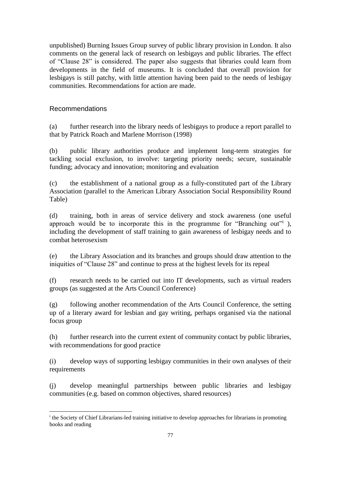unpublished) Burning Issues Group survey of public library provision in London. It also comments on the general lack of research on lesbigays and public libraries. The effect of "Clause 28" is considered. The paper also suggests that libraries could learn from developments in the field of museums. It is concluded that overall provision for lesbigays is still patchy, with little attention having been paid to the needs of lesbigay communities. Recommendations for action are made.

### Recommendations

 $\overline{a}$ 

(a) further research into the library needs of lesbigays to produce a report parallel to that by Patrick Roach and Marlene Morrison (1998)

(b) public library authorities produce and implement long-term strategies for tackling social exclusion, to involve: targeting priority needs; secure, sustainable funding; advocacy and innovation; monitoring and evaluation

(c) the establishment of a national group as a fully-constituted part of the Library Association (parallel to the American Library Association Social Responsibility Round Table)

(d) training, both in areas of service delivery and stock awareness (one useful approach would be to incorporate this in the programme for "Branching out"  $i$ , including the development of staff training to gain awareness of lesbigay needs and to combat heterosexism

(e) the Library Association and its branches and groups should draw attention to the iniquities of "Clause 28" and continue to press at the highest levels for its repeal

(f) research needs to be carried out into IT developments, such as virtual readers groups (as suggested at the Arts Council Conference)

(g) following another recommendation of the Arts Council Conference, the setting up of a literary award for lesbian and gay writing, perhaps organised via the national focus group

(h) further research into the current extent of community contact by public libraries, with recommendations for good practice

(i) develop ways of supporting lesbigay communities in their own analyses of their requirements

(j) develop meaningful partnerships between public libraries and lesbigay communities (e.g. based on common objectives, shared resources)

<sup>&</sup>lt;sup>i</sup> the Society of Chief Librarians-led training initiative to develop approaches for librarians in promoting books and reading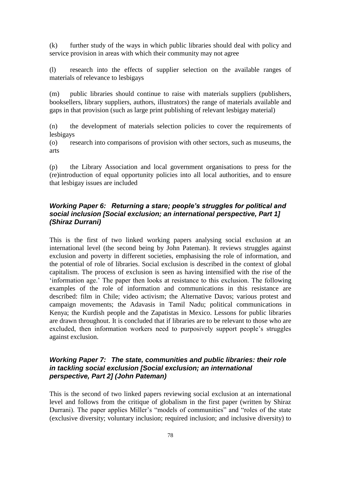(k) further study of the ways in which public libraries should deal with policy and service provision in areas with which their community may not agree

(l) research into the effects of supplier selection on the available ranges of materials of relevance to lesbigays

(m) public libraries should continue to raise with materials suppliers (publishers, booksellers, library suppliers, authors, illustrators) the range of materials available and gaps in that provision (such as large print publishing of relevant lesbigay material)

(n) the development of materials selection policies to cover the requirements of lesbigays

(o) research into comparisons of provision with other sectors, such as museums, the arts

(p) the Library Association and local government organisations to press for the (re)introduction of equal opportunity policies into all local authorities, and to ensure that lesbigay issues are included

## *Working Paper 6: Returning a stare; people's struggles for political and social inclusion [Social exclusion; an international perspective, Part 1] (Shiraz Durrani)*

This is the first of two linked working papers analysing social exclusion at an international level (the second being by John Pateman). It reviews struggles against exclusion and poverty in different societies, emphasising the role of information, and the potential of role of libraries. Social exclusion is described in the context of global capitalism. The process of exclusion is seen as having intensified with the rise of the 'information age.' The paper then looks at resistance to this exclusion. The following examples of the role of information and communications in this resistance are described: film in Chile; video activism; the Alternative Davos; various protest and campaign movements; the Adavasis in Tamil Nadu; political communications in Kenya; the Kurdish people and the Zapatistas in Mexico. Lessons for public libraries are drawn throughout. It is concluded that if libraries are to be relevant to those who are excluded, then information workers need to purposively support people's struggles against exclusion.

### *Working Paper 7: The state, communities and public libraries: their role in tackling social exclusion [Social exclusion; an international perspective, Part 2] (John Pateman)*

This is the second of two linked papers reviewing social exclusion at an international level and follows from the critique of globalism in the first paper (written by Shiraz Durrani). The paper applies Miller's "models of communities" and "roles of the state (exclusive diversity; voluntary inclusion; required inclusion; and inclusive diversity) to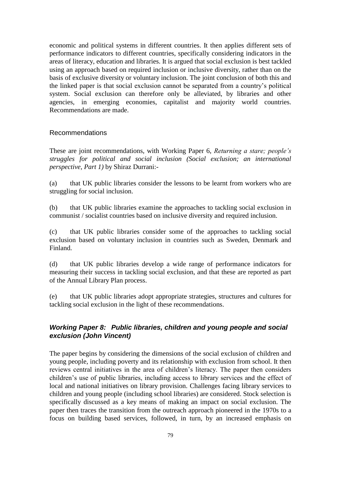economic and political systems in different countries. It then applies different sets of performance indicators to different countries, specifically considering indicators in the areas of literacy, education and libraries. It is argued that social exclusion is best tackled using an approach based on required inclusion or inclusive diversity, rather than on the basis of exclusive diversity or voluntary inclusion. The joint conclusion of both this and the linked paper is that social exclusion cannot be separated from a country's political system. Social exclusion can therefore only be alleviated, by libraries and other agencies, in emerging economies, capitalist and majority world countries. Recommendations are made.

#### Recommendations

These are joint recommendations, with Working Paper 6, *Returning a stare; people's struggles for political and social inclusion (Social exclusion; an international perspective, Part 1)* by Shiraz Durrani:-

(a) that UK public libraries consider the lessons to be learnt from workers who are struggling for social inclusion.

(b) that UK public libraries examine the approaches to tackling social exclusion in communist / socialist countries based on inclusive diversity and required inclusion.

(c) that UK public libraries consider some of the approaches to tackling social exclusion based on voluntary inclusion in countries such as Sweden, Denmark and Finland.

(d) that UK public libraries develop a wide range of performance indicators for measuring their success in tackling social exclusion, and that these are reported as part of the Annual Library Plan process.

(e) that UK public libraries adopt appropriate strategies, structures and cultures for tackling social exclusion in the light of these recommendations.

### *Working Paper 8: Public libraries, children and young people and social exclusion (John Vincent)*

The paper begins by considering the dimensions of the social exclusion of children and young people, including poverty and its relationship with exclusion from school. It then reviews central initiatives in the area of children's literacy. The paper then considers children's use of public libraries, including access to library services and the effect of local and national initiatives on library provision. Challenges facing library services to children and young people (including school libraries) are considered. Stock selection is specifically discussed as a key means of making an impact on social exclusion. The paper then traces the transition from the outreach approach pioneered in the 1970s to a focus on building based services, followed, in turn, by an increased emphasis on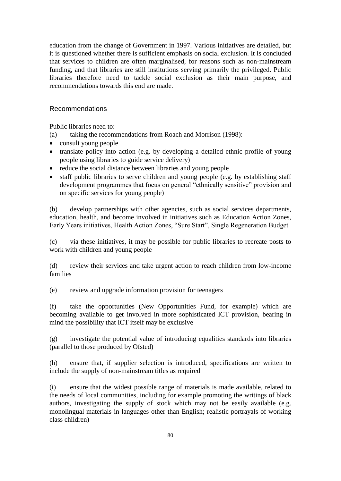education from the change of Government in 1997. Various initiatives are detailed, but it is questioned whether there is sufficient emphasis on social exclusion. It is concluded that services to children are often marginalised, for reasons such as non-mainstream funding, and that libraries are still institutions serving primarily the privileged. Public libraries therefore need to tackle social exclusion as their main purpose, and recommendations towards this end are made.

#### Recommendations

Public libraries need to:

- (a) taking the recommendations from Roach and Morrison (1998):
- consult young people
- translate policy into action (e.g. by developing a detailed ethnic profile of young people using libraries to guide service delivery)
- reduce the social distance between libraries and young people
- staff public libraries to serve children and young people (e.g. by establishing staff development programmes that focus on general "ethnically sensitive" provision and on specific services for young people)

(b) develop partnerships with other agencies, such as social services departments, education, health, and become involved in initiatives such as Education Action Zones, Early Years initiatives, Health Action Zones, "Sure Start", Single Regeneration Budget

(c) via these initiatives, it may be possible for public libraries to recreate posts to work with children and young people

(d) review their services and take urgent action to reach children from low-income families

(e) review and upgrade information provision for teenagers

(f) take the opportunities (New Opportunities Fund, for example) which are becoming available to get involved in more sophisticated ICT provision, bearing in mind the possibility that ICT itself may be exclusive

(g) investigate the potential value of introducing equalities standards into libraries (parallel to those produced by Ofsted)

(h) ensure that, if supplier selection is introduced, specifications are written to include the supply of non-mainstream titles as required

(i) ensure that the widest possible range of materials is made available, related to the needs of local communities, including for example promoting the writings of black authors, investigating the supply of stock which may not be easily available (e.g. monolingual materials in languages other than English; realistic portrayals of working class children)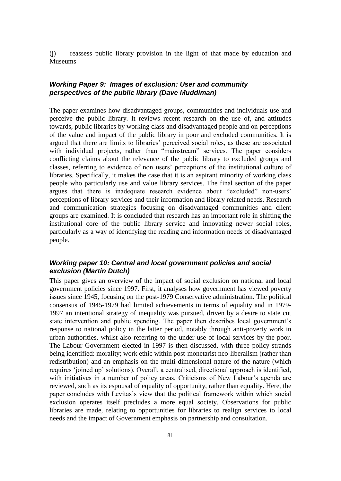(j) reassess public library provision in the light of that made by education and Museums

## *Working Paper 9: Images of exclusion: User and community perspectives of the public library (Dave Muddiman)*

The paper examines how disadvantaged groups, communities and individuals use and perceive the public library. It reviews recent research on the use of, and attitudes towards, public libraries by working class and disadvantaged people and on perceptions of the value and impact of the public library in poor and excluded communities. It is argued that there are limits to libraries' perceived social roles, as these are associated with individual projects, rather than "mainstream" services. The paper considers conflicting claims about the relevance of the public library to excluded groups and classes, referring to evidence of non users' perceptions of the institutional culture of libraries. Specifically, it makes the case that it is an aspirant minority of working class people who particularly use and value library services. The final section of the paper argues that there is inadequate research evidence about "excluded" non-users' perceptions of library services and their information and library related needs. Research and communication strategies focusing on disadvantaged communities and client groups are examined. It is concluded that research has an important role in shifting the institutional core of the public library service and innovating newer social roles, particularly as a way of identifying the reading and information needs of disadvantaged people.

### *Working paper 10: Central and local government policies and social exclusion (Martin Dutch)*

This paper gives an overview of the impact of social exclusion on national and local government policies since 1997. First, it analyses how government has viewed poverty issues since 1945, focusing on the post-1979 Conservative administration. The political consensus of 1945-1979 had limited achievements in terms of equality and in 1979- 1997 an intentional strategy of inequality was pursued, driven by a desire to state cut state intervention and public spending. The paper then describes local government's response to national policy in the latter period, notably through anti-poverty work in urban authorities, whilst also referring to the under-use of local services by the poor. The Labour Government elected in 1997 is then discussed, with three policy strands being identified: morality; work ethic within post-monetarist neo-liberalism (rather than redistribution) and an emphasis on the multi-dimensional nature of the nature (which requires 'joined up' solutions). Overall, a centralised, directional approach is identified, with initiatives in a number of policy areas. Criticisms of New Labour's agenda are reviewed, such as its espousal of equality of opportunity, rather than equality. Here, the paper concludes with Levitas's view that the political framework within which social exclusion operates itself precludes a more equal society. Observations for public libraries are made, relating to opportunities for libraries to realign services to local needs and the impact of Government emphasis on partnership and consultation.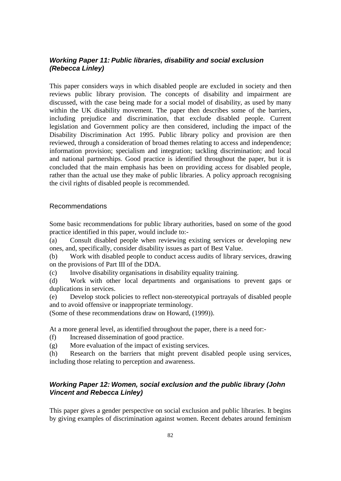## *Working Paper 11: Public libraries, disability and social exclusion (Rebecca Linley)*

This paper considers ways in which disabled people are excluded in society and then reviews public library provision. The concepts of disability and impairment are discussed, with the case being made for a social model of disability, as used by many within the UK disability movement. The paper then describes some of the barriers, including prejudice and discrimination, that exclude disabled people. Current legislation and Government policy are then considered, including the impact of the Disability Discrimination Act 1995. Public library policy and provision are then reviewed, through a consideration of broad themes relating to access and independence; information provision; specialism and integration; tackling discrimination; and local and national partnerships. Good practice is identified throughout the paper, but it is concluded that the main emphasis has been on providing access for disabled people, rather than the actual use they make of public libraries. A policy approach recognising the civil rights of disabled people is recommended.

#### Recommendations

Some basic recommendations for public library authorities, based on some of the good practice identified in this paper, would include to:-

(a) Consult disabled people when reviewing existing services or developing new ones, and, specifically, consider disability issues as part of Best Value.

(b) Work with disabled people to conduct access audits of library services, drawing on the provisions of Part III of the DDA.

(c) Involve disability organisations in disability equality training.

(d) Work with other local departments and organisations to prevent gaps or duplications in services.

(e) Develop stock policies to reflect non-stereotypical portrayals of disabled people and to avoid offensive or inappropriate terminology.

(Some of these recommendations draw on Howard, (1999)).

At a more general level, as identified throughout the paper, there is a need for:-

(f) Increased dissemination of good practice.

(g) More evaluation of the impact of existing services.

(h) Research on the barriers that might prevent disabled people using services, including those relating to perception and awareness.

## *Working Paper 12: Women, social exclusion and the public library (John Vincent and Rebecca Linley)*

This paper gives a gender perspective on social exclusion and public libraries. It begins by giving examples of discrimination against women. Recent debates around feminism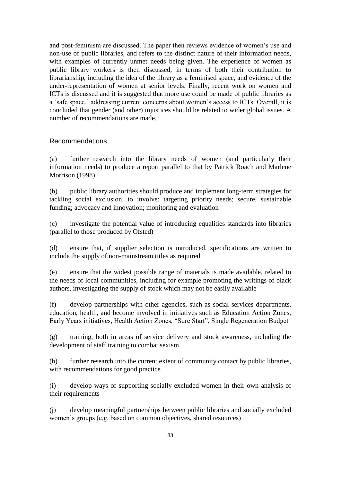and post-feminism are discussed. The paper then reviews evidence of women's use and non-use of public libraries, and refers to the distinct nature of their information needs, with examples of currently unmet needs being given. The experience of women as public library workers is then discussed, in terms of both their contribution to librarianship, including the idea of the library as a feminised space, and evidence of the under-representation of women at senior levels. Finally, recent work on women and ICTs is discussed and it is suggested that more use could be made of public libraries as a 'safe space,' addressing current concerns about women's access to ICTs. Overall, it is concluded that gender (and other) injustices should be related to wider global issues. A number of recommendations are made.

#### Recommendations

(a) further research into the library needs of women (and particularly their information needs) to produce a report parallel to that by Patrick Roach and Marlene Morrison (1998)

(b) public library authorities should produce and implement long-term strategies for tackling social exclusion, to involve: targeting priority needs; secure, sustainable funding; advocacy and innovation; monitoring and evaluation

(c) investigate the potential value of introducing equalities standards into libraries (parallel to those produced by Ofsted)

(d) ensure that, if supplier selection is introduced, specifications are written to include the supply of non-mainstream titles as required

(e) ensure that the widest possible range of materials is made available, related to the needs of local communities, including for example promoting the writings of black authors, investigating the supply of stock which may not be easily available

(f) develop partnerships with other agencies, such as social services departments, education, health, and become involved in initiatives such as Education Action Zones, Early Years initiatives, Health Action Zones, "Sure Start", Single Regeneration Budget

(g) training, both in areas of service delivery and stock awareness, including the development of staff training to combat sexism

(h) further research into the current extent of community contact by public libraries, with recommendations for good practice

(i) develop ways of supporting socially excluded women in their own analysis of their requirements

(j) develop meaningful partnerships between public libraries and socially excluded women's groups (e.g. based on common objectives, shared resources)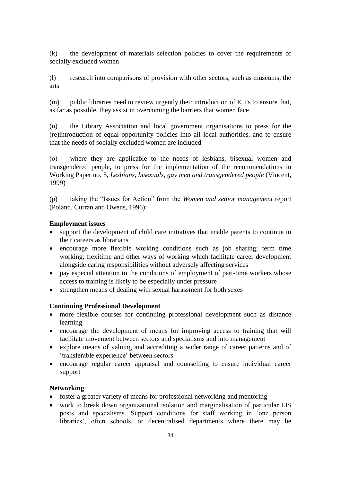(k) the development of materials selection policies to cover the requirements of socially excluded women

(l) research into comparisons of provision with other sectors, such as museums, the arts

(m) public libraries need to review urgently their introduction of ICTs to ensure that, as far as possible, they assist in overcoming the barriers that women face

(n) the Library Association and local government organisations to press for the (re)introduction of equal opportunity policies into all local authorities, and to ensure that the needs of socially excluded women are included

(o) where they are applicable to the needs of lesbians, bisexual women and transgendered people, to press for the implementation of the recommendations in Working Paper no. 5, *Lesbians, bisexuals, gay men and transgendered people* (Vincent, 1999)

(p) taking the "Issues for Action" from the *Women and senior management* report (Poland, Curran and Owens, 1996):

### **Employment issues**

- support the development of child care initiatives that enable parents to continue in their careers as librarians
- encourage more flexible working conditions such as job sharing; term time working; flexitime and other ways of working which facilitate career development alongside caring responsibilities without adversely affecting services
- pay especial attention to the conditions of employment of part-time workers whose access to training is likely to be especially under pressure
- strengthen means of dealing with sexual harassment for both sexes

#### **Continuing Professional Development**

- more flexible courses for continuing professional development such as distance learning
- encourage the development of means for improving access to training that will facilitate movement between sectors and specialisms and into management
- explore means of valuing and accrediting a wider range of career patterns and of 'transferable experience' between sectors
- encourage regular career appraisal and counselling to ensure individual career support

## **Networking**

- foster a greater variety of means for professional networking and mentoring
- work to break down organizational isolation and marginalisation of particular LIS posts and specialisms. Support conditions for staff working in 'one person libraries', often schools, or decentralised departments where there may be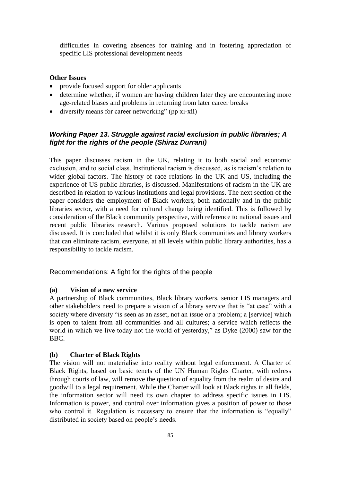difficulties in covering absences for training and in fostering appreciation of specific LIS professional development needs

#### **Other Issues**

- provide focused support for older applicants
- determine whether, if women are having children later they are encountering more age-related biases and problems in returning from later career breaks
- diversify means for career networking" (pp xi-xii)

### *Working Paper 13. Struggle against racial exclusion in public libraries; A fight for the rights of the people (Shiraz Durrani)*

This paper discusses racism in the UK, relating it to both social and economic exclusion, and to social class. Institutional racism is discussed, as is racism's relation to wider global factors. The history of race relations in the UK and US, including the experience of US public libraries, is discussed. Manifestations of racism in the UK are described in relation to various institutions and legal provisions. The next section of the paper considers the employment of Black workers, both nationally and in the public libraries sector, with a need for cultural change being identified. This is followed by consideration of the Black community perspective, with reference to national issues and recent public libraries research. Various proposed solutions to tackle racism are discussed. It is concluded that whilst it is only Black communities and library workers that can eliminate racism, everyone, at all levels within public library authorities, has a responsibility to tackle racism.

#### Recommendations: A fight for the rights of the people

#### **(a) Vision of a new service**

A partnership of Black communities, Black library workers, senior LIS managers and other stakeholders need to prepare a vision of a library service that is "at ease" with a society where diversity "is seen as an asset, not an issue or a problem; a [service] which is open to talent from all communities and all cultures; a service which reflects the world in which we live today not the world of yesterday," as Dyke (2000) saw for the BBC.

#### **(b) Charter of Black Rights**

The vision will not materialise into reality without legal enforcement. A Charter of Black Rights, based on basic tenets of the UN Human Rights Charter, with redress through courts of law, will remove the question of equality from the realm of desire and goodwill to a legal requirement. While the Charter will look at Black rights in all fields, the information sector will need its own chapter to address specific issues in LIS. Information is power, and control over information gives a position of power to those who control it. Regulation is necessary to ensure that the information is "equally" distributed in society based on people's needs.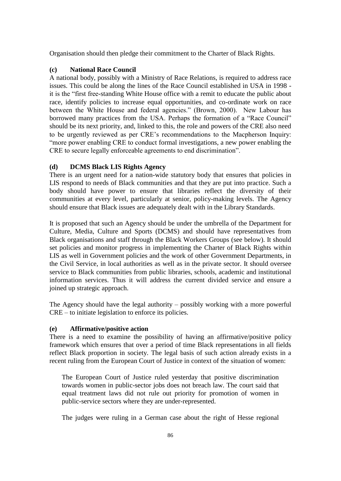Organisation should then pledge their commitment to the Charter of Black Rights.

## **(c) National Race Council**

A national body, possibly with a Ministry of Race Relations, is required to address race issues. This could be along the lines of the Race Council established in USA in 1998 it is the "first free-standing White House office with a remit to educate the public about race, identify policies to increase equal opportunities, and co-ordinate work on race between the White House and federal agencies." (Brown, 2000). New Labour has borrowed many practices from the USA. Perhaps the formation of a "Race Council" should be its next priority, and, linked to this, the role and powers of the CRE also need to be urgently reviewed as per CRE's recommendations to the Macpherson Inquiry: "more power enabling CRE to conduct formal investigations, a new power enabling the CRE to secure legally enforceable agreements to end discrimination".

## **(d) DCMS Black LIS Rights Agency**

There is an urgent need for a nation-wide statutory body that ensures that policies in LIS respond to needs of Black communities and that they are put into practice. Such a body should have power to ensure that libraries reflect the diversity of their communities at every level, particularly at senior, policy-making levels. The Agency should ensure that Black issues are adequately dealt with in the Library Standards.

It is proposed that such an Agency should be under the umbrella of the Department for Culture, Media, Culture and Sports (DCMS) and should have representatives from Black organisations and staff through the Black Workers Groups (see below). It should set policies and monitor progress in implementing the Charter of Black Rights within LIS as well in Government policies and the work of other Government Departments, in the Civil Service, in local authorities as well as in the private sector. It should oversee service to Black communities from public libraries, schools, academic and institutional information services. Thus it will address the current divided service and ensure a joined up strategic approach.

The Agency should have the legal authority – possibly working with a more powerful CRE – to initiate legislation to enforce its policies.

#### **(e) Affirmative/positive action**

There is a need to examine the possibility of having an affirmative/positive policy framework which ensures that over a period of time Black representations in all fields reflect Black proportion in society. The legal basis of such action already exists in a recent ruling from the European Court of Justice in context of the situation of women:

The European Court of Justice ruled yesterday that positive discrimination towards women in public-sector jobs does not breach law. The court said that equal treatment laws did not rule out priority for promotion of women in public-service sectors where they are under-represented.

The judges were ruling in a German case about the right of Hesse regional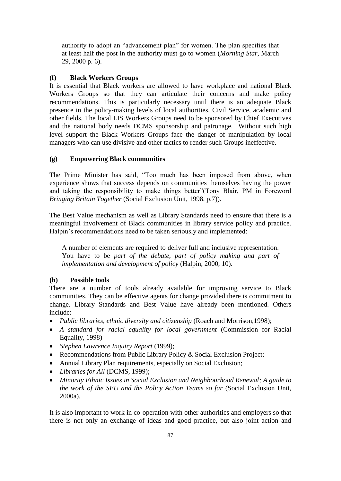authority to adopt an "advancement plan" for women. The plan specifies that at least half the post in the authority must go to women (*Morning Star*, March 29, 2000 p. 6).

#### **(f) Black Workers Groups**

It is essential that Black workers are allowed to have workplace and national Black Workers Groups so that they can articulate their concerns and make policy recommendations. This is particularly necessary until there is an adequate Black presence in the policy-making levels of local authorities, Civil Service, academic and other fields. The local LIS Workers Groups need to be sponsored by Chief Executives and the national body needs DCMS sponsorship and patronage. Without such high level support the Black Workers Groups face the danger of manipulation by local managers who can use divisive and other tactics to render such Groups ineffective.

#### **(g) Empowering Black communities**

The Prime Minister has said, "Too much has been imposed from above, when experience shows that success depends on communities themselves having the power and taking the responsibility to make things better"(Tony Blair, PM in Foreword *Bringing Britain Together* (Social Exclusion Unit, 1998, p.7)).

The Best Value mechanism as well as Library Standards need to ensure that there is a meaningful involvement of Black communities in library service policy and practice. Halpin's recommendations need to be taken seriously and implemented:

A number of elements are required to deliver full and inclusive representation. You have to be *part of the debate, part of policy making and part of implementation and development of policy* (Halpin, 2000, 10).

#### **(h) Possible tools**

There are a number of tools already available for improving service to Black communities. They can be effective agents for change provided there is commitment to change. Library Standards and Best Value have already been mentioned. Others include:

- *Public libraries, ethnic diversity and citizenship* (Roach and Morrison,1998);
- *A standard for racial equality for local government* (Commission for Racial Equality, 1998)
- *Stephen Lawrence Inquiry Report* (1999);
- Recommendations from Public Library Policy & Social Exclusion Project;
- Annual Library Plan requirements, especially on Social Exclusion;
- *Libraries for All* (DCMS, 1999);
- *Minority Ethnic Issues in Social Exclusion and Neighbourhood Renewal; A guide to the work of the SEU and the Policy Action Teams so far* (Social Exclusion Unit, 2000a).

It is also important to work in co-operation with other authorities and employers so that there is not only an exchange of ideas and good practice, but also joint action and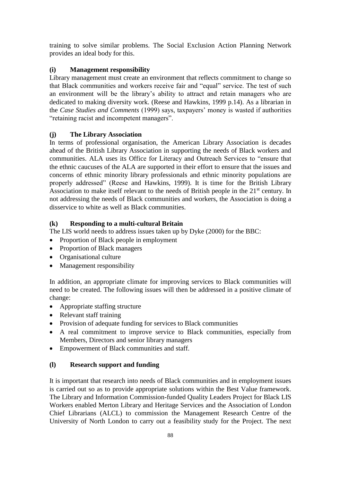training to solve similar problems. The Social Exclusion Action Planning Network provides an ideal body for this.

# **(i) Management responsibility**

Library management must create an environment that reflects commitment to change so that Black communities and workers receive fair and "equal" service. The test of such an environment will be the library's ability to attract and retain managers who are dedicated to making diversity work. (Reese and Hawkins, 1999 p.14). As a librarian in the *Case Studies and Comments* (1999) says, taxpayers' money is wasted if authorities "retaining racist and incompetent managers".

## **(j) The Library Association**

In terms of professional organisation, the American Library Association is decades ahead of the British Library Association in supporting the needs of Black workers and communities. ALA uses its Office for Literacy and Outreach Services to "ensure that the ethnic caucuses of the ALA are supported in their effort to ensure that the issues and concerns of ethnic minority library professionals and ethnic minority populations are properly addressed" (Reese and Hawkins, 1999). It is time for the British Library Association to make itself relevant to the needs of British people in the  $21<sup>st</sup>$  century. In not addressing the needs of Black communities and workers, the Association is doing a disservice to white as well as Black communities.

# **(k) Responding to a multi-cultural Britain**

The LIS world needs to address issues taken up by Dyke (2000) for the BBC:

- Proportion of Black people in employment
- Proportion of Black managers
- Organisational culture
- Management responsibility

In addition, an appropriate climate for improving services to Black communities will need to be created. The following issues will then be addressed in a positive climate of change:

- Appropriate staffing structure
- Relevant staff training
- Provision of adequate funding for services to Black communities
- A real commitment to improve service to Black communities, especially from Members, Directors and senior library managers
- Empowerment of Black communities and staff.

## **(l) Research support and funding**

It is important that research into needs of Black communities and in employment issues is carried out so as to provide appropriate solutions within the Best Value framework. The Library and Information Commission-funded Quality Leaders Project for Black LIS Workers enabled Merton Library and Heritage Services and the Association of London Chief Librarians (ALCL) to commission the Management Research Centre of the University of North London to carry out a feasibility study for the Project. The next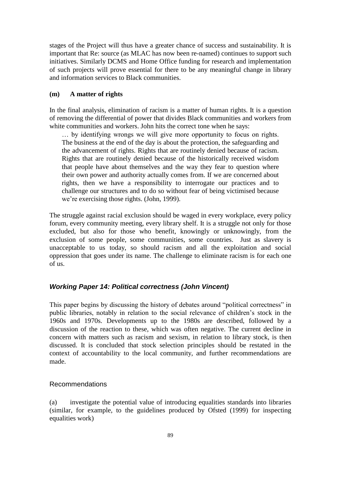stages of the Project will thus have a greater chance of success and sustainability. It is important that Re: source (as MLAC has now been re-named) continues to support such initiatives. Similarly DCMS and Home Office funding for research and implementation of such projects will prove essential for there to be any meaningful change in library and information services to Black communities.

#### **(m) A matter of rights**

In the final analysis, elimination of racism is a matter of human rights. It is a question of removing the differential of power that divides Black communities and workers from white communities and workers. John hits the correct tone when he says:

… by identifying wrongs we will give more opportunity to focus on rights. The business at the end of the day is about the protection, the safeguarding and the advancement of rights. Rights that are routinely denied because of racism. Rights that are routinely denied because of the historically received wisdom that people have about themselves and the way they fear to question where their own power and authority actually comes from. If we are concerned about rights, then we have a responsibility to interrogate our practices and to challenge our structures and to do so without fear of being victimised because we're exercising those rights. (John, 1999).

The struggle against racial exclusion should be waged in every workplace, every policy forum, every community meeting, every library shelf. It is a struggle not only for those excluded, but also for those who benefit, knowingly or unknowingly, from the exclusion of some people, some communities, some countries. Just as slavery is unacceptable to us today, so should racism and all the exploitation and social oppression that goes under its name. The challenge to eliminate racism is for each one of us.

### *Working Paper 14: Political correctness (John Vincent)*

This paper begins by discussing the history of debates around "political correctness" in public libraries, notably in relation to the social relevance of children's stock in the 1960s and 1970s. Developments up to the 1980s are described, followed by a discussion of the reaction to these, which was often negative. The current decline in concern with matters such as racism and sexism, in relation to library stock, is then discussed. It is concluded that stock selection principles should be restated in the context of accountability to the local community, and further recommendations are made.

#### Recommendations

(a) investigate the potential value of introducing equalities standards into libraries (similar, for example, to the guidelines produced by Ofsted (1999) for inspecting equalities work)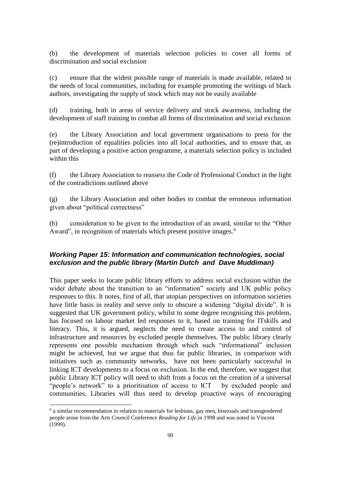(b) the development of materials selection policies to cover all forms of discrimination and social exclusion

(c) ensure that the widest possible range of materials is made available, related to the needs of local communities, including for example promoting the writings of black authors, investigating the supply of stock which may not be easily available

(d) training, both in areas of service delivery and stock awareness, including the development of staff training to combat all forms of discrimination and social exclusion

(e) the Library Association and local government organisations to press for the (re)introduction of equalities policies into all local authorities, and to ensure that, as part of developing a positive action programme, a materials selection policy is included within this

(f) the Library Association to reassess the Code of Professional Conduct in the light of the contradictions outlined above

(g) the Library Association and other bodies to combat the erroneous information given about "political correctness"

(h) consideration to be given to the introduction of an award, similar to the "Other Award", in recognition of materials which present positive images.<sup>ii</sup>

### *Working Paper 15: Information and communication technologies, social exclusion and the public library (Martin Dutch and Dave Muddiman)*

This paper seeks to locate public library efforts to address social exclusion within the wider debate about the transition to an "information" society and UK public policy responses to this. It notes, first of all, that utopian perspectives on information societies have little basis in reality and serve only to obscure a widening "digital divide". It is suggested that UK government policy, whilst to some degree recognising this problem, has focused on labour market led responses to it, based on training for ITskills and literacy. This, it is argued, neglects the need to create access to and control of infrastructure and resources by excluded people themselves. The public library clearly represents one possible mechanism through which such "informational" inclusion might be achieved, but we argue that thus far public libraries, in comparison with initiatives such as community networks, have not been particularly successful in linking ICT developments to a focus on exclusion. In the end, therefore, we suggest that public Library ICT policy will need to shift from a focus on the creation of a universal "people's network" to a prioritisation of access to ICT by excluded people and communities. Libraries will thus need to develop proactive ways of encouraging

 $\overline{\phantom{a}}$ 

ii a similar recommendation in relation to materials for lesbians, gay men, bisexuals and transgendered people arose from the Arts Council Conference *Reading for Life,*in 1998 and was noted in Vincent (1999).